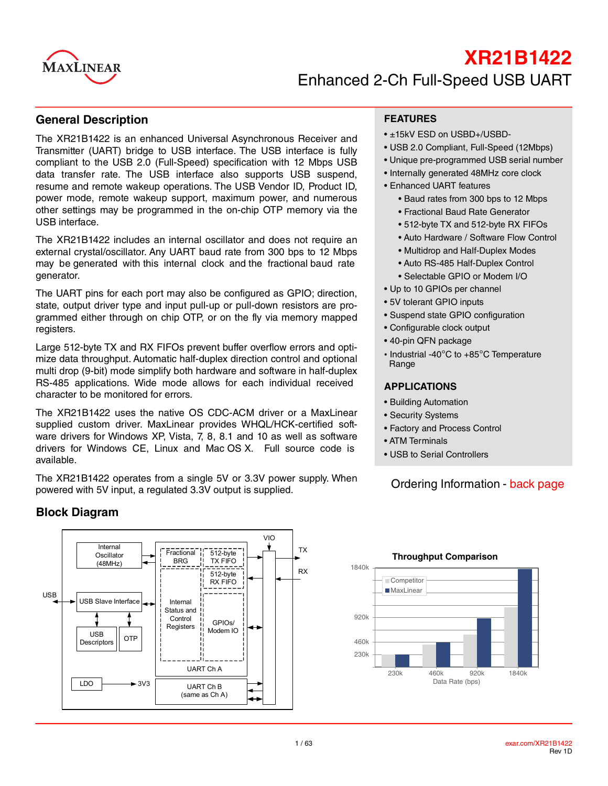

# **XR21B1422** Enhanced 2-Ch Full-Speed USB UART

#### **General Description**

The XR21B1422 is an enhanced Universal Asynchronous Receiver and Transmitter (UART) bridge to USB interface. The USB interface is fully compliant to the USB 2.0 (Full-Speed) specification with 12 Mbps USB data transfer rate. The USB interface also supports USB suspend, resume and remote wakeup operations. The USB Vendor ID, Product ID, power mode, remote wakeup support, maximum power, and numerous other settings may be programmed in the on-chip OTP memory via the USB interface.

The XR21B1422 includes an internal oscillator and does not require an external crystal/oscillator. Any UART baud rate from 300 bps to 12 Mbps may be generated with this internal clock and the fractional baud rate generator.

The UART pins for each port may also be configured as GPIO; direction, state, output driver type and input pull-up or pull-down resistors are programmed either through on chip OTP, or on the fly via memory mapped registers.

Large 512-byte TX and RX FIFOs prevent buffer overflow errors and optimize data throughput. Automatic half-duplex direction control and optional multi drop (9-bit) mode simplify both hardware and software in half-duplex RS-485 applications. Wide mode allows for each individual received character to be monitored for errors.

The XR21B1422 uses the native OS CDC-ACM driver or a MaxLinear supplied custom driver. MaxLinear provides WHQL/HCK-certified software drivers for Windows XP, Vista, 7, 8, 8.1 and 10 as well as software drivers for Windows CE, Linux and Mac OS X. Full source code is available.

The XR21B1422 operates from a single 5V or 3.3V power supply. When powered with 5V input, a regulated 3.3V output is supplied.

### **Block Diagram**



#### **FEATURES**

- ±15kV ESD on USBD+/USBD-
- USB 2.0 Compliant, Full-Speed (12Mbps)
- Unique pre-programmed USB serial number
- Internally generated 48MHz core clock
- Enhanced UART features
	- Baud rates from 300 bps to 12 Mbps
	- Fractional Baud Rate Generator
	- 512-byte TX and 512-byte RX FIFOs
	- Auto Hardware / Software Flow Control
	- Multidrop and Half-Duplex Modes
	- Auto RS-485 Half-Duplex Control
	- Selectable GPIO or Modem I/O
- Up to 10 GPIOs per channel
- 5V tolerant GPIO inputs
- Suspend state GPIO configuration
- Configurable clock output
- 40-pin QFN package
- Industrial -40°C to +85°C Temperature Range

#### **APPLICATIONS**

- Building Automation
- Security Systems
- Factory and Process Control
- ATM Terminals
- USB to Serial Controllers

### Ordering Information - [back page](#page-61-0)



#### **Throughput Comparison**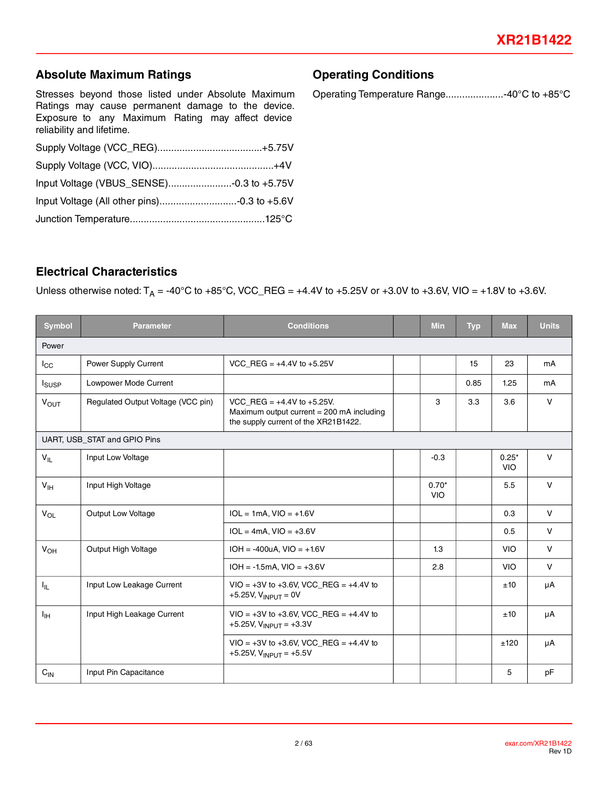### **Absolute Maximum Ratings**

Stresses beyond those listed under Absolute Maximum Ratings may cause permanent damage to the device. Exposure to any Maximum Rating may affect device reliability and lifetime.

| Input Voltage (All other pins)-0.3 to +5.6V |  |
|---------------------------------------------|--|
|                                             |  |

### **Electrical Characteristics**

Unless otherwise noted:  $T_A = -40^{\circ}$ C to  $+85^{\circ}$ C, VCC\_REG =  $+4.4V$  to  $+5.25V$  or  $+3.0V$  to  $+3.6V$ , VIO =  $+1.8V$  to  $+3.6V$ .

| <b>Symbol</b>   | <b>Parameter</b>                   | <b>Conditions</b>                                                                                                      | <b>Min</b>            | <b>Typ</b> | <b>Max</b>            | <b>Units</b> |
|-----------------|------------------------------------|------------------------------------------------------------------------------------------------------------------------|-----------------------|------------|-----------------------|--------------|
| Power           |                                    |                                                                                                                        |                       |            |                       |              |
| $I_{\rm CC}$    | Power Supply Current               | VCC REG = $+4.4V$ to $+5.25V$                                                                                          |                       | 15         | 23                    | mA           |
| <b>I</b> susp   | Lowpower Mode Current              |                                                                                                                        |                       | 0.85       | 1.25                  | mA           |
| $V_{OUT}$       | Regulated Output Voltage (VCC pin) | VCC REG = $+4.4V$ to $+5.25V$ .<br>Maximum output current $= 200$ mA including<br>the supply current of the XR21B1422. | 3                     | 3.3        | 3.6                   | $\vee$       |
|                 | UART, USB_STAT and GPIO Pins       |                                                                                                                        |                       |            |                       |              |
| $V_{IL}$        | Input Low Voltage                  |                                                                                                                        | $-0.3$                |            | $0.25*$<br><b>VIO</b> | $\vee$       |
| $V_{\text{IH}}$ | Input High Voltage                 |                                                                                                                        | $0.70*$<br><b>VIO</b> |            | 5.5                   | $\vee$       |
| $V_{OL}$        | Output Low Voltage                 | $IOL = 1mA, VIO = +1.6V$                                                                                               |                       |            | 0.3                   | $\mathsf{V}$ |
|                 |                                    | $IOL = 4mA$ , $VIO = +3.6V$                                                                                            |                       |            | 0.5                   | $\mathsf{V}$ |
| V <sub>OH</sub> | Output High Voltage                | $IOH = -400uA, VIO = +1.6V$                                                                                            | 1.3                   |            | <b>VIO</b>            | $\vee$       |
|                 |                                    | $IOH = -1.5mA$ , $VIO = +3.6V$                                                                                         | 2.8                   |            | <b>VIO</b>            | $\vee$       |
| $I_{\rm IL}$    | Input Low Leakage Current          | $VIO = +3V$ to +3.6V, VCC_REG = +4.4V to<br>+5.25V, $V_{INPUT} = 0V$                                                   |                       |            | ±10                   | μA           |
| $I_{\text{IH}}$ | Input High Leakage Current         | $VIO = +3V$ to $+3.6V$ , VCC_REG = $+4.4V$ to<br>+5.25V, $V_{\text{INPUT}}$ = +3.3V                                    |                       |            | ±10                   | μA           |
|                 |                                    | $VIO = +3V$ to $+3.6V$ , VCC_REG = $+4.4V$ to<br>+5.25V, $V_{INPUT}$ = +5.5V                                           |                       |            | ±120                  | μA           |
| $C_{IN}$        | Input Pin Capacitance              |                                                                                                                        |                       |            | 5                     | pF           |

Operating Temperature Range.....................-40°C to +85°C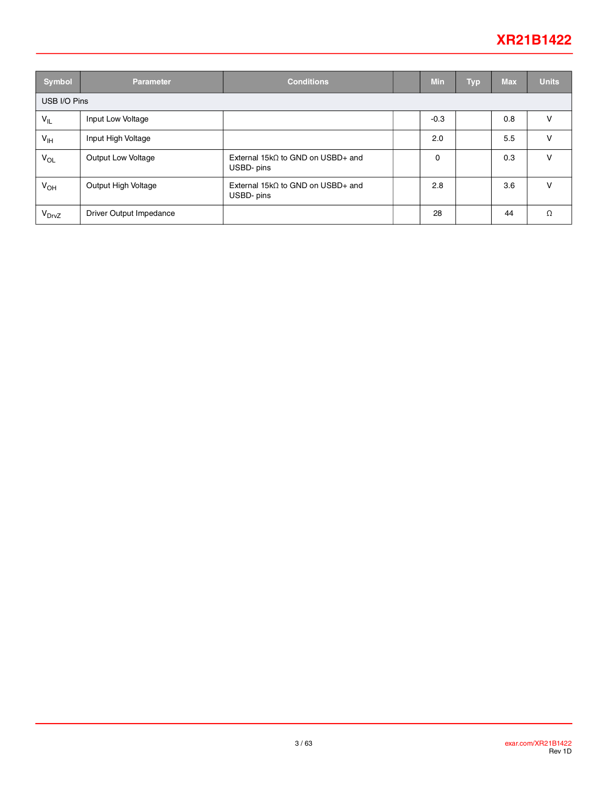## **XR21B1422**

| Symbol            | <b>Parameter</b>        | <b>Conditions</b>                                       |  | <b>Min</b> | <b>Typ</b> | <b>Max</b> | <b>Units</b> |
|-------------------|-------------------------|---------------------------------------------------------|--|------------|------------|------------|--------------|
| USB I/O Pins      |                         |                                                         |  |            |            |            |              |
| $V_{IL}$          | Input Low Voltage       |                                                         |  | $-0.3$     |            | 0.8        | v            |
| V <sub>IH</sub>   | Input High Voltage      |                                                         |  | 2.0        |            | 5.5        | v            |
| $V_{OL}$          | Output Low Voltage      | External 15k $\Omega$ to GND on USBD+ and<br>USBD- pins |  | 0          |            | 0.3        | V            |
| $V_{OH}$          | Output High Voltage     | External $15k\Omega$ to GND on USBD+ and<br>USBD- pins  |  | 2.8        |            | 3.6        | v            |
| V <sub>DrvZ</sub> | Driver Output Impedance |                                                         |  | 28         |            | 44         | Ω            |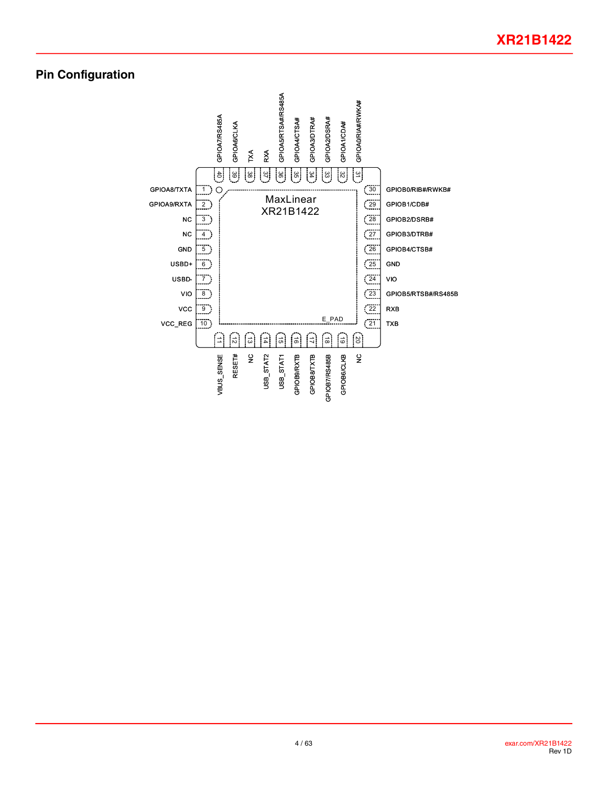### **Pin Configuration**

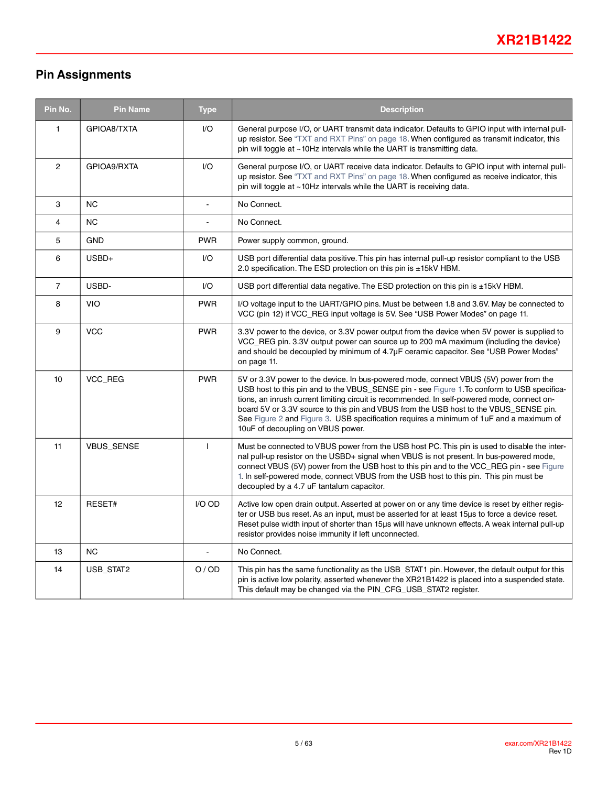## **Pin Assignments**

| Pin No.        | <b>Pin Name</b> | <b>Type</b>    | <b>Description</b>                                                                                                                                                                                                                                                                                                                                                                                                                                                                                           |  |  |  |
|----------------|-----------------|----------------|--------------------------------------------------------------------------------------------------------------------------------------------------------------------------------------------------------------------------------------------------------------------------------------------------------------------------------------------------------------------------------------------------------------------------------------------------------------------------------------------------------------|--|--|--|
| 1              | GPIOA8/TXTA     | I/O            | General purpose I/O, or UART transmit data indicator. Defaults to GPIO input with internal pull-<br>up resistor. See "TXT and RXT Pins" on page 18. When configured as transmit indicator, this<br>pin will toggle at $\sim$ 10Hz intervals while the UART is transmitting data.                                                                                                                                                                                                                             |  |  |  |
| $\overline{2}$ | GPIOA9/RXTA     | I/O            | General purpose I/O, or UART receive data indicator. Defaults to GPIO input with internal pull-<br>up resistor. See "TXT and RXT Pins" on page 18. When configured as receive indicator, this<br>pin will toggle at ~10Hz intervals while the UART is receiving data.                                                                                                                                                                                                                                        |  |  |  |
| 3              | <b>NC</b>       | $\overline{a}$ | No Connect.                                                                                                                                                                                                                                                                                                                                                                                                                                                                                                  |  |  |  |
| 4              | <b>NC</b>       |                | No Connect.                                                                                                                                                                                                                                                                                                                                                                                                                                                                                                  |  |  |  |
| 5              | <b>GND</b>      | <b>PWR</b>     | Power supply common, ground.                                                                                                                                                                                                                                                                                                                                                                                                                                                                                 |  |  |  |
| 6              | $USBD+$         | I/O            | USB port differential data positive. This pin has internal pull-up resistor compliant to the USB<br>2.0 specification. The ESD protection on this pin is ±15kV HBM.                                                                                                                                                                                                                                                                                                                                          |  |  |  |
| $\overline{7}$ | USBD-           | I/O            | USB port differential data negative. The ESD protection on this pin is ±15kV HBM.                                                                                                                                                                                                                                                                                                                                                                                                                            |  |  |  |
| 8              | <b>VIO</b>      | <b>PWR</b>     | I/O voltage input to the UART/GPIO pins. Must be between 1.8 and 3.6V. May be connected to<br>VCC (pin 12) if VCC_REG input voltage is 5V. See "USB Power Modes" on page 11.                                                                                                                                                                                                                                                                                                                                 |  |  |  |
| 9              | <b>VCC</b>      | <b>PWR</b>     | 3.3V power to the device, or 3.3V power output from the device when 5V power is supplied to<br>VCC_REG pin. 3.3V output power can source up to 200 mA maximum (including the device)<br>and should be decoupled by minimum of 4.7µF ceramic capacitor. See "USB Power Modes"<br>on page 11.                                                                                                                                                                                                                  |  |  |  |
| 10             | <b>VCC REG</b>  | <b>PWR</b>     | 5V or 3.3V power to the device. In bus-powered mode, connect VBUS (5V) power from the<br>USB host to this pin and to the VBUS_SENSE pin - see Figure 1. To conform to USB specifica-<br>tions, an inrush current limiting circuit is recommended. In self-powered mode, connect on-<br>board 5V or 3.3V source to this pin and VBUS from the USB host to the VBUS_SENSE pin.<br>See Figure 2 and Figure 3. USB specification requires a minimum of 1uF and a maximum of<br>10uF of decoupling on VBUS power. |  |  |  |
| 11             | VBUS_SENSE      | $\mathbf{I}$   | Must be connected to VBUS power from the USB host PC. This pin is used to disable the inter-<br>nal pull-up resistor on the USBD+ signal when VBUS is not present. In bus-powered mode,<br>connect VBUS (5V) power from the USB host to this pin and to the VCC_REG pin - see Figure<br>1. In self-powered mode, connect VBUS from the USB host to this pin. This pin must be<br>decoupled by a 4.7 uF tantalum capacitor.                                                                                   |  |  |  |
| 12             | RESET#          | I/O OD         | Active low open drain output. Asserted at power on or any time device is reset by either regis-<br>ter or USB bus reset. As an input, must be asserted for at least 15µs to force a device reset.<br>Reset pulse width input of shorter than 15µs will have unknown effects. A weak internal pull-up<br>resistor provides noise immunity if left unconnected.                                                                                                                                                |  |  |  |
| 13             | <b>NC</b>       |                | No Connect.                                                                                                                                                                                                                                                                                                                                                                                                                                                                                                  |  |  |  |
| 14             | USB_STAT2       | O/OD           | This pin has the same functionality as the USB_STAT1 pin. However, the default output for this<br>pin is active low polarity, asserted whenever the XR21B1422 is placed into a suspended state.<br>This default may be changed via the PIN_CFG_USB_STAT2 register.                                                                                                                                                                                                                                           |  |  |  |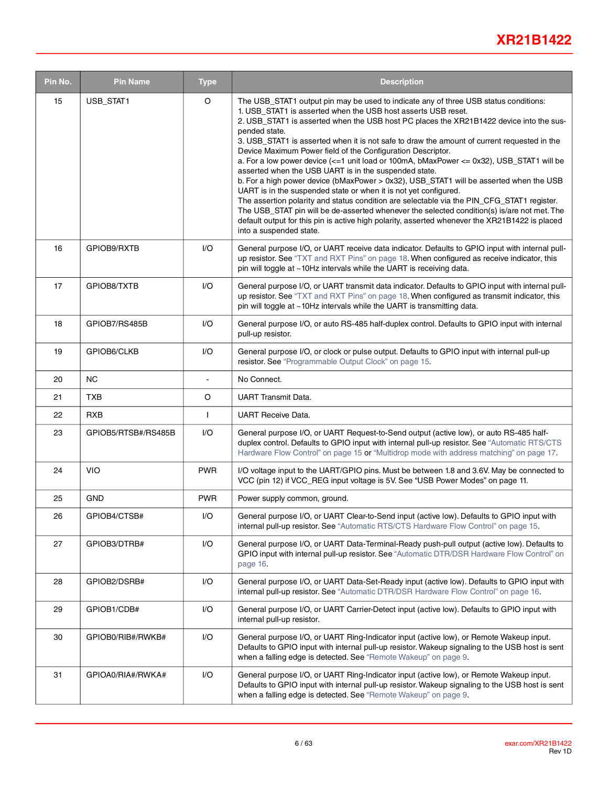## **XR21B1422**

| Pin No. | <b>Pin Name</b>     | <b>Type</b>             | <b>Description</b>                                                                                                                                                                                                                                                                                                                                                                                                                                                                                                                                                                                                                                                                                                                                                                                                                                                                                                                                                                                                                                                           |  |  |  |  |
|---------|---------------------|-------------------------|------------------------------------------------------------------------------------------------------------------------------------------------------------------------------------------------------------------------------------------------------------------------------------------------------------------------------------------------------------------------------------------------------------------------------------------------------------------------------------------------------------------------------------------------------------------------------------------------------------------------------------------------------------------------------------------------------------------------------------------------------------------------------------------------------------------------------------------------------------------------------------------------------------------------------------------------------------------------------------------------------------------------------------------------------------------------------|--|--|--|--|
| 15      | USB_STAT1           | O                       | The USB_STAT1 output pin may be used to indicate any of three USB status conditions:<br>1. USB_STAT1 is asserted when the USB host asserts USB reset.<br>2. USB_STAT1 is asserted when the USB host PC places the XR21B1422 device into the sus-<br>pended state.<br>3. USB STAT1 is asserted when it is not safe to draw the amount of current requested in the<br>Device Maximum Power field of the Configuration Descriptor.<br>a. For a low power device (<=1 unit load or 100mA, bMaxPower <= 0x32), USB_STAT1 will be<br>asserted when the USB UART is in the suspended state.<br>b. For a high power device (bMaxPower > 0x32), USB_STAT1 will be asserted when the USB<br>UART is in the suspended state or when it is not yet configured.<br>The assertion polarity and status condition are selectable via the PIN CFG STAT1 register.<br>The USB_STAT pin will be de-asserted whenever the selected condition(s) is/are not met. The<br>default output for this pin is active high polarity, asserted whenever the XR21B1422 is placed<br>into a suspended state. |  |  |  |  |
| 16      | GPIOB9/RXTB         | $\mathsf{I}/\mathsf{O}$ | General purpose I/O, or UART receive data indicator. Defaults to GPIO input with internal pull-<br>up resistor. See "TXT and RXT Pins" on page 18. When configured as receive indicator, this<br>pin will toggle at ~10Hz intervals while the UART is receiving data.                                                                                                                                                                                                                                                                                                                                                                                                                                                                                                                                                                                                                                                                                                                                                                                                        |  |  |  |  |
| 17      | GPIOB8/TXTB         | I/O                     | General purpose I/O, or UART transmit data indicator. Defaults to GPIO input with internal pull-<br>up resistor. See "TXT and RXT Pins" on page 18. When configured as transmit indicator, this<br>pin will toggle at ~10Hz intervals while the UART is transmitting data.                                                                                                                                                                                                                                                                                                                                                                                                                                                                                                                                                                                                                                                                                                                                                                                                   |  |  |  |  |
| 18      | GPIOB7/RS485B       | I/O                     | General purpose I/O, or auto RS-485 half-duplex control. Defaults to GPIO input with internal<br>pull-up resistor.                                                                                                                                                                                                                                                                                                                                                                                                                                                                                                                                                                                                                                                                                                                                                                                                                                                                                                                                                           |  |  |  |  |
| 19      | GPIOB6/CLKB         | I/O                     | General purpose I/O, or clock or pulse output. Defaults to GPIO input with internal pull-up<br>resistor. See "Programmable Output Clock" on page 15.                                                                                                                                                                                                                                                                                                                                                                                                                                                                                                                                                                                                                                                                                                                                                                                                                                                                                                                         |  |  |  |  |
| 20      | NC.                 | $\overline{a}$          | No Connect.                                                                                                                                                                                                                                                                                                                                                                                                                                                                                                                                                                                                                                                                                                                                                                                                                                                                                                                                                                                                                                                                  |  |  |  |  |
| 21      | <b>TXB</b>          | O                       | <b>UART Transmit Data.</b>                                                                                                                                                                                                                                                                                                                                                                                                                                                                                                                                                                                                                                                                                                                                                                                                                                                                                                                                                                                                                                                   |  |  |  |  |
| 22      | <b>RXB</b>          | $\mathbf{I}$            | <b>UART Receive Data.</b>                                                                                                                                                                                                                                                                                                                                                                                                                                                                                                                                                                                                                                                                                                                                                                                                                                                                                                                                                                                                                                                    |  |  |  |  |
| 23      | GPIOB5/RTSB#/RS485B | I/O                     | General purpose I/O, or UART Request-to-Send output (active low), or auto RS-485 half-<br>duplex control. Defaults to GPIO input with internal pull-up resistor. See "Automatic RTS/CTS<br>Hardware Flow Control" on page 15 or "Multidrop mode with address matching" on page 17.                                                                                                                                                                                                                                                                                                                                                                                                                                                                                                                                                                                                                                                                                                                                                                                           |  |  |  |  |
| 24      | <b>VIO</b>          | <b>PWR</b>              | I/O voltage input to the UART/GPIO pins. Must be between 1.8 and 3.6V. May be connected to<br>VCC (pin 12) if VCC_REG input voltage is 5V. See "USB Power Modes" on page 11.                                                                                                                                                                                                                                                                                                                                                                                                                                                                                                                                                                                                                                                                                                                                                                                                                                                                                                 |  |  |  |  |
| 25      | <b>GND</b>          | <b>PWR</b>              | Power supply common, ground.                                                                                                                                                                                                                                                                                                                                                                                                                                                                                                                                                                                                                                                                                                                                                                                                                                                                                                                                                                                                                                                 |  |  |  |  |
| 26      | GPIOB4/CTSB#        | I/O                     | General purpose I/O, or UART Clear-to-Send input (active low). Defaults to GPIO input with<br>internal pull-up resistor. See "Automatic RTS/CTS Hardware Flow Control" on page 15.                                                                                                                                                                                                                                                                                                                                                                                                                                                                                                                                                                                                                                                                                                                                                                                                                                                                                           |  |  |  |  |
| 27      | GPIOB3/DTRB#        | I/O                     | General purpose I/O, or UART Data-Terminal-Ready push-pull output (active low). Defaults to<br>GPIO input with internal pull-up resistor. See "Automatic DTR/DSR Hardware Flow Control" on<br>page 16.                                                                                                                                                                                                                                                                                                                                                                                                                                                                                                                                                                                                                                                                                                                                                                                                                                                                       |  |  |  |  |
| 28      | GPIOB2/DSRB#        | I/O                     | General purpose I/O, or UART Data-Set-Ready input (active low). Defaults to GPIO input with<br>internal pull-up resistor. See "Automatic DTR/DSR Hardware Flow Control" on page 16.                                                                                                                                                                                                                                                                                                                                                                                                                                                                                                                                                                                                                                                                                                                                                                                                                                                                                          |  |  |  |  |
| 29      | GPIOB1/CDB#         | I/O                     | General purpose I/O, or UART Carrier-Detect input (active low). Defaults to GPIO input with<br>internal pull-up resistor.                                                                                                                                                                                                                                                                                                                                                                                                                                                                                                                                                                                                                                                                                                                                                                                                                                                                                                                                                    |  |  |  |  |
| 30      | GPIOB0/RIB#/RWKB#   | I/O                     | General purpose I/O, or UART Ring-Indicator input (active low), or Remote Wakeup input.<br>Defaults to GPIO input with internal pull-up resistor. Wakeup signaling to the USB host is sent<br>when a falling edge is detected. See "Remote Wakeup" on page 9.                                                                                                                                                                                                                                                                                                                                                                                                                                                                                                                                                                                                                                                                                                                                                                                                                |  |  |  |  |
| 31      | GPIOA0/RIA#/RWKA#   | I/O                     | General purpose I/O, or UART Ring-Indicator input (active low), or Remote Wakeup input.<br>Defaults to GPIO input with internal pull-up resistor. Wakeup signaling to the USB host is sent<br>when a falling edge is detected. See "Remote Wakeup" on page 9.                                                                                                                                                                                                                                                                                                                                                                                                                                                                                                                                                                                                                                                                                                                                                                                                                |  |  |  |  |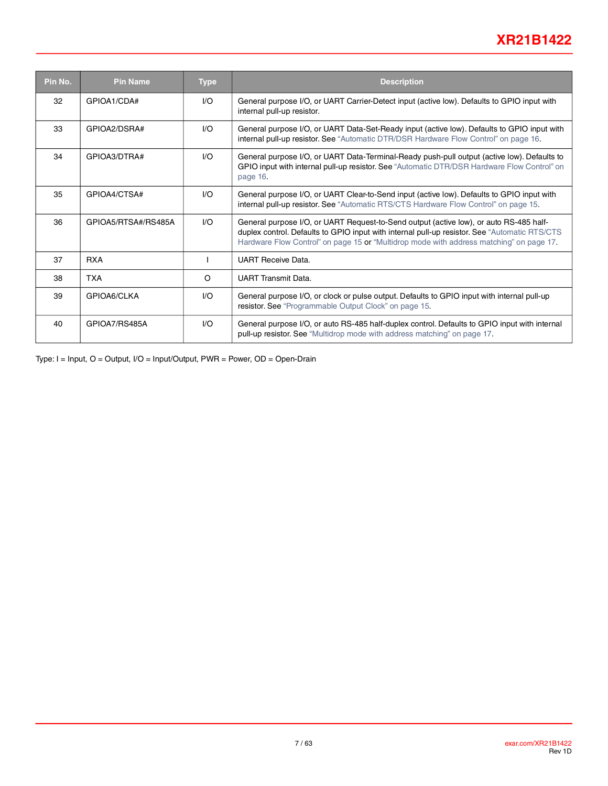## **XR21B1422**

| Pin No. | <b>Pin Name</b>     | <b>Type</b> | <b>Description</b>                                                                                                                                                                                                                                                                |
|---------|---------------------|-------------|-----------------------------------------------------------------------------------------------------------------------------------------------------------------------------------------------------------------------------------------------------------------------------------|
| 32      | GPIOA1/CDA#         | 1/O         | General purpose I/O, or UART Carrier-Detect input (active low). Defaults to GPIO input with<br>internal pull-up resistor.                                                                                                                                                         |
| 33      | GPIOA2/DSRA#        | 1/O         | General purpose I/O, or UART Data-Set-Ready input (active low). Defaults to GPIO input with<br>internal pull-up resistor. See "Automatic DTR/DSR Hardware Flow Control" on page 16.                                                                                               |
| 34      | GPIOA3/DTRA#        | 1/O         | General purpose I/O, or UART Data-Terminal-Ready push-pull output (active low). Defaults to<br>GPIO input with internal pull-up resistor. See "Automatic DTR/DSR Hardware Flow Control" on<br>page 16.                                                                            |
| 35      | GPIOA4/CTSA#        | 1/O         | General purpose I/O, or UART Clear-to-Send input (active low). Defaults to GPIO input with<br>internal pull-up resistor. See "Automatic RTS/CTS Hardware Flow Control" on page 15.                                                                                                |
| 36      | GPIOA5/RTSA#/RS485A | 1/O         | General purpose I/O, or UART Request-to-Send output (active low), or auto RS-485 half-<br>duplex control. Defaults to GPIO input with internal pull-up resistor. See "Automatic RTS/CTS<br>Hardware Flow Control" on page 15 or "Multidrop mode with address matching" on page 17 |
| 37      | <b>RXA</b>          |             | <b>UART Receive Data.</b>                                                                                                                                                                                                                                                         |
| 38      | <b>TXA</b>          | O           | <b>UART Transmit Data.</b>                                                                                                                                                                                                                                                        |
| 39      | GPIOA6/CLKA         | I/O         | General purpose I/O, or clock or pulse output. Defaults to GPIO input with internal pull-up<br>resistor. See "Programmable Output Clock" on page 15.                                                                                                                              |
| 40      | GPIOA7/RS485A       | 1/O         | General purpose I/O, or auto RS-485 half-duplex control. Defaults to GPIO input with internal<br>pull-up resistor. See "Multidrop mode with address matching" on page 17.                                                                                                         |

Type: I = Input, O = Output, I/O = Input/Output, PWR = Power, OD = Open-Drain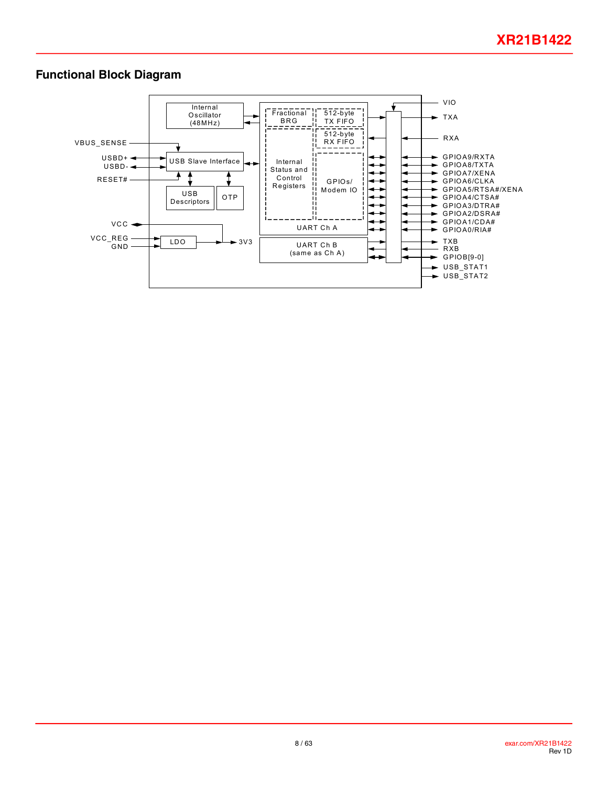### **Functional Block Diagram**

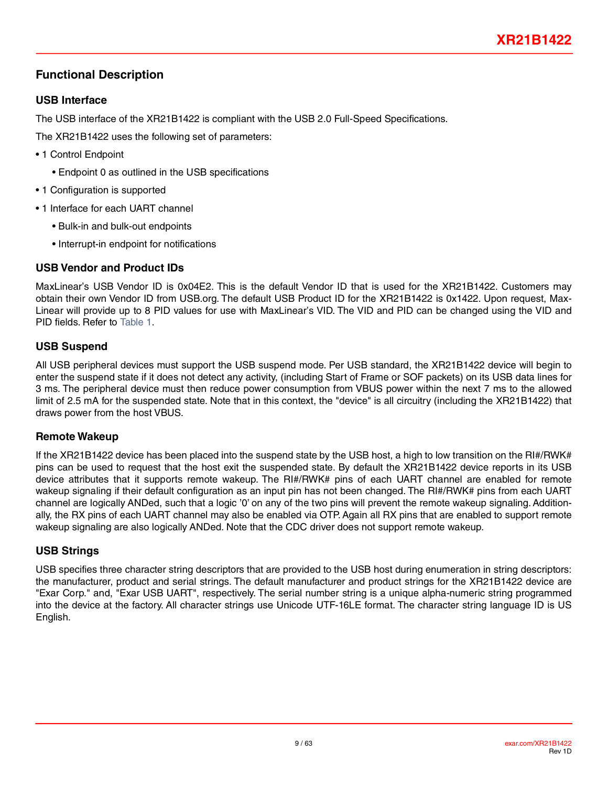### <span id="page-8-0"></span>**Functional Description**

#### **USB Interface**

The USB interface of the XR21B1422 is compliant with the USB 2.0 Full-Speed Specifications.

The XR21B1422 uses the following set of parameters:

- 1 Control Endpoint
	- Endpoint 0 as outlined in the USB specifications
- 1 Configuration is supported
- 1 Interface for each UART channel
	- Bulk-in and bulk-out endpoints
	- Interrupt-in endpoint for notifications

### **USB Vendor and Product IDs**

MaxLinear's USB Vendor ID is 0x04E2. This is the default Vendor ID that is used for the XR21B1422. Customers may obtain their own Vendor ID from USB.org. The default USB Product ID for the XR21B1422 is 0x1422. Upon request, Max-Linear will provide up to 8 PID values for use with MaxLinear's VID. The VID and PID can be changed using the VID and PID fields. Refer to[Table](#page-9-1) 1.

### **USB Suspend**

All USB peripheral devices must support the USB suspend mode. Per USB standard, the XR21B1422 device will begin to enter the suspend state if it does not detect any activity, (including Start of Frame or SOF packets) on its USB data lines for 3 ms. The peripheral device must then reduce power consumption from VBUS power within the next 7 ms to the allowed limit of 2.5 mA for the suspended state. Note that in this context, the "device" is all circuitry (including the XR21B1422) that draws power from the host VBUS.

### <span id="page-8-1"></span>**Remote Wakeup**

If the XR21B1422 device has been placed into the suspend state by the USB host, a high to low transition on the RI#/RWK# pins can be used to request that the host exit the suspended state. By default the XR21B1422 device reports in its USB device attributes that it supports remote wakeup. The RI#/RWK# pins of each UART channel are enabled for remote wakeup signaling if their default configuration as an input pin has not been changed. The RI#/RWK# pins from each UART channel are logically ANDed, such that a logic '0' on any of the two pins will prevent the remote wakeup signaling. Additionally, the RX pins of each UART channel may also be enabled via OTP. Again all RX pins that are enabled to support remote wakeup signaling are also logically ANDed. Note that the CDC driver does not support remote wakeup.

### **USB Strings**

USB specifies three character string descriptors that are provided to the USB host during enumeration in string descriptors: the manufacturer, product and serial strings. The default manufacturer and product strings for the XR21B1422 device are "Exar Corp." and, "Exar USB UART", respectively. The serial number string is a unique alpha-numeric string programmed into the device at the factory. All character strings use Unicode UTF-16LE format. The character string language ID is US English.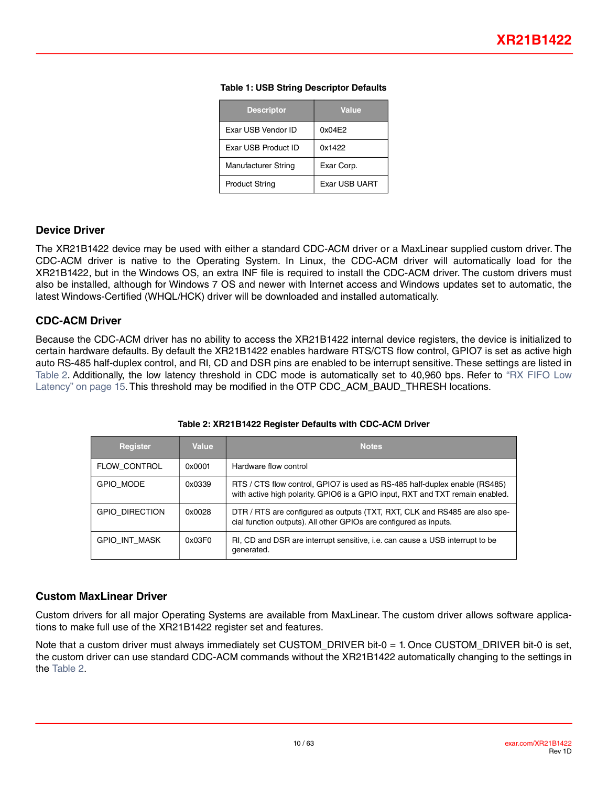| <b>Descriptor</b>          | <b>Value</b>  |
|----------------------------|---------------|
| Exar USB Vendor ID         | 0x04E2        |
| <b>Exar USB Product ID</b> | 0x1422        |
| Manufacturer String        | Exar Corp.    |
| <b>Product String</b>      | Exar USB UART |

#### **Table 1: USB String Descriptor Defaults**

#### <span id="page-9-3"></span><span id="page-9-1"></span><span id="page-9-0"></span>**Device Driver**

The XR21B1422 device may be used with either a standard CDC-ACM driver or a MaxLinear supplied custom driver. The CDC-ACM driver is native to the Operating System. In Linux, the CDC-ACM driver will automatically load for the XR21B1422, but in the Windows OS, an extra INF file is required to install the CDC-ACM driver. The custom drivers must also be installed, although for Windows 7 OS and newer with Internet access and Windows updates set to automatic, the latest Windows-Certified (WHQL/HCK) driver will be downloaded and installed automatically.

#### **CDC-ACM Driver**

Because the CDC-ACM driver has no ability to access the XR21B1422 internal device registers, the device is initialized to certain hardware defaults. By default the XR21B1422 enables hardware RTS/CTS flow control, GPIO7 is set as active high auto RS-485 half-duplex control, and RI, CD and DSR pins are enabled to be interrupt sensitive. These settings are listed in [Table](#page-9-2) 2. Additionally, the low latency threshold in CDC mode is automatically set to 40,960 bps. Refer to ["RX FIFO Low](#page-14-3) [Latency" on page](#page-14-3) 15. This threshold may be modified in the OTP CDC\_ACM\_BAUD\_THRESH locations.

<span id="page-9-2"></span>

| <b>Register</b>       | Value  | <b>Notes</b>                                                                                                                                                |
|-----------------------|--------|-------------------------------------------------------------------------------------------------------------------------------------------------------------|
| FLOW CONTROL          | 0x0001 | Hardware flow control                                                                                                                                       |
| GPIO MODE             | 0x0339 | RTS / CTS flow control, GPIO7 is used as RS-485 half-duplex enable (RS485)<br>with active high polarity. GPIO6 is a GPIO input, RXT and TXT remain enabled. |
| <b>GPIO DIRECTION</b> | 0x0028 | DTR / RTS are configured as outputs (TXT, RXT, CLK and RS485 are also spe-<br>cial function outputs). All other GPIOs are configured as inputs.             |
| GPIO INT MASK         | 0x03F0 | RI, CD and DSR are interrupt sensitive, i.e. can cause a USB interrupt to be<br>generated.                                                                  |

**Table 2: XR21B1422 Register Defaults with CDC-ACM Driver**

#### **Custom MaxLinear Driver**

Custom drivers for all major Operating Systems are available from MaxLinear. The custom driver allows software applications to make full use of the XR21B1422 register set and features.

Note that a custom driver must always immediately set CUSTOM\_DRIVER bit-0 = 1. Once CUSTOM\_DRIVER bit-0 is set, the custom driver can use standard CDC-ACM commands without the XR21B1422 automatically changing to the settings in the [Table](#page-9-2) 2.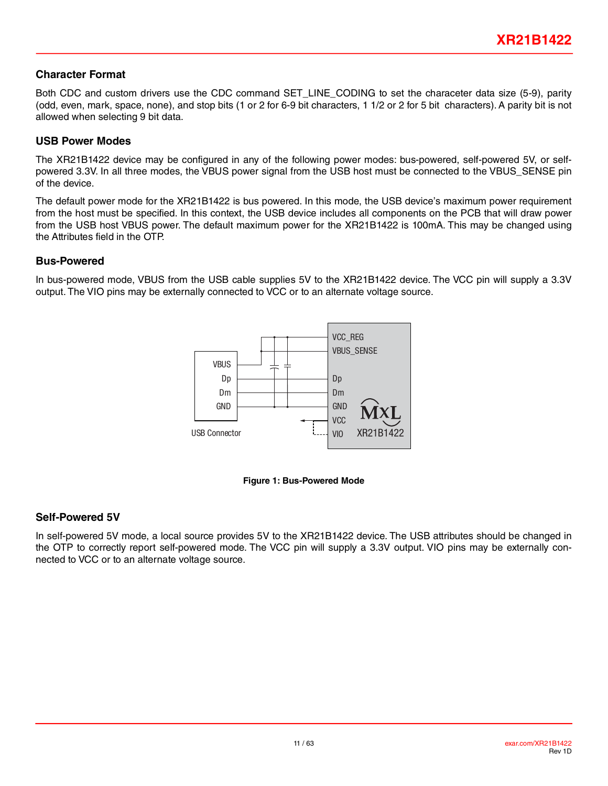#### <span id="page-10-0"></span>**Character Format**

Both CDC and custom drivers use the CDC command SET\_LINE\_CODING to set the characeter data size (5-9), parity (odd, even, mark, space, none), and stop bits (1 or 2 for 6-9 bit characters, 1 1/2 or 2 for 5 bit characters). A parity bit is not allowed when selecting 9 bit data.

#### <span id="page-10-1"></span>**USB Power Modes**

The XR21B1422 device may be configured in any of the following power modes: bus-powered, self-powered 5V, or selfpowered 3.3V. In all three modes, the VBUS power signal from the USB host must be connected to the VBUS\_SENSE pin of the device.

The default power mode for the XR21B1422 is bus powered. In this mode, the USB device's maximum power requirement from the host must be specified. In this context, the USB device includes all components on the PCB that will draw power from the USB host VBUS power. The default maximum power for the XR21B1422 is 100mA. This may be changed using the Attributes field in the OTP.

#### **Bus-Powered**

In bus-powered mode, VBUS from the USB cable supplies 5V to the XR21B1422 device. The VCC pin will supply a 3.3V output. The VIO pins may be externally connected to VCC or to an alternate voltage source.





#### <span id="page-10-2"></span>**Self-Powered 5V**

In self-powered 5V mode, a local source provides 5V to the XR21B1422 device. The USB attributes should be changed in the OTP to correctly report self-powered mode. The VCC pin will supply a 3.3V output. VIO pins may be externally connected to VCC or to an alternate voltage source.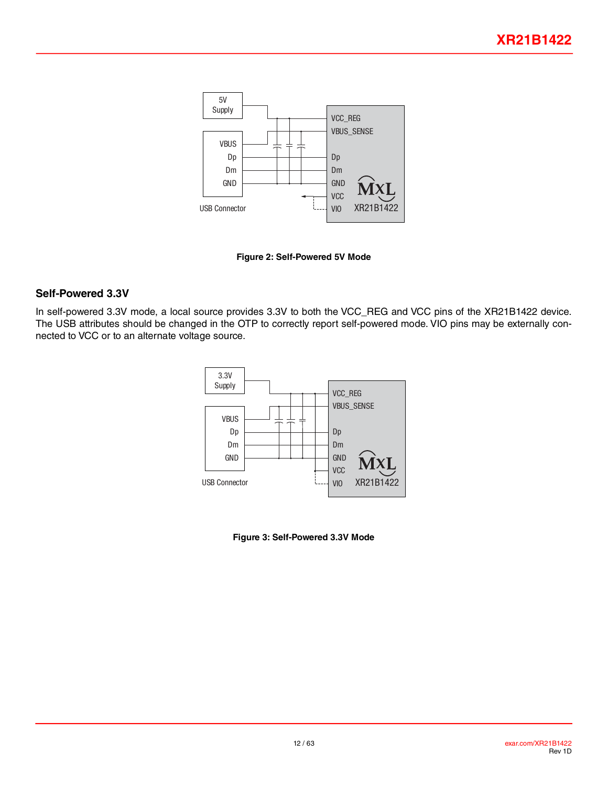<span id="page-11-0"></span>

**Figure 2: Self-Powered 5V Mode**

#### <span id="page-11-1"></span>**Self-Powered 3.3V**

In self-powered 3.3V mode, a local source provides 3.3V to both the VCC\_REG and VCC pins of the XR21B1422 device. The USB attributes should be changed in the OTP to correctly report self-powered mode. VIO pins may be externally connected to VCC or to an alternate voltage source.



<span id="page-11-2"></span>**Figure 3: Self-Powered 3.3V Mode**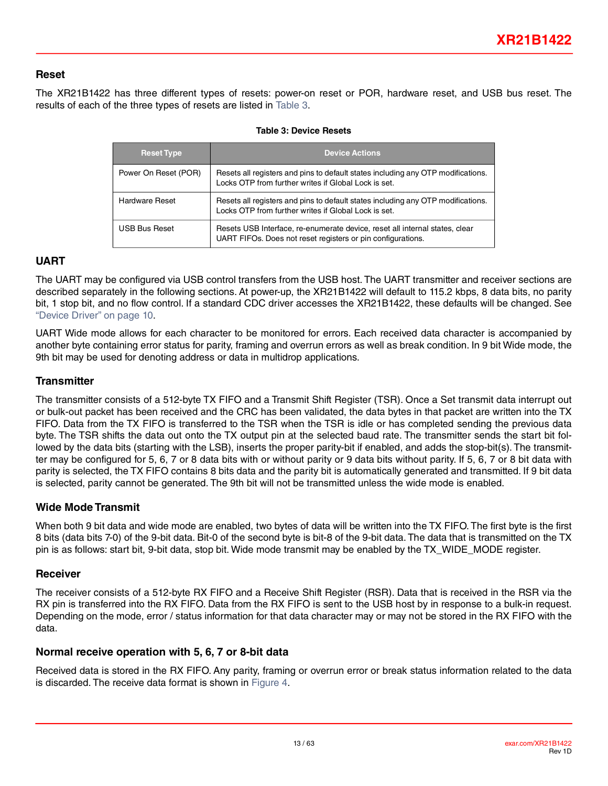#### <span id="page-12-0"></span>**Reset**

<span id="page-12-1"></span>The XR21B1422 has three different types of resets: power-on reset or POR, hardware reset, and USB bus reset. The results of each of the three types of resets are listed in [Table](#page-12-1) 3.

| <b>Reset Type</b>     | <b>Device Actions</b>                                                                                                                      |
|-----------------------|--------------------------------------------------------------------------------------------------------------------------------------------|
| Power On Reset (POR)  | Resets all registers and pins to default states including any OTP modifications.<br>Locks OTP from further writes if Global Lock is set.   |
| <b>Hardware Reset</b> | Resets all registers and pins to default states including any OTP modifications.<br>Locks OTP from further writes if Global Lock is set.   |
| <b>USB Bus Reset</b>  | Resets USB Interface, re-enumerate device, reset all internal states, clear<br>UART FIFOs. Does not reset registers or pin configurations. |

#### **Table 3: Device Resets**

#### **UART**

The UART may be configured via USB control transfers from the USB host. The UART transmitter and receiver sections are described separately in the following sections. At power-up, the XR21B1422 will default to 115.2 kbps, 8 data bits, no parity bit, 1 stop bit, and no flow control. If a standard CDC driver accesses the XR21B1422, these defaults will be changed. See ["Device Driver" on page](#page-9-3) 10.

UART Wide mode allows for each character to be monitored for errors. Each received data character is accompanied by another byte containing error status for parity, framing and overrun errors as well as break condition. In 9 bit Wide mode, the 9th bit may be used for denoting address or data in multidrop applications.

#### **Transmitter**

The transmitter consists of a 512-byte TX FIFO and a Transmit Shift Register (TSR). Once a Set transmit data interrupt out or bulk-out packet has been received and the CRC has been validated, the data bytes in that packet are written into the TX FIFO. Data from the TX FIFO is transferred to the TSR when the TSR is idle or has completed sending the previous data byte. The TSR shifts the data out onto the TX output pin at the selected baud rate. The transmitter sends the start bit followed by the data bits (starting with the LSB), inserts the proper parity-bit if enabled, and adds the stop-bit(s). The transmitter may be configured for 5, 6, 7 or 8 data bits with or without parity or 9 data bits without parity. If 5, 6, 7 or 8 bit data with parity is selected, the TX FIFO contains 8 bits data and the parity bit is automatically generated and transmitted. If 9 bit data is selected, parity cannot be generated. The 9th bit will not be transmitted unless the wide mode is enabled.

#### <span id="page-12-2"></span>**Wide Mode Transmit**

When both 9 bit data and wide mode are enabled, two bytes of data will be written into the TX FIFO. The first byte is the first 8 bits (data bits 7-0) of the 9-bit data. Bit-0 of the second byte is bit-8 of the 9-bit data. The data that is transmitted on the TX pin is as follows: start bit, 9-bit data, stop bit. Wide mode transmit may be enabled by the TX\_WIDE\_MODE register.

#### **Receiver**

The receiver consists of a 512-byte RX FIFO and a Receive Shift Register (RSR). Data that is received in the RSR via the RX pin is transferred into the RX FIFO. Data from the RX FIFO is sent to the USB host by in response to a bulk-in request. Depending on the mode, error / status information for that data character may or may not be stored in the RX FIFO with the data.

#### **Normal receive operation with 5, 6, 7 or 8-bit data**

Received data is stored in the RX FIFO. Any parity, framing or overrun error or break status information related to the data is discarded. The receive data format is shown in[Figure](#page-13-1) 4.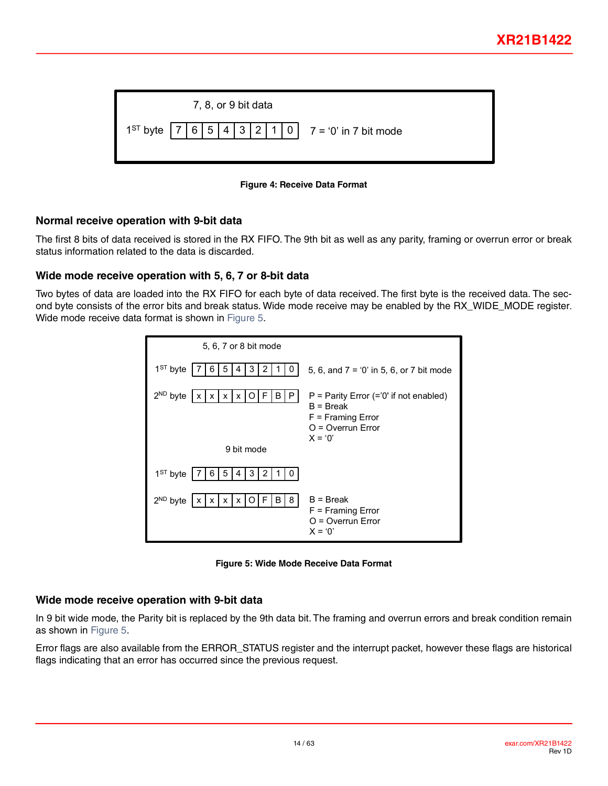<span id="page-13-0"></span>

| 7, 8, or 9 bit data                                                   |  |
|-----------------------------------------------------------------------|--|
| $1^{ST}$ byte   7   6   5   4   3   2   1   0   7 = '0' in 7 bit mode |  |



#### <span id="page-13-1"></span>**Normal receive operation with 9-bit data**

The first 8 bits of data received is stored in the RX FIFO. The 9th bit as well as any parity, framing or overrun error or break status information related to the data is discarded.

#### <span id="page-13-3"></span>**Wide mode receive operation with 5, 6, 7 or 8-bit data**

Two bytes of data are loaded into the RX FIFO for each byte of data received. The first byte is the received data. The second byte consists of the error bits and break status. Wide mode receive may be enabled by the RX\_WIDE\_MODE register. Wide mode receive data format is shown in [Figure](#page-13-2) 5.

| 5, 6, 7 or 8 bit mode                                                                  |                                                                                                                     |
|----------------------------------------------------------------------------------------|---------------------------------------------------------------------------------------------------------------------|
| $1ST$ byte<br>2<br>5<br>3<br>4<br>h<br>U                                               | 5, 6, and $7 = 0'$ in 5, 6, or 7 bit mode                                                                           |
| $2^{ND}$ byte<br>B<br>P<br>F<br>$\mathsf{x}$<br>$\mathsf{I} \mathsf{X}$<br>x<br>x<br>0 | $P =$ Parity Error (='0' if not enabled)<br>$B = B$ reak<br>$F =$ Framing Error<br>$O =$ Overrun Error<br>$X = '0'$ |
| 9 bit mode                                                                             |                                                                                                                     |
| 5<br>3<br>2<br>$1ST$ byte<br>6<br>4<br>$\Omega$                                        |                                                                                                                     |
| 8<br>$2ND$ byte<br>F<br>B<br>x   x   O<br>X<br>x                                       | $B = B$ reak<br>$F =$ Framing Error<br>$O =$ Overrun Error<br>$X = '0'$                                             |

**Figure 5: Wide Mode Receive Data Format**

#### <span id="page-13-4"></span><span id="page-13-2"></span>**Wide mode receive operation with 9-bit data**

In 9 bit wide mode, the Parity bit is replaced by the 9th data bit. The framing and overrun errors and break condition remain as shown in [Figure 5.](#page-13-0)

Error flags are also available from the ERROR\_STATUS register and the interrupt packet, however these flags are historical flags indicating that an error has occurred since the previous request.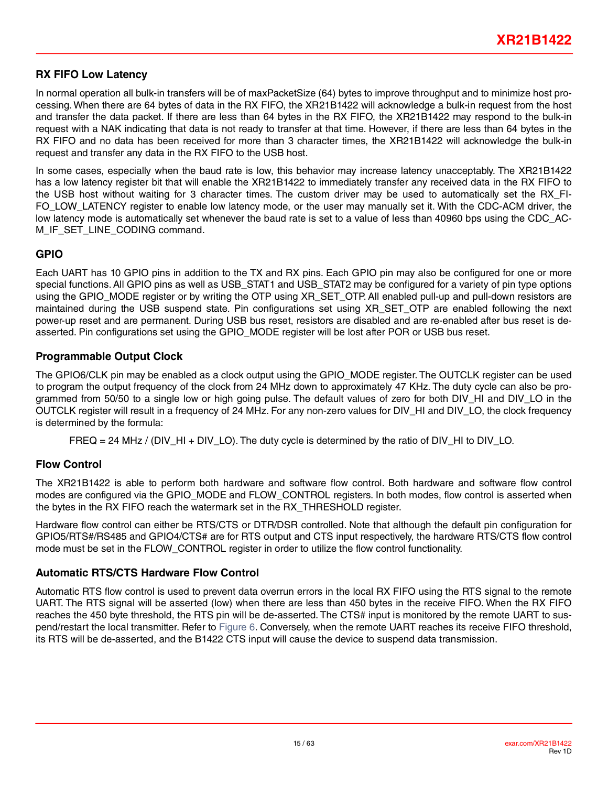#### <span id="page-14-3"></span><span id="page-14-0"></span>**RX FIFO Low Latency**

In normal operation all bulk-in transfers will be of maxPacketSize (64) bytes to improve throughput and to minimize host processing. When there are 64 bytes of data in the RX FIFO, the XR21B1422 will acknowledge a bulk-in request from the host and transfer the data packet. If there are less than 64 bytes in the RX FIFO, the XR21B1422 may respond to the bulk-in request with a NAK indicating that data is not ready to transfer at that time. However, if there are less than 64 bytes in the RX FIFO and no data has been received for more than 3 character times, the XR21B1422 will acknowledge the bulk-in request and transfer any data in the RX FIFO to the USB host.

In some cases, especially when the baud rate is low, this behavior may increase latency unacceptably. The XR21B1422 has a low latency register bit that will enable the XR21B1422 to immediately transfer any received data in the RX FIFO to the USB host without waiting for 3 character times. The custom driver may be used to automatically set the RX\_FI-FO\_LOW\_LATENCY register to enable low latency mode, or the user may manually set it. With the CDC-ACM driver, the low latency mode is automatically set whenever the baud rate is set to a value of less than 40960 bps using the CDC\_AC-M\_IF\_SET\_LINE\_CODING command.

#### **GPIO**

Each UART has 10 GPIO pins in addition to the TX and RX pins. Each GPIO pin may also be configured for one or more special functions. All GPIO pins as well as USB\_STAT1 and USB\_STAT2 may be configured for a variety of pin type options using the GPIO\_MODE register or by writing the OTP using XR\_SET\_OTP. All enabled pull-up and pull-down resistors are maintained during the USB suspend state. Pin configurations set using XR SET OTP are enabled following the next power-up reset and are permanent. During USB bus reset, resistors are disabled and are re-enabled after bus reset is deasserted. Pin configurations set using the GPIO MODE register will be lost after POR or USB bus reset.

#### <span id="page-14-2"></span>**Programmable Output Clock**

The GPIO6/CLK pin may be enabled as a clock output using the GPIO MODE register. The OUTCLK register can be used to program the output frequency of the clock from 24 MHz down to approximately 47 KHz. The duty cycle can also be programmed from 50/50 to a single low or high going pulse. The default values of zero for both DIV\_HI and DIV\_LO in the OUTCLK register will result in a frequency of 24 MHz. For any non-zero values for DIV\_HI and DIV\_LO, the clock frequency is determined by the formula:

FREQ = 24 MHz / (DIV HI + DIV LO). The duty cycle is determined by the ratio of DIV HI to DIV LO.

#### **Flow Control**

The XR21B1422 is able to perform both hardware and software flow control. Both hardware and software flow control modes are configured via the GPIO MODE and FLOW CONTROL registers. In both modes, flow control is asserted when the bytes in the RX FIFO reach the watermark set in the RX\_THRESHOLD register.

Hardware flow control can either be RTS/CTS or DTR/DSR controlled. Note that although the default pin configuration for GPIO5/RTS#/RS485 and GPIO4/CTS# are for RTS output and CTS input respectively, the hardware RTS/CTS flow control mode must be set in the FLOW\_CONTROL register in order to utilize the flow control functionality.

#### <span id="page-14-1"></span>**Automatic RTS/CTS Hardware Flow Control**

Automatic RTS flow control is used to prevent data overrun errors in the local RX FIFO using the RTS signal to the remote UART. The RTS signal will be asserted (low) when there are less than 450 bytes in the receive FIFO. When the RX FIFO reaches the 450 byte threshold, the RTS pin will be de-asserted. The CTS# input is monitored by the remote UART to suspend/restart the local transmitter. Refer to [Figure](#page-15-2) 6. Conversely, when the remote UART reaches its receive FIFO threshold, its RTS will be de-asserted, and the B1422 CTS input will cause the device to suspend data transmission.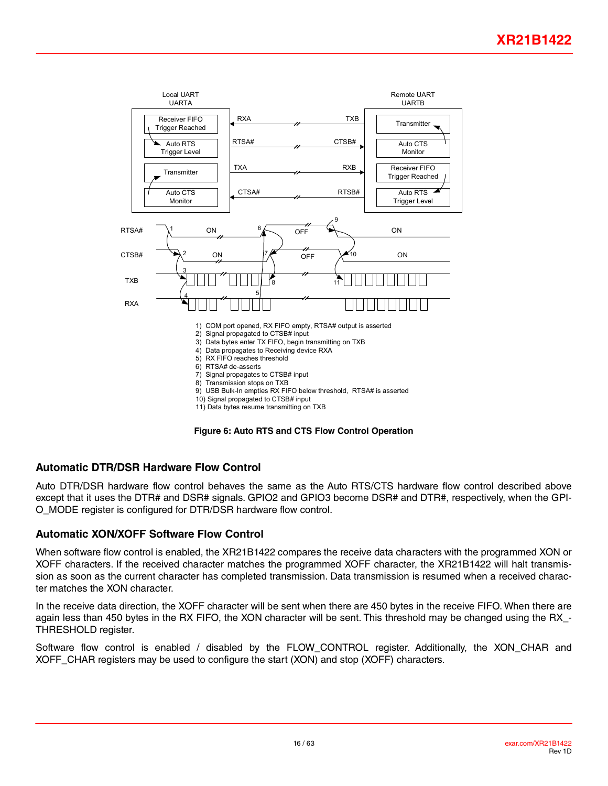<span id="page-15-0"></span>

**Figure 6: Auto RTS and CTS Flow Control Operation**

#### <span id="page-15-2"></span><span id="page-15-1"></span>**Automatic DTR/DSR Hardware Flow Control**

Auto DTR/DSR hardware flow control behaves the same as the Auto RTS/CTS hardware flow control described above except that it uses the DTR# and DSR# signals. GPIO2 and GPIO3 become DSR# and DTR#, respectively, when the GPI-O\_MODE register is configured for DTR/DSR hardware flow control.

#### **Automatic XON/XOFF Software Flow Control**

When software flow control is enabled, the XR21B1422 compares the receive data characters with the programmed XON or XOFF characters. If the received character matches the programmed XOFF character, the XR21B1422 will halt transmission as soon as the current character has completed transmission. Data transmission is resumed when a received character matches the XON character.

In the receive data direction, the XOFF character will be sent when there are 450 bytes in the receive FIFO. When there are again less than 450 bytes in the RX FIFO, the XON character will be sent. This threshold may be changed using the RX\_- THRESHOLD register.

Software flow control is enabled / disabled by the FLOW\_CONTROL register. Additionally, the XON\_CHAR and XOFF CHAR registers may be used to configure the start (XON) and stop (XOFF) characters.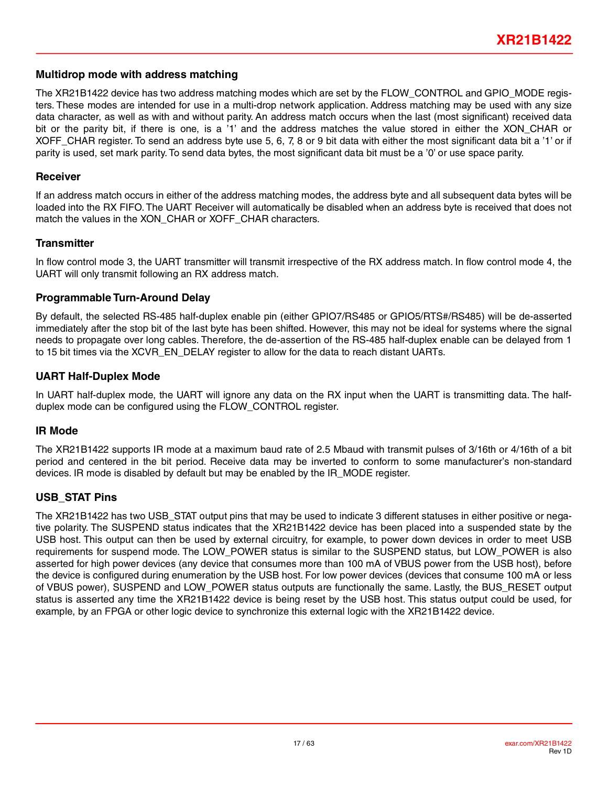#### <span id="page-16-1"></span><span id="page-16-0"></span>**Multidrop mode with address matching**

The XR21B1422 device has two address matching modes which are set by the FLOW CONTROL and GPIO\_MODE registers. These modes are intended for use in a multi-drop network application. Address matching may be used with any size data character, as well as with and without parity. An address match occurs when the last (most significant) received data bit or the parity bit, if there is one, is a '1' and the address matches the value stored in either the XON\_CHAR or XOFF CHAR register. To send an address byte use 5, 6, 7, 8 or 9 bit data with either the most significant data bit a '1' or if parity is used, set mark parity. To send data bytes, the most significant data bit must be a '0' or use space parity.

#### **Receiver**

If an address match occurs in either of the address matching modes, the address byte and all subsequent data bytes will be loaded into the RX FIFO. The UART Receiver will automatically be disabled when an address byte is received that does not match the values in the XON\_CHAR or XOFF\_CHAR characters.

#### **Transmitter**

In flow control mode 3, the UART transmitter will transmit irrespective of the RX address match. In flow control mode 4, the UART will only transmit following an RX address match.

#### **Programmable Turn-Around Delay**

By default, the selected RS-485 half-duplex enable pin (either GPIO7/RS485 or GPIO5/RTS#/RS485) will be de-asserted immediately after the stop bit of the last byte has been shifted. However, this may not be ideal for systems where the signal needs to propagate over long cables. Therefore, the de-assertion of the RS-485 half-duplex enable can be delayed from 1 to 15 bit times via the XCVR\_EN\_DELAY register to allow for the data to reach distant UARTs.

#### **UART Half-Duplex Mode**

In UART half-duplex mode, the UART will ignore any data on the RX input when the UART is transmitting data. The halfduplex mode can be configured using the FLOW\_CONTROL register.

#### **IR Mode**

The XR21B1422 supports IR mode at a maximum baud rate of 2.5 Mbaud with transmit pulses of 3/16th or 4/16th of a bit period and centered in the bit period. Receive data may be inverted to conform to some manufacturer's non-standard devices. IR mode is disabled by default but may be enabled by the IR\_MODE register.

#### **USB\_STAT Pins**

The XR21B1422 has two USB\_STAT output pins that may be used to indicate 3 different statuses in either positive or negative polarity. The SUSPEND status indicates that the XR21B1422 device has been placed into a suspended state by the USB host. This output can then be used by external circuitry, for example, to power down devices in order to meet USB requirements for suspend mode. The LOW\_POWER status is similar to the SUSPEND status, but LOW\_POWER is also asserted for high power devices (any device that consumes more than 100 mA of VBUS power from the USB host), before the device is configured during enumeration by the USB host. For low power devices (devices that consume 100 mA or less of VBUS power), SUSPEND and LOW\_POWER status outputs are functionally the same. Lastly, the BUS\_RESET output status is asserted any time the XR21B1422 device is being reset by the USB host. This status output could be used, for example, by an FPGA or other logic device to synchronize this external logic with the XR21B1422 device.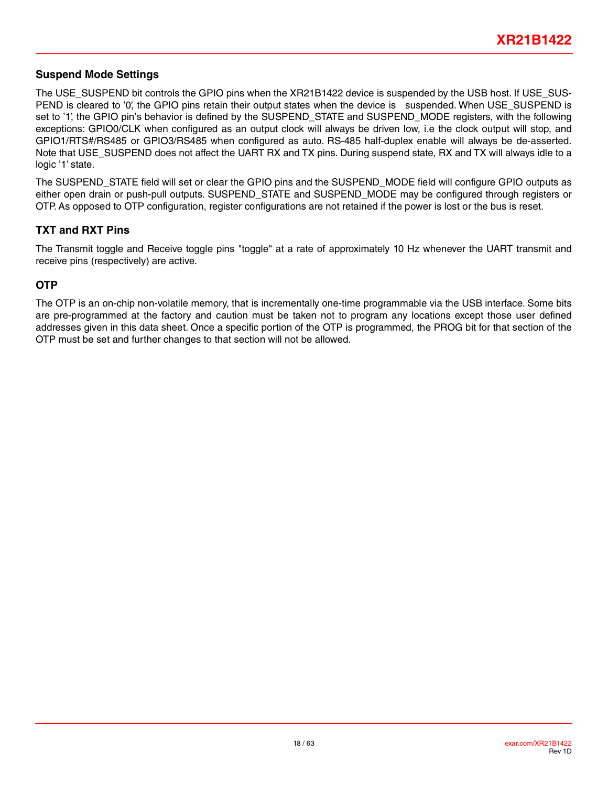#### **Suspend Mode Settings**

The USE\_SUSPEND bit controls the GPIO pins when the XR21B1422 device is suspended by the USB host. If USE\_SUS-PEND is cleared to '0', the GPIO pins retain their output states when the device is suspended. When USE\_SUSPEND is set to '1', the GPIO pin's behavior is defined by the SUSPEND\_STATE and SUSPEND\_MODE registers, with the following exceptions: GPIO0/CLK when configured as an output clock will always be driven low, i.e the clock output will stop, and GPIO1/RTS#/RS485 or GPIO3/RS485 when configured as auto. RS-485 half-duplex enable will always be de-asserted. Note that USE\_SUSPEND does not affect the UART RX and TX pins. During suspend state, RX and TX will always idle to a logic '1' state.

The SUSPEND\_STATE field will set or clear the GPIO pins and the SUSPEND\_MODE field will configure GPIO outputs as either open drain or push-pull outputs. SUSPEND\_STATE and SUSPEND\_MODE may be configured through registers or OTP. As opposed to OTP configuration, register configurations are not retained if the power is lost or the bus is reset.

#### <span id="page-17-0"></span>**TXT and RXT Pins**

The Transmit toggle and Receive toggle pins "toggle" at a rate of approximately 10 Hz whenever the UART transmit and receive pins (respectively) are active.

#### **OTP**

The OTP is an on-chip non-volatile memory, that is incrementally one-time programmable via the USB interface. Some bits are pre-programmed at the factory and caution must be taken not to program any locations except those user defined addresses given in this data sheet. Once a specific portion of the OTP is programmed, the PROG bit for that section of the OTP must be set and further changes to that section will not be allowed.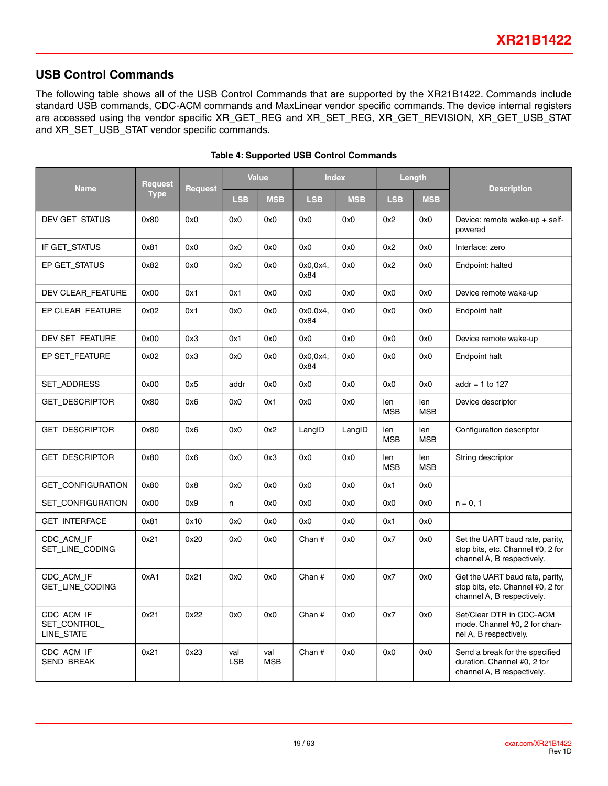### **USB Control Commands**

The following table shows all of the USB Control Commands that are supported by the XR21B1422. Commands include standard USB commands, CDC-ACM commands and MaxLinear vendor specific commands. The device internal registers are accessed using the vendor specific XR\_GET\_REG and XR\_SET\_REG, XR\_GET\_REVISION, XR\_GET\_USB\_STAT and XR\_SET\_USB\_STAT vendor specific commands.

|                                         | <b>Request</b> |                | <b>Value</b>      |                   | <b>Index</b>     |            | Length            |                   |                                                                                                    |  |
|-----------------------------------------|----------------|----------------|-------------------|-------------------|------------------|------------|-------------------|-------------------|----------------------------------------------------------------------------------------------------|--|
| <b>Name</b>                             | <b>Type</b>    | <b>Request</b> | <b>LSB</b>        | <b>MSB</b>        | <b>LSB</b>       | <b>MSB</b> | <b>LSB</b>        | <b>MSB</b>        | <b>Description</b>                                                                                 |  |
| DEV GET_STATUS                          | 0x80           | 0x0            | 0x0               | 0x0               | 0x0              | 0x0        | 0x2               | 0x0               | Device: remote wake-up $+$ self-<br>powered                                                        |  |
| IF GET_STATUS                           | 0x81           | 0x0            | 0x0               | 0x0               | 0x0              | 0x0        | 0x2               | 0x0               | Interface: zero                                                                                    |  |
| EP GET STATUS                           | 0x82           | 0x0            | 0x0               | 0x0               | 0x0,0x4,<br>0x84 | 0x0        | 0x2               | 0x0               | Endpoint: halted                                                                                   |  |
| DEV CLEAR_FEATURE                       | 0x00           | 0x1            | 0x1               | 0x0               | 0x0              | 0x0        | 0x0               | 0x0               | Device remote wake-up                                                                              |  |
| EP CLEAR_FEATURE                        | 0x02           | 0x1            | 0x0               | 0x0               | 0x0,0x4,<br>0x84 | 0x0        | 0x0               | 0x0               | Endpoint halt                                                                                      |  |
| DEV SET_FEATURE                         | 0x00           | 0x3            | 0x1               | 0x0               | 0x0              | 0x0        | 0x0               | 0x0               | Device remote wake-up                                                                              |  |
| EP SET FEATURE                          | 0x02           | 0x3            | 0x0               | 0x0               | 0x0.0x4.<br>0x84 | 0x0        | 0x0               | 0x0               | Endpoint halt                                                                                      |  |
| <b>SET ADDRESS</b>                      | 0x00           | 0x5            | addr              | 0x0               | 0x0              | 0x0        | 0x0               | 0x0               | addr = 1 to 127                                                                                    |  |
| <b>GET_DESCRIPTOR</b>                   | 0x80           | 0x6            | 0x0               | 0x1               | 0x0              | 0x0        | len<br><b>MSB</b> | len<br><b>MSB</b> | Device descriptor                                                                                  |  |
| <b>GET DESCRIPTOR</b>                   | 0x80           | 0x6            | 0x0               | 0x2               | LangID           | LangID     | len<br><b>MSB</b> | len<br><b>MSB</b> | Configuration descriptor                                                                           |  |
| <b>GET DESCRIPTOR</b>                   | 0x80           | 0x6            | 0x0               | 0x3               | 0x0              | 0x0        | len<br><b>MSB</b> | len<br><b>MSB</b> | String descriptor                                                                                  |  |
| GET_CONFIGURATION                       | 0x80           | 0x8            | 0x0               | 0x0               | 0x0              | 0x0        | 0x1               | 0x0               |                                                                                                    |  |
| <b>SET CONFIGURATION</b>                | 0x00           | 0x9            | n                 | 0x0               | 0x0              | 0x0        | 0x0               | 0x0               | $n = 0, 1$                                                                                         |  |
| <b>GET_INTERFACE</b>                    | 0x81           | 0x10           | 0x0               | 0x0               | 0x0              | 0x0        | 0x1               | 0x0               |                                                                                                    |  |
| CDC_ACM_IF<br>SET_LINE_CODING           | 0x21           | 0x20           | 0x0               | 0x0               | Chan #           | 0x0        | 0x7               | 0x0               | Set the UART baud rate, parity,<br>stop bits, etc. Channel #0, 2 for<br>channel A, B respectively. |  |
| CDC ACM IF<br>GET_LINE_CODING           | 0xA1           | 0x21           | 0x0               | 0x0               | Chan $#$         | 0x0        | 0x7               | 0x0               | Get the UART baud rate, parity,<br>stop bits, etc. Channel #0, 2 for<br>channel A, B respectively. |  |
| CDC_ACM_IF<br>SET_CONTROL<br>LINE_STATE | 0x21           | 0x22           | 0x0               | 0x0               | Chan #           | 0x0        | 0x7               | 0x0               | Set/Clear DTR in CDC-ACM<br>mode. Channel #0, 2 for chan-<br>nel A, B respectively.                |  |
| CDC_ACM_IF<br>SEND_BREAK                | 0x21           | 0x23           | val<br><b>LSB</b> | val<br><b>MSB</b> | Chan #           | 0x0        | 0x0               | 0x0               | Send a break for the specified<br>duration. Channel #0, 2 for<br>channel A, B respectively.        |  |

#### **Table 4: Supported USB Control Commands**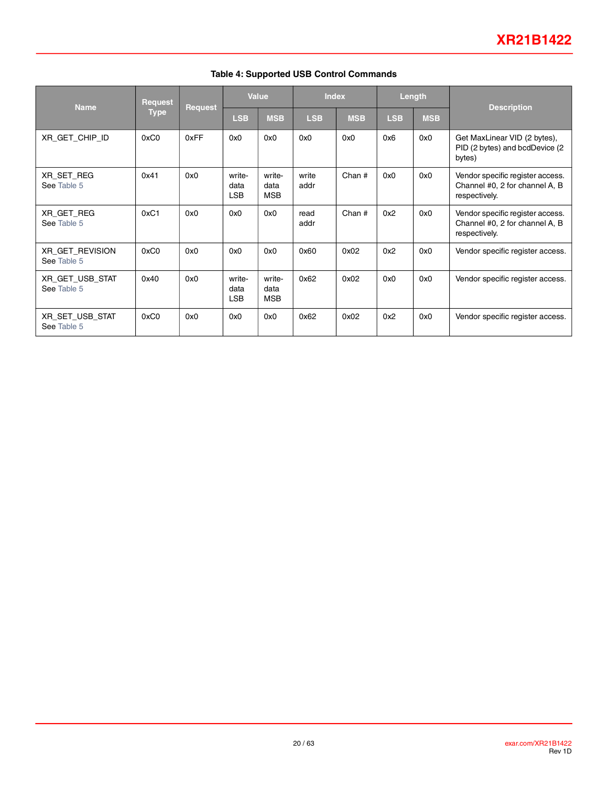| <b>Name</b>                    | <b>Request</b> |                | <b>Value</b>                 |                              | <b>Index</b>  |            | Length     |            |                                                                                     |  |
|--------------------------------|----------------|----------------|------------------------------|------------------------------|---------------|------------|------------|------------|-------------------------------------------------------------------------------------|--|
|                                | <b>Type</b>    | <b>Request</b> | <b>LSB</b>                   | <b>MSB</b>                   | <b>LSB</b>    | <b>MSB</b> | <b>LSB</b> | <b>MSB</b> | <b>Description</b>                                                                  |  |
| XR_GET_CHIP_ID                 | 0xC0           | 0xFF           | 0x0                          | 0x0                          | 0x0           | 0x0        | 0x6        | 0x0        | Get MaxLinear VID (2 bytes),<br>PID (2 bytes) and bcdDevice (2<br>bytes)            |  |
| XR_SET_REG<br>See Table 5      | 0x41           | 0x0            | write-<br>data<br><b>LSB</b> | write-<br>data<br><b>MSB</b> | write<br>addr | Chan #     | 0x0        | 0x0        | Vendor specific register access.<br>Channel #0, 2 for channel A, B<br>respectively. |  |
| XR_GET_REG<br>See Table 5      | 0xC1           | 0x0            | 0x0                          | 0x0                          | read<br>addr  | Chan $#$   | 0x2        | 0x0        | Vendor specific register access.<br>Channel #0, 2 for channel A, B<br>respectively. |  |
| XR_GET_REVISION<br>See Table 5 | 0xC0           | 0x0            | 0x0                          | 0x0                          | 0x60          | 0x02       | 0x2        | 0x0        | Vendor specific register access.                                                    |  |
| XR_GET_USB_STAT<br>See Table 5 | 0x40           | 0x0            | write-<br>data<br><b>LSB</b> | write-<br>data<br><b>MSB</b> | 0x62          | 0x02       | 0x0        | 0x0        | Vendor specific register access.                                                    |  |
| XR_SET_USB_STAT<br>See Table 5 | 0xC0           | 0x0            | 0x0                          | 0x0                          | 0x62          | 0x02       | 0x2        | 0x0        | Vendor specific register access.                                                    |  |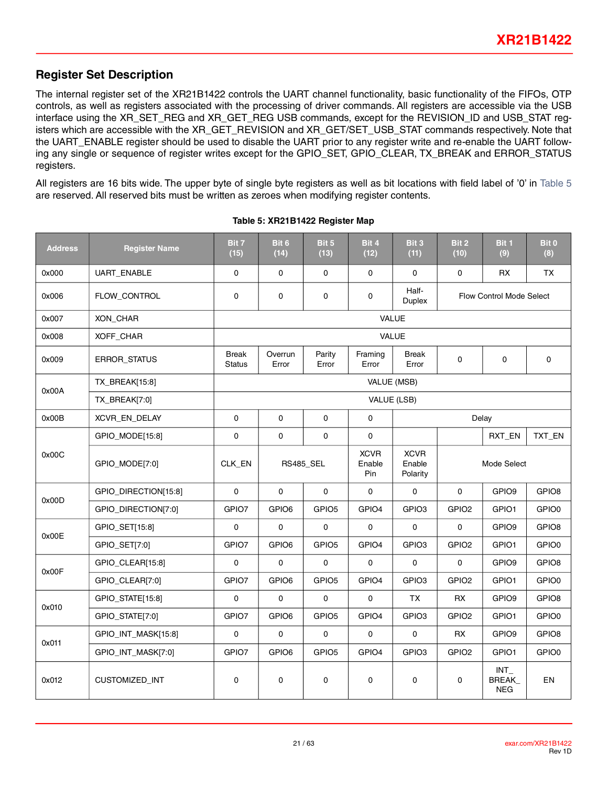### <span id="page-20-0"></span>**Register Set Description**

The internal register set of the XR21B1422 controls the UART channel functionality, basic functionality of the FIFOs, OTP controls, as well as registers associated with the processing of driver commands. All registers are accessible via the USB interface using the XR\_SET\_REG and XR\_GET\_REG USB commands, except for the REVISION\_ID and USB\_STAT registers which are accessible with the XR\_GET\_REVISION and XR\_GET/SET\_USB\_STAT commands respectively. Note that the UART\_ENABLE register should be used to disable the UART prior to any register write and re-enable the UART following any single or sequence of register writes except for the GPIO\_SET, GPIO\_CLEAR, TX\_BREAK and ERROR\_STATUS registers.

<span id="page-20-1"></span>All registers are 16 bits wide. The upper byte of single byte registers as well as bit locations with field label of '0' in [Table](#page-20-1) 5 are reserved. All reserved bits must be written as zeroes when modifying register contents.

| <b>Address</b> | <b>Register Name</b> | Bit 7<br>(15)                 | Bit 6<br>(14)       | Bit 5<br>(13)                | Bit 4<br>(12)                                    | Bit 3<br>(11)         | Bit 2<br>(10)            | Bit 1<br>(9)                   | Bit <sub>0</sub><br>(8) |  |  |  |
|----------------|----------------------|-------------------------------|---------------------|------------------------------|--------------------------------------------------|-----------------------|--------------------------|--------------------------------|-------------------------|--|--|--|
| 0x000          | UART_ENABLE          | 0                             | $\mathsf{O}\xspace$ | 0                            | 0                                                | $\mathbf 0$           | $\mathbf 0$              | RX                             | TX                      |  |  |  |
| 0x006          | FLOW CONTROL         | 0                             | 0                   | 0                            | 0                                                | Half-<br>Duplex       | Flow Control Mode Select |                                |                         |  |  |  |
| 0x007          | XON_CHAR             |                               |                     |                              | VALUE                                            |                       |                          |                                |                         |  |  |  |
| 0x008          | XOFF_CHAR            |                               |                     |                              |                                                  | <b>VALUE</b>          |                          |                                |                         |  |  |  |
| 0x009          | ERROR_STATUS         | <b>Break</b><br><b>Status</b> | Overrun<br>Error    | Parity<br>Error              | Framing<br>Error                                 | <b>Break</b><br>Error | $\mathbf 0$              | $\mathbf 0$                    | 0                       |  |  |  |
| 0x00A          | TX_BREAK[15:8]       |                               |                     |                              | VALUE (MSB)                                      |                       |                          |                                |                         |  |  |  |
|                | TX_BREAK[7:0]        | VALUE (LSB)                   |                     |                              |                                                  |                       |                          |                                |                         |  |  |  |
| 0x00B          | XCVR_EN_DELAY        | $\mathbf 0$                   | $\mathbf 0$         | $\mathbf 0$                  | 0                                                |                       |                          | Delay                          |                         |  |  |  |
|                | GPIO_MODE[15:8]      | $\mathbf 0$                   | 0                   | 0                            | 0                                                |                       |                          | RXT_EN                         | TXT_EN                  |  |  |  |
| 0x00C          | GPIO_MODE[7:0]       | CLK_EN<br><b>RS485_SEL</b>    |                     | <b>XCVR</b><br>Enable<br>Pin | <b>XCVR</b><br>Enable<br>Mode Select<br>Polarity |                       |                          |                                |                         |  |  |  |
| 0x00D          | GPIO_DIRECTION[15:8] | $\mathbf 0$                   | 0                   | $\mathbf 0$                  | 0                                                | $\mathbf 0$           | $\mathbf 0$              | GPIO <sub>9</sub>              | GPIO <sub>8</sub>       |  |  |  |
|                | GPIO_DIRECTION[7:0]  | GPIO7                         | GPIO6               | GPIO <sub>5</sub>            | GPIO4                                            | GPIO <sub>3</sub>     | GPIO <sub>2</sub>        | GPIO1                          | GPIO0                   |  |  |  |
| 0x00E          | GPIO_SET[15:8]       | 0                             | 0                   | $\mathbf 0$                  | $\mathbf 0$                                      | $\mathbf 0$           | 0                        | GPIO <sub>9</sub>              | GPIO8                   |  |  |  |
|                | GPIO_SET[7:0]        | GPIO7                         | GPIO6               | GPIO <sub>5</sub>            | GPIO4                                            | GPIO <sub>3</sub>     | GPIO <sub>2</sub>        | GPIO1                          | GPIO0                   |  |  |  |
| 0x00F          | GPIO_CLEAR[15:8]     | $\mathbf 0$                   | $\mathbf 0$         | $\mathbf 0$                  | $\mathbf 0$                                      | $\mathbf 0$           | $\mathbf 0$              | GPIO <sub>9</sub>              | GPIO8                   |  |  |  |
|                | GPIO_CLEAR[7:0]      | GPIO7                         | GPIO6               | GPIO <sub>5</sub>            | GPIO4                                            | GPIO <sub>3</sub>     | GPIO <sub>2</sub>        | GPIO1                          | GPIO0                   |  |  |  |
|                | GPIO_STATE[15:8]     | $\mathbf 0$                   | $\mathsf{O}\xspace$ | $\mathsf{O}\xspace$          | $\mathbf 0$                                      | <b>TX</b>             | RX                       | GPIO9                          | GPIO8                   |  |  |  |
| 0x010          | GPIO_STATE[7:0]      | GPIO7                         | GPIO6               | GPIO <sub>5</sub>            | GPIO4                                            | GPIO <sub>3</sub>     | GPIO <sub>2</sub>        | GPIO1                          | GPIO0                   |  |  |  |
|                | GPIO_INT_MASK[15:8]  | $\mathsf{O}\xspace$           | $\mathsf{O}\xspace$ | 0                            | $\mathbf 0$                                      | $\mathbf 0$           | <b>RX</b>                | GPIO <sub>9</sub>              | GPIO <sub>8</sub>       |  |  |  |
| 0x011          | GPIO_INT_MASK[7:0]   | GPIO7                         | GPIO6               | GPIO <sub>5</sub>            | GPIO4                                            | GPIO <sub>3</sub>     | GPIO <sub>2</sub>        | GPIO1                          | GPIO0                   |  |  |  |
| 0x012          | CUSTOMIZED_INT       | $\pmb{0}$                     | 0                   | 0                            | 0                                                | 0                     | 0                        | $INT_$<br>BREAK_<br><b>NEG</b> | EN                      |  |  |  |

#### **Table 5: XR21B1422 Register Map**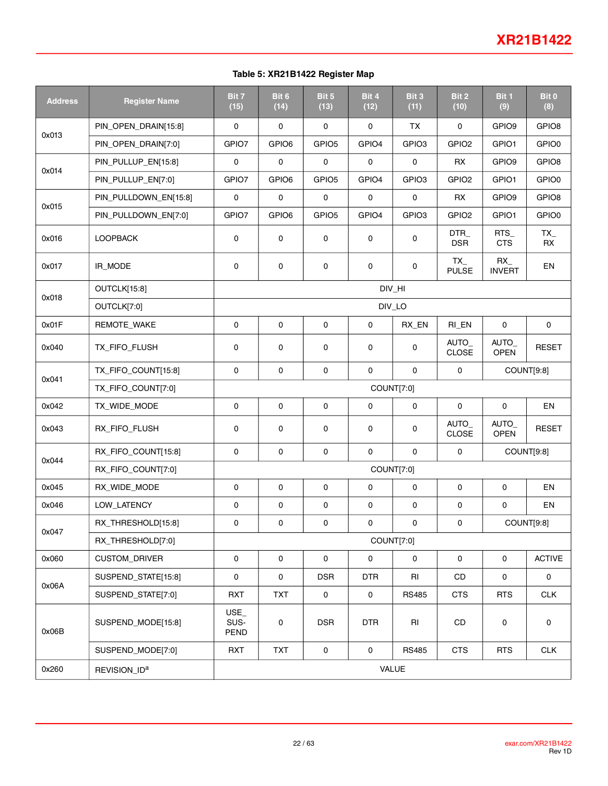#### **Table 5: XR21B1422 Register Map**

| <b>Address</b> | <b>Register Name</b>     | Bit 7<br>(15)                                      | Bit 6<br>(14)       | Bit 5<br>(13)     | Bit 4<br>(12)       | Bit 3<br>(11)     | Bit 2<br>(10)              | Bit 1<br>(9)         | Bit 0<br>(8)        |  |
|----------------|--------------------------|----------------------------------------------------|---------------------|-------------------|---------------------|-------------------|----------------------------|----------------------|---------------------|--|
|                | PIN_OPEN_DRAIN[15:8]     | 0                                                  | $\mathbf 0$         | $\mathbf 0$       | $\mathbf 0$         | <b>TX</b>         | 0                          | GPIO <sub>9</sub>    | GPIO8               |  |
| 0x013          | PIN_OPEN_DRAIN[7:0]      | GPIO7                                              | GPIO6               | GPIO <sub>5</sub> | GPIO4               | GPIO <sub>3</sub> | GPIO <sub>2</sub>          | GPIO1                | GPIO0               |  |
| 0x014          | PIN_PULLUP_EN[15:8]      | 0                                                  | $\mathbf 0$         | $\mathbf 0$       | $\mathbf 0$         | $\mathbf 0$       | <b>RX</b>                  | GPIO <sub>9</sub>    | GPIO8               |  |
|                | PIN_PULLUP_EN[7:0]       | GPIO7                                              | GPIO6               | GPIO <sub>5</sub> | GPIO4               | GPIO <sub>3</sub> | GPIO <sub>2</sub>          | GPIO1                | GPIO0               |  |
| 0x015          | PIN_PULLDOWN_EN[15:8]    | 0                                                  | $\mathbf 0$         | $\mathbf 0$       | $\mathbf 0$         | $\mathbf 0$       | <b>RX</b>                  | GPIO <sub>9</sub>    | GPIO8               |  |
|                | PIN_PULLDOWN_EN[7:0]     | GPIO7                                              | GPIO6               | GPIO <sub>5</sub> | GPIO4               | GPIO <sub>3</sub> | GPIO <sub>2</sub>          | GPIO1                | GPIO0               |  |
| 0x016          | LOOPBACK                 | 0                                                  | $\mathsf 0$         | 0                 | 0                   | 0                 | DTR<br><b>DSR</b>          | $RTS_$<br><b>CTS</b> | $TX_{-}$<br>RX      |  |
| 0x017          | IR_MODE                  | 0                                                  | $\mathsf 0$         | 0                 | 0                   | 0                 | TX<br><b>PULSE</b>         | RX<br><b>INVERT</b>  | EN                  |  |
| 0x018          | OUTCLK[15:8]             |                                                    |                     |                   |                     | DIV_HI            |                            |                      |                     |  |
|                | OUTCLK[7:0]              |                                                    |                     |                   |                     | DIV_LO            |                            |                      |                     |  |
| 0x01F          | REMOTE_WAKE              | 0                                                  | $\mathbf 0$         | $\mathbf 0$       | $\mathbf 0$         | RX_EN             | RI_EN                      | $\mathbf 0$          | $\mathbf 0$         |  |
| 0x040          | TX_FIFO_FLUSH            | 0                                                  | 0                   | 0                 | 0                   | 0                 | AUTO_<br>CLOSE             | AUTO_<br><b>OPEN</b> | <b>RESET</b>        |  |
|                | TX_FIFO_COUNT[15:8]      | 0                                                  | $\mathsf{O}\xspace$ | $\mathbf 0$       | $\mathsf{O}\xspace$ | $\mathbf 0$       | $\mathsf{o}$<br>COUNT[9:8] |                      |                     |  |
| 0x041          | TX_FIFO_COUNT[7:0]       | COUNT[7:0]                                         |                     |                   |                     |                   |                            |                      |                     |  |
| 0x042          | TX_WIDE_MODE             | 0                                                  | $\mathbf 0$         | $\mathbf 0$       | 0                   | 0                 | 0                          | $\mathsf 0$          | EN                  |  |
| 0x043          | RX_FIFO_FLUSH            | 0                                                  | $\mathsf 0$         | 0                 | 0                   | 0                 | AUTO_<br>CLOSE             | AUTO_<br><b>OPEN</b> | <b>RESET</b>        |  |
| 0x044          | RX_FIFO_COUNT[15:8]      | 0<br>0<br>0<br>0<br>COUNT[9:8]<br>0<br>$\mathsf 0$ |                     |                   |                     |                   |                            |                      |                     |  |
|                | RX_FIFO_COUNT[7:0]       | COUNT[7:0]                                         |                     |                   |                     |                   |                            |                      |                     |  |
| 0x045          | RX_WIDE_MODE             | 0                                                  | $\mathsf{O}\xspace$ | 0                 | $\mathbf 0$         | 0                 | 0                          | $\mathsf 0$          | EN                  |  |
| 0x046          | LOW_LATENCY              | 0                                                  | $\mathsf 0$         | 0                 | 0                   | 0                 | 0                          | $\mathbf 0$          | EN                  |  |
|                | RX_THRESHOLD[15:8]       | 0                                                  | 0                   | 0                 | 0                   | 0                 | 0                          |                      | COUNT[9:8]          |  |
| 0x047          | RX_THRESHOLD[7:0]        | COUNT[7:0]                                         |                     |                   |                     |                   |                            |                      |                     |  |
| 0x060          | <b>CUSTOM_DRIVER</b>     | $\mathsf 0$                                        | $\mathsf{O}\xspace$ | $\pmb{0}$         | $\mathsf{O}\xspace$ | $\pmb{0}$         | 0                          | $\mathsf 0$          | <b>ACTIVE</b>       |  |
|                | SUSPEND_STATE[15:8]      | 0                                                  | $\pmb{0}$           | <b>DSR</b>        | <b>DTR</b>          | RI                | CD                         | $\mathsf{O}\xspace$  | $\mathsf 0$         |  |
| 0x06A          | SUSPEND_STATE[7:0]       | <b>RXT</b>                                         | <b>TXT</b>          | $\pmb{0}$         | $\mathsf{O}\xspace$ | <b>RS485</b>      | <b>CTS</b>                 | <b>RTS</b>           | CLK                 |  |
| 0x06B          | SUSPEND_MODE[15:8]       | $USE_$<br>SUS-<br>PEND                             | $\mathsf 0$         | <b>DSR</b>        | <b>DTR</b>          | RI                | CD                         | $\pmb{0}$            | $\mathsf{O}\xspace$ |  |
|                | SUSPEND_MODE[7:0]        | <b>RXT</b>                                         | <b>TXT</b>          | $\mathsf 0$       | $\mathsf{O}$        | <b>RS485</b>      | <b>CTS</b>                 | <b>RTS</b>           | <b>CLK</b>          |  |
| 0x260          | REVISION_ID <sup>a</sup> |                                                    |                     |                   |                     | VALUE             |                            |                      |                     |  |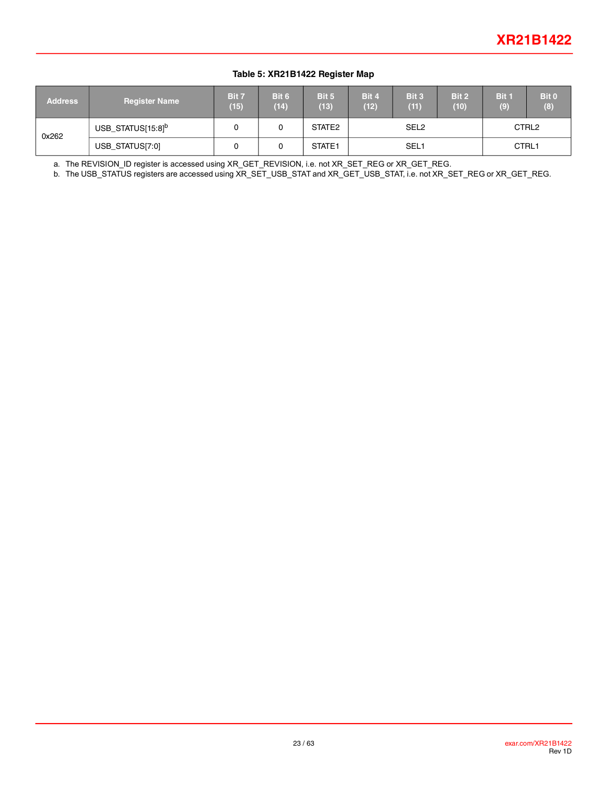#### **Table 5: XR21B1422 Register Map**

| <b>Address</b> | <b>Register Name</b>          | Bit 7<br>(15) | Bit 6<br>(14) | Bit 5<br>(13)      | Bit 4<br>(12)    | Bit 3<br>(11) | Bit 2<br>(10) | Bit 1<br>(9)      | <b>Bit 0</b><br>(8) |
|----------------|-------------------------------|---------------|---------------|--------------------|------------------|---------------|---------------|-------------------|---------------------|
| 0x262          | USB_STATUS[15:8] <sup>b</sup> |               |               | STATE <sub>2</sub> | SEL <sub>2</sub> |               |               | CTRL <sub>2</sub> |                     |
|                | USB_STATUS[7:0]               |               |               | STATE1             | SEL <sub>1</sub> |               |               | CTRL1             |                     |

a. The REVISION\_ID register is accessed using XR\_GET\_REVISION, i.e. not XR\_SET\_REG or XR\_GET\_REG.

b. The USB\_STATUS registers are accessed using XR\_SET\_USB\_STAT and XR\_GET\_USB\_STAT, i.e. not XR\_SET\_REG or XR\_GET\_REG.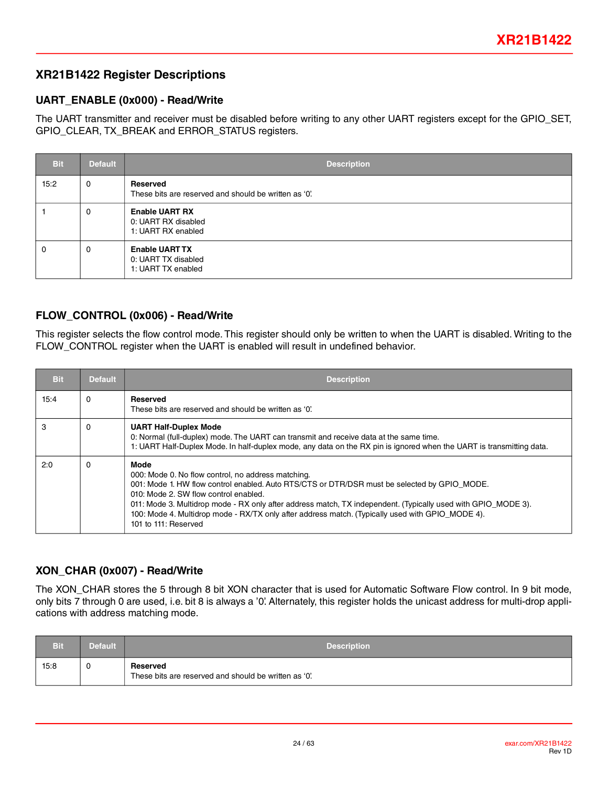### **XR21B1422 Register Descriptions**

#### **UART\_ENABLE (0x000) - Read/Write**

The UART transmitter and receiver must be disabled before writing to any other UART registers except for the GPIO\_SET, GPIO\_CLEAR, TX\_BREAK and ERROR\_STATUS registers.

| <b>Bit</b> | <b>Default</b> | <b>Description</b>                                                 |
|------------|----------------|--------------------------------------------------------------------|
| 15:2       | 0              | Reserved<br>These bits are reserved and should be written as '0'.  |
|            | 0              | <b>Enable UART RX</b><br>0: UART RX disabled<br>1: UART RX enabled |
| 0          | 0              | <b>Enable UART TX</b><br>0: UART TX disabled<br>1: UART TX enabled |

#### **FLOW\_CONTROL (0x006) - Read/Write**

This register selects the flow control mode. This register should only be written to when the UART is disabled. Writing to the FLOW CONTROL register when the UART is enabled will result in undefined behavior.

| <b>Bit</b> | <b>Default</b> | <b>Description</b>                                                                                                                                                                                                                                                                                                                                                                                                                                      |
|------------|----------------|---------------------------------------------------------------------------------------------------------------------------------------------------------------------------------------------------------------------------------------------------------------------------------------------------------------------------------------------------------------------------------------------------------------------------------------------------------|
| 15:4       | $\Omega$       | Reserved<br>These bits are reserved and should be written as '0'.                                                                                                                                                                                                                                                                                                                                                                                       |
| 3          | $\Omega$       | <b>UART Half-Duplex Mode</b><br>0: Normal (full-duplex) mode. The UART can transmit and receive data at the same time.<br>1: UART Half-Duplex Mode. In half-duplex mode, any data on the RX pin is ignored when the UART is transmitting data.                                                                                                                                                                                                          |
| 2:0        | $\Omega$       | <b>Mode</b><br>000: Mode 0. No flow control, no address matching.<br>001: Mode 1. HW flow control enabled. Auto RTS/CTS or DTR/DSR must be selected by GPIO MODE.<br>010: Mode 2. SW flow control enabled.<br>011: Mode 3. Multidrop mode - RX only after address match, TX independent. (Typically used with GPIO_MODE 3).<br>100: Mode 4. Multidrop mode - RX/TX only after address match. (Typically used with GPIO_MODE 4).<br>101 to 111: Reserved |

### **XON\_CHAR (0x007) - Read/Write**

The XON CHAR stores the 5 through 8 bit XON character that is used for Automatic Software Flow control. In 9 bit mode, only bits 7 through 0 are used, i.e. bit 8 is always a '0'. Alternately, this register holds the unicast address for multi-drop applications with address matching mode.

| <b>Bit</b> | Default | <b>Description</b>                                                |
|------------|---------|-------------------------------------------------------------------|
| 15:8       | U       | Reserved<br>These bits are reserved and should be written as '0'. |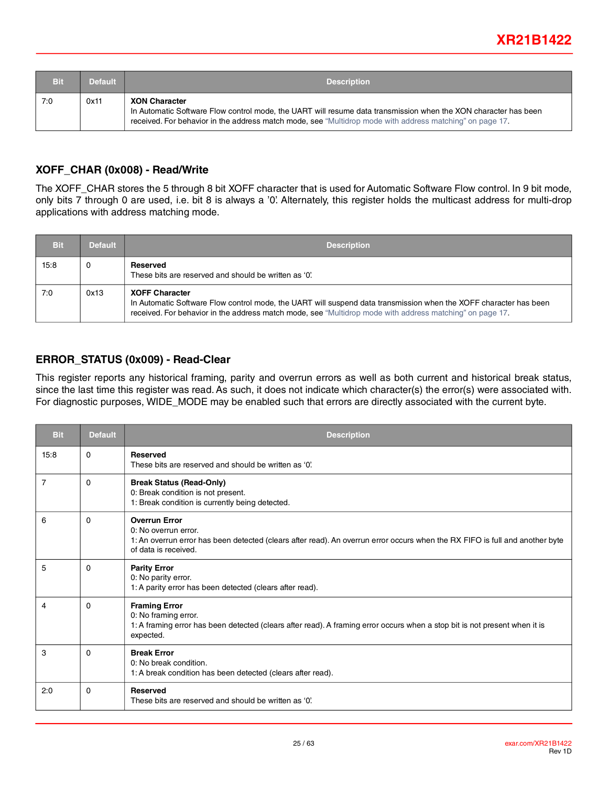| Bit | <b>Default</b> | <b>Description</b>                                                                                                                                                                                                                                 |
|-----|----------------|----------------------------------------------------------------------------------------------------------------------------------------------------------------------------------------------------------------------------------------------------|
| 7:0 | 0x11           | <b>XON Character</b><br>In Automatic Software Flow control mode, the UART will resume data transmission when the XON character has been<br>received. For behavior in the address match mode, see "Multidrop mode with address matching" on page 17 |

#### **XOFF\_CHAR (0x008) - Read/Write**

The XOFF CHAR stores the 5 through 8 bit XOFF character that is used for Automatic Software Flow control. In 9 bit mode, only bits 7 through 0 are used, i.e. bit 8 is always a '0'. Alternately, this register holds the multicast address for multi-drop applications with address matching mode.

| Bit  | <b>Default</b> | <b>Description</b>                                                                                                                                                                                                                                    |
|------|----------------|-------------------------------------------------------------------------------------------------------------------------------------------------------------------------------------------------------------------------------------------------------|
| 15:8 | 0              | Reserved<br>These bits are reserved and should be written as '0'.                                                                                                                                                                                     |
| 7:0  | 0x13           | <b>XOFF Character</b><br>In Automatic Software Flow control mode, the UART will suspend data transmission when the XOFF character has been<br>received. For behavior in the address match mode, see "Multidrop mode with address matching" on page 17 |

### **ERROR\_STATUS (0x009) - Read-Clear**

This register reports any historical framing, parity and overrun errors as well as both current and historical break status, since the last time this register was read. As such, it does not indicate which character(s) the error(s) were associated with. For diagnostic purposes, WIDE\_MODE may be enabled such that errors are directly associated with the current byte.

| <b>Bit</b>     | <b>Default</b> | <b>Description</b>                                                                                                                                                                                   |
|----------------|----------------|------------------------------------------------------------------------------------------------------------------------------------------------------------------------------------------------------|
| 15:8           | $\Omega$       | <b>Reserved</b><br>These bits are reserved and should be written as '0'.                                                                                                                             |
| $\overline{7}$ | $\Omega$       | <b>Break Status (Read-Only)</b><br>0: Break condition is not present.<br>1: Break condition is currently being detected.                                                                             |
| 6              | $\Omega$       | <b>Overrun Error</b><br>0: No overrun error.<br>1: An overrun error has been detected (clears after read). An overrun error occurs when the RX FIFO is full and another byte<br>of data is received. |
| 5              | $\Omega$       | <b>Parity Error</b><br>0: No parity error.<br>1: A parity error has been detected (clears after read).                                                                                               |
| 4              | $\Omega$       | <b>Framing Error</b><br>0: No framing error.<br>1: A framing error has been detected (clears after read). A framing error occurs when a stop bit is not present when it is<br>expected.              |
| 3              | $\Omega$       | <b>Break Error</b><br>0: No break condition.<br>1: A break condition has been detected (clears after read).                                                                                          |
| 2:0            | $\Omega$       | <b>Reserved</b><br>These bits are reserved and should be written as '0'.                                                                                                                             |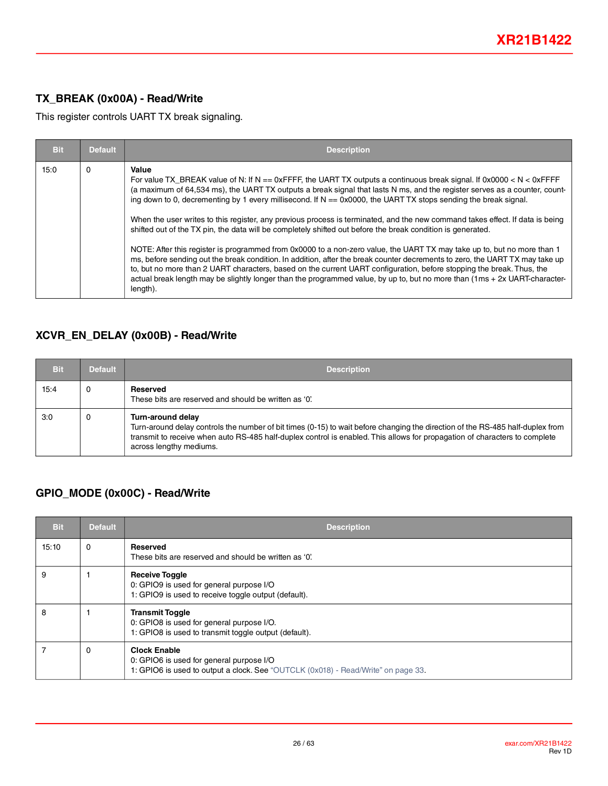### **TX\_BREAK (0x00A) - Read/Write**

This register controls UART TX break signaling.

| <b>Bit</b> | <b>Default</b> | <b>Description</b>                                                                                                                                                                                                                                                                                                                                                                                                                                                                                                                                                                                                                                                                                                                                                                                                                                                                                                                                                                                                                                                                                                                                               |
|------------|----------------|------------------------------------------------------------------------------------------------------------------------------------------------------------------------------------------------------------------------------------------------------------------------------------------------------------------------------------------------------------------------------------------------------------------------------------------------------------------------------------------------------------------------------------------------------------------------------------------------------------------------------------------------------------------------------------------------------------------------------------------------------------------------------------------------------------------------------------------------------------------------------------------------------------------------------------------------------------------------------------------------------------------------------------------------------------------------------------------------------------------------------------------------------------------|
| 15:0       | 0              | Value<br>For value TX BREAK value of N: If $N = 0x$ FFFF, the UART TX outputs a continuous break signal. If 0x0000 < N < 0xFFFF<br>(a maximum of 64,534 ms), the UART TX outputs a break signal that lasts N ms, and the register serves as a counter, count-<br>ing down to 0, decrementing by 1 every millisecond. If $N = 0x0000$ , the UART TX stops sending the break signal.<br>When the user writes to this register, any previous process is terminated, and the new command takes effect. If data is being<br>shifted out of the TX pin, the data will be completely shifted out before the break condition is generated.<br>NOTE: After this register is programmed from 0x0000 to a non-zero value, the UART TX may take up to, but no more than 1<br>ms, before sending out the break condition. In addition, after the break counter decrements to zero, the UART TX may take up<br>to, but no more than 2 UART characters, based on the current UART configuration, before stopping the break. Thus, the<br>actual break length may be slightly longer than the programmed value, by up to, but no more than (1ms + 2x UART-character-<br>length). |

### **XCVR\_EN\_DELAY (0x00B) - Read/Write**

| Bit  | <b>Default</b> | <b>Description</b>                                                                                                                                                                                                                                                                                           |  |  |  |  |
|------|----------------|--------------------------------------------------------------------------------------------------------------------------------------------------------------------------------------------------------------------------------------------------------------------------------------------------------------|--|--|--|--|
| 15:4 | 0              | Reserved<br>These bits are reserved and should be written as '0'.                                                                                                                                                                                                                                            |  |  |  |  |
| 3:0  | 0              | Turn-around delay<br>Turn-around delay controls the number of bit times (0-15) to wait before changing the direction of the RS-485 half-duplex from<br>transmit to receive when auto RS-485 half-duplex control is enabled. This allows for propagation of characters to complete<br>across lengthy mediums. |  |  |  |  |

### **GPIO\_MODE (0x00C) - Read/Write**

| <b>Bit</b> | <b>Default</b> | <b>Description</b>                                                                                                                                   |  |  |  |
|------------|----------------|------------------------------------------------------------------------------------------------------------------------------------------------------|--|--|--|
| 15:10      | 0              | Reserved<br>These bits are reserved and should be written as '0'.                                                                                    |  |  |  |
| 9          |                | <b>Receive Toggle</b><br>0: GPIO9 is used for general purpose I/O<br>1: GPIO9 is used to receive toggle output (default).                            |  |  |  |
| 8          |                | <b>Transmit Toggle</b><br>0: GPIO8 is used for general purpose I/O.<br>1: GPIO8 is used to transmit toggle output (default).                         |  |  |  |
|            | 0              | <b>Clock Enable</b><br>0: GPIO6 is used for general purpose I/O<br>1: GPIO6 is used to output a clock. See "OUTCLK (0x018) - Read/Write" on page 33. |  |  |  |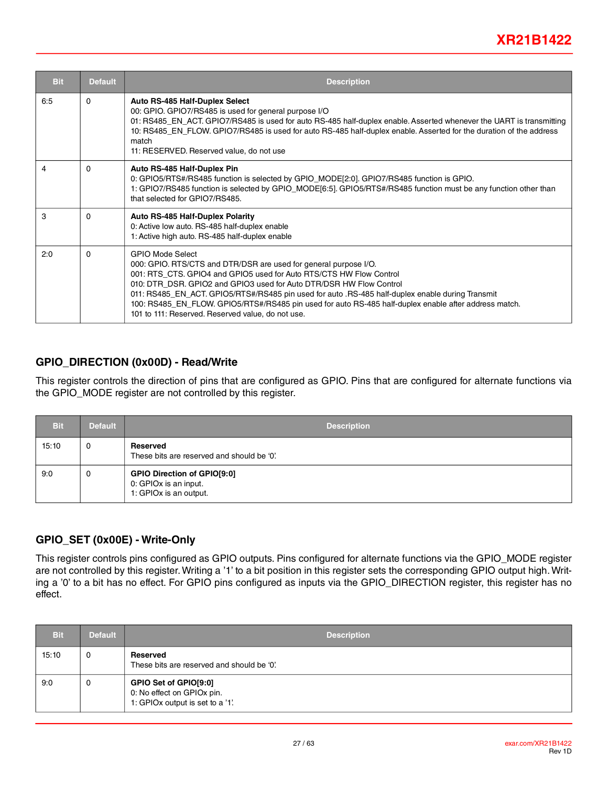| <b>Bit</b> | <b>Default</b> | <b>Description</b>                                                                                                                                                                                                                                                                                                                                                                                                                                                                                          |  |  |  |  |
|------------|----------------|-------------------------------------------------------------------------------------------------------------------------------------------------------------------------------------------------------------------------------------------------------------------------------------------------------------------------------------------------------------------------------------------------------------------------------------------------------------------------------------------------------------|--|--|--|--|
| 6:5        | $\Omega$       | Auto RS-485 Half-Duplex Select<br>00: GPIO. GPIO7/RS485 is used for general purpose I/O<br>01: RS485_EN_ACT. GPIO7/RS485 is used for auto RS-485 half-duplex enable. Asserted whenever the UART is transmitting<br>10: RS485_EN_FLOW. GPIO7/RS485 is used for auto RS-485 half-duplex enable. Asserted for the duration of the address<br>match<br>11: RESERVED. Reserved value, do not use                                                                                                                 |  |  |  |  |
| 4          | $\Omega$       | Auto RS-485 Half-Duplex Pin<br>0: GPIO5/RTS#/RS485 function is selected by GPIO_MODE[2:0]. GPIO7/RS485 function is GPIO.<br>1: GPIO7/RS485 function is selected by GPIO_MODE[6:5]. GPIO5/RTS#/RS485 function must be any function other than<br>that selected for GPIO7/RS485.                                                                                                                                                                                                                              |  |  |  |  |
| 3          | $\Omega$       | <b>Auto RS-485 Half-Duplex Polarity</b><br>0: Active low auto. RS-485 half-duplex enable<br>1: Active high auto. RS-485 half-duplex enable                                                                                                                                                                                                                                                                                                                                                                  |  |  |  |  |
| 2:0        | $\Omega$       | <b>GPIO Mode Select</b><br>000: GPIO. RTS/CTS and DTR/DSR are used for general purpose I/O.<br>001: RTS CTS. GPIO4 and GPIO5 used for Auto RTS/CTS HW Flow Control<br>010: DTR DSR. GPIO2 and GPIO3 used for Auto DTR/DSR HW Flow Control<br>011: RS485_EN_ACT. GPIO5/RTS#/RS485 pin used for auto .RS-485 half-duplex enable during Transmit<br>100: RS485_EN_FLOW. GPIO5/RTS#/RS485 pin used for auto RS-485 half-duplex enable after address match.<br>101 to 111: Reserved. Reserved value, do not use. |  |  |  |  |

#### **GPIO\_DIRECTION (0x00D) - Read/Write**

This register controls the direction of pins that are configured as GPIO. Pins that are configured for alternate functions via the GPIO\_MODE register are not controlled by this register.

| Bit   | <b>Default</b> | <b>Description</b>                                                                    |  |  |  |
|-------|----------------|---------------------------------------------------------------------------------------|--|--|--|
| 15:10 | 0              | Reserved<br>These bits are reserved and should be '0'.                                |  |  |  |
| 9:0   | 0              | <b>GPIO Direction of GPIO[9:0]</b><br>0: GPIOx is an input.<br>1: GPIOx is an output. |  |  |  |

#### **GPIO\_SET (0x00E) - Write-Only**

This register controls pins configured as GPIO outputs. Pins configured for alternate functions via the GPIO\_MODE register are not controlled by this register. Writing a '1' to a bit position in this register sets the corresponding GPIO output high. Writing a '0' to a bit has no effect. For GPIO pins configured as inputs via the GPIO\_DIRECTION register, this register has no effect.

| <b>Bit</b> | <b>Default</b> | <b>Description</b>                                                                      |  |  |
|------------|----------------|-----------------------------------------------------------------------------------------|--|--|
| 15:10      | 0              | Reserved<br>These bits are reserved and should be '0'.                                  |  |  |
| 9:0        | 0              | GPIO Set of GPIO[9:0]<br>0: No effect on GPIOx pin.<br>1: GPIOx output is set to a '1'. |  |  |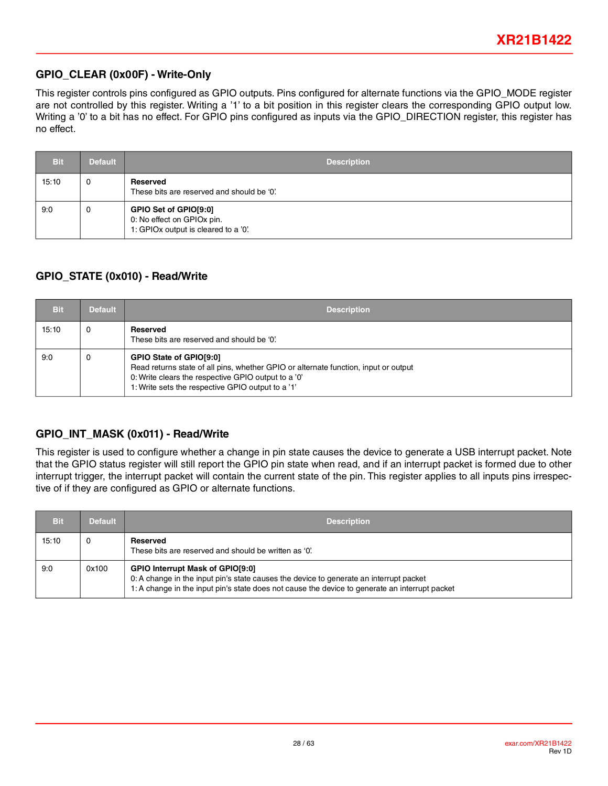### **GPIO\_CLEAR (0x00F) - Write-Only**

This register controls pins configured as GPIO outputs. Pins configured for alternate functions via the GPIO\_MODE register are not controlled by this register. Writing a '1' to a bit position in this register clears the corresponding GPIO output low. Writing a '0' to a bit has no effect. For GPIO pins configured as inputs via the GPIO\_DIRECTION register, this register has no effect.

| <b>Bit</b> | <b>Default</b> | <b>Description</b>                                                                          |  |  |  |
|------------|----------------|---------------------------------------------------------------------------------------------|--|--|--|
| 15:10      | 0              | Reserved<br>These bits are reserved and should be '0'.                                      |  |  |  |
| 9:0        | 0              | GPIO Set of GPIO[9:0]<br>0: No effect on GPIOx pin.<br>1: GPIOx output is cleared to a '0'. |  |  |  |

### **GPIO\_STATE (0x010) - Read/Write**

| Bit   | <b>Default</b> | <b>Description</b>                                                                                                                                                                                                         |  |  |  |
|-------|----------------|----------------------------------------------------------------------------------------------------------------------------------------------------------------------------------------------------------------------------|--|--|--|
| 15:10 | 0              | Reserved<br>These bits are reserved and should be '0'.                                                                                                                                                                     |  |  |  |
| 9:0   | 0              | GPIO State of GPIO[9:0]<br>Read returns state of all pins, whether GPIO or alternate function, input or output<br>0: Write clears the respective GPIO output to a '0'<br>1: Write sets the respective GPIO output to a '1' |  |  |  |

### **GPIO\_INT\_MASK (0x011) - Read/Write**

This register is used to configure whether a change in pin state causes the device to generate a USB interrupt packet. Note that the GPIO status register will still report the GPIO pin state when read, and if an interrupt packet is formed due to other interrupt trigger, the interrupt packet will contain the current state of the pin. This register applies to all inputs pins irrespective of if they are configured as GPIO or alternate functions.

| Bit   | <b>Default</b> | <b>Description</b>                                                                                                                                                                                                                  |  |  |  |
|-------|----------------|-------------------------------------------------------------------------------------------------------------------------------------------------------------------------------------------------------------------------------------|--|--|--|
| 15:10 |                | Reserved<br>These bits are reserved and should be written as '0'.                                                                                                                                                                   |  |  |  |
| 9:0   | 0x100          | <b>GPIO Interrupt Mask of GPIO[9:0]</b><br>0: A change in the input pin's state causes the device to generate an interrupt packet<br>1: A change in the input pin's state does not cause the device to generate an interrupt packet |  |  |  |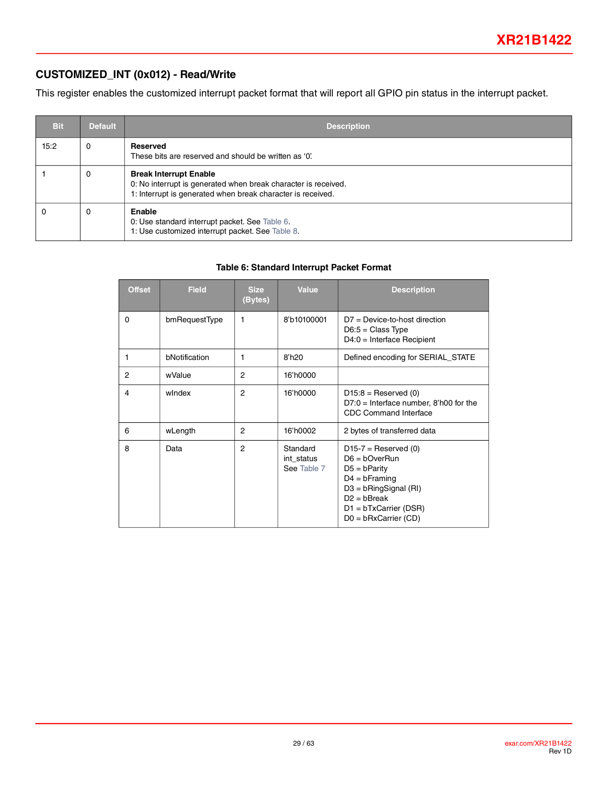### **CUSTOMIZED\_INT (0x012) - Read/Write**

This register enables the customized interrupt packet format that will report all GPIO pin status in the interrupt packet.

| <b>Bit</b> | <b>Default</b> | <b>Description</b>                                                                                                                                             |  |  |  |
|------------|----------------|----------------------------------------------------------------------------------------------------------------------------------------------------------------|--|--|--|
| 15:2       | 0              | Reserved<br>These bits are reserved and should be written as '0'.                                                                                              |  |  |  |
|            | 0              | <b>Break Interrupt Enable</b><br>0: No interrupt is generated when break character is received.<br>1: Interrupt is generated when break character is received. |  |  |  |
|            | 0              | Enable<br>0: Use standard interrupt packet. See Table 6.<br>1: Use customized interrupt packet. See Table 8.                                                   |  |  |  |

#### **Table 6: Standard Interrupt Packet Format**

<span id="page-28-0"></span>

| <b>Offset</b> | <b>Field</b>  | <b>Size</b><br>(Bytes) | <b>Value</b>                          | <b>Description</b>                                                                                                                                                                |
|---------------|---------------|------------------------|---------------------------------------|-----------------------------------------------------------------------------------------------------------------------------------------------------------------------------------|
| 0             | bmRequestType | 1                      | 8'b10100001                           | $D7 = Device-to-host direction$<br>$D6:5 = Class Type$<br>$D4:0 =$ Interface Recipient                                                                                            |
|               | bNotification | 1                      | 8'h20                                 | Defined encoding for SERIAL_STATE                                                                                                                                                 |
| 2             | wValue        | 2                      | 16'h0000                              |                                                                                                                                                                                   |
| 4             | windex        | $\overline{2}$         | 16'h0000                              | $D15:8 =$ Reserved (0)<br>$D7:0 =$ Interface number, 8'h00 for the<br><b>CDC Command Interface</b>                                                                                |
| 6             | wLength       | 2                      | 16'h0002                              | 2 bytes of transferred data                                                                                                                                                       |
| 8             | Data          | $\overline{2}$         | Standard<br>int_status<br>See Table 7 | $D15-7 =$ Reserved (0)<br>$D6 = bOverRun$<br>$D5 = b$ Parity<br>$D4 = b$ Framing<br>$D3 = bRingSignal (RI)$<br>$D2 = bBreak$<br>$D1 = bTxCarrier (DSR)$<br>$D0 = bRxCarrier (CD)$ |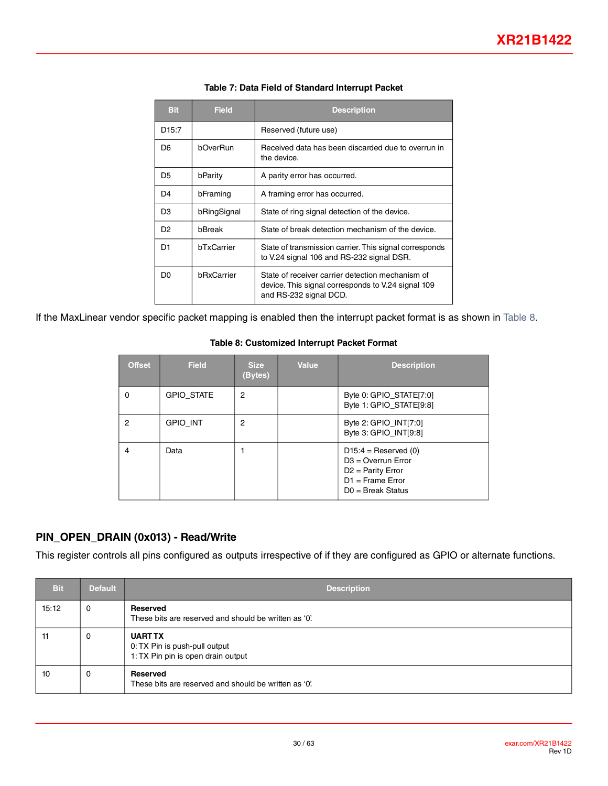<span id="page-29-2"></span><span id="page-29-0"></span>

| <b>Bit</b>        | <b>Field</b>      | <b>Description</b>                                                                                                               |  |  |
|-------------------|-------------------|----------------------------------------------------------------------------------------------------------------------------------|--|--|
| D <sub>15:7</sub> |                   | Reserved (future use)                                                                                                            |  |  |
| D <sub>6</sub>    | bOverRun          | Received data has been discarded due to overrun in<br>the device.                                                                |  |  |
| D <sub>5</sub>    | bParity           | A parity error has occurred.                                                                                                     |  |  |
| D4                | bFraming          | A framing error has occurred.                                                                                                    |  |  |
| D <sub>3</sub>    | bRingSignal       | State of ring signal detection of the device.                                                                                    |  |  |
| D <sub>2</sub>    | bBreak            | State of break detection mechanism of the device.                                                                                |  |  |
| D1                | <b>hTxCarrier</b> | State of transmission carrier. This signal corresponds<br>to V.24 signal 106 and RS-232 signal DSR.                              |  |  |
| D0                | bRxCarrier        | State of receiver carrier detection mechanism of<br>device. This signal corresponds to V.24 signal 109<br>and RS-232 signal DCD. |  |  |

#### **Table 7: Data Field of Standard Interrupt Packet**

<span id="page-29-1"></span>If the MaxLinear vendor specific packet mapping is enabled then the interrupt packet format is as shown in [Table](#page-29-1) 8.

#### **Table 8: Customized Interrupt Packet Format**

| <b>Offset</b> | <b>Field</b>      | <b>Size</b><br>(Bytes) | Value | <b>Description</b>                                                                                                 |
|---------------|-------------------|------------------------|-------|--------------------------------------------------------------------------------------------------------------------|
| 0             | <b>GPIO STATE</b> | $\overline{2}$         |       | Byte 0: GPIO_STATE[7:0]<br>Byte 1: GPIO_STATE[9:8]                                                                 |
| 2             | <b>GPIO INT</b>   | $\overline{2}$         |       | Byte 2: GPIO_INT[7:0]<br>Byte 3: GPIO_INT[9:8]                                                                     |
| 4             | Data              |                        |       | $D15:4 =$ Reserved (0)<br>$D3 =$ Overrun Error<br>$D2$ = Parity Error<br>$D1$ = Frame Error<br>$DO = Break Status$ |

### **PIN\_OPEN\_DRAIN (0x013) - Read/Write**

This register controls all pins configured as outputs irrespective of if they are configured as GPIO or alternate functions.

| <b>Bit</b> | <b>Default</b> | <b>Description</b>                                                                    |
|------------|----------------|---------------------------------------------------------------------------------------|
| 15:12      | 0              | Reserved<br>These bits are reserved and should be written as '0'.                     |
| 11         | 0              | <b>UART TX</b><br>0: TX Pin is push-pull output<br>1: TX Pin pin is open drain output |
| 10         | 0              | Reserved<br>These bits are reserved and should be written as '0'.                     |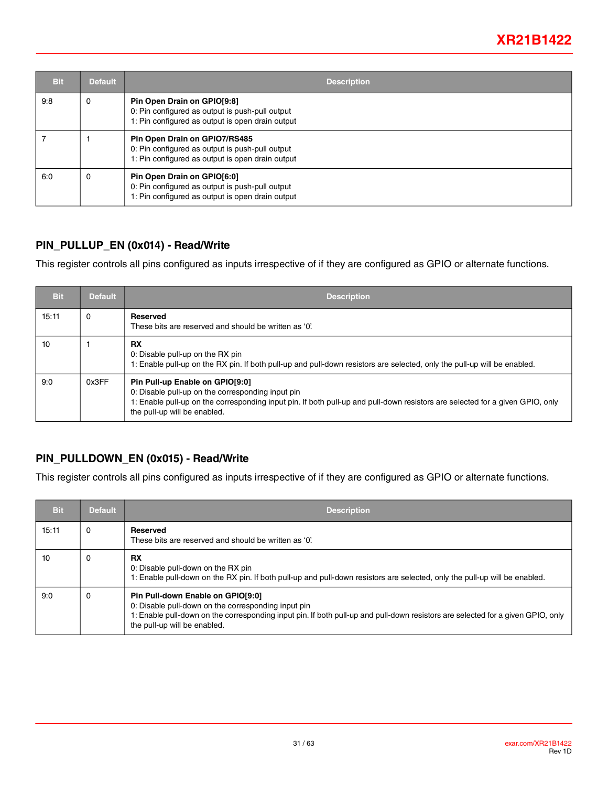| <b>Bit</b> | <b>Default</b> | <b>Description</b>                                                                                                                   |
|------------|----------------|--------------------------------------------------------------------------------------------------------------------------------------|
| 9:8        | 0              | Pin Open Drain on GPIO[9:8]<br>0: Pin configured as output is push-pull output<br>1: Pin configured as output is open drain output   |
|            |                | Pin Open Drain on GPIO7/RS485<br>0: Pin configured as output is push-pull output<br>1: Pin configured as output is open drain output |
| 6:0        | 0              | Pin Open Drain on GPIO[6:0]<br>0: Pin configured as output is push-pull output<br>1: Pin configured as output is open drain output   |

#### **PIN\_PULLUP\_EN (0x014) - Read/Write**

This register controls all pins configured as inputs irrespective of if they are configured as GPIO or alternate functions.

| <b>Bit</b> | <b>Default</b> | <b>Description</b>                                                                                                                                                                                                                                    |
|------------|----------------|-------------------------------------------------------------------------------------------------------------------------------------------------------------------------------------------------------------------------------------------------------|
| 15:11      | 0              | Reserved<br>These bits are reserved and should be written as '0'.                                                                                                                                                                                     |
| 10         |                | <b>RX</b><br>0: Disable pull-up on the RX pin<br>1: Enable pull-up on the RX pin. If both pull-up and pull-down resistors are selected, only the pull-up will be enabled.                                                                             |
| 9:0        | 0x3FF          | Pin Pull-up Enable on GPIO[9:0]<br>0: Disable pull-up on the corresponding input pin<br>1: Enable pull-up on the corresponding input pin. If both pull-up and pull-down resistors are selected for a given GPIO, only<br>the pull-up will be enabled. |

### **PIN\_PULLDOWN\_EN (0x015) - Read/Write**

This register controls all pins configured as inputs irrespective of if they are configured as GPIO or alternate functions.

| <b>Bit</b> | <b>Default</b> | <b>Description</b>                                                                                                                                                                                                                                          |
|------------|----------------|-------------------------------------------------------------------------------------------------------------------------------------------------------------------------------------------------------------------------------------------------------------|
| 15:11      | 0              | <b>Reserved</b><br>These bits are reserved and should be written as '0'.                                                                                                                                                                                    |
| 10         | 0              | <b>RX</b><br>0: Disable pull-down on the RX pin<br>1: Enable pull-down on the RX pin. If both pull-up and pull-down resistors are selected, only the pull-up will be enabled.                                                                               |
| 9:0        | 0              | Pin Pull-down Enable on GPIO[9:0]<br>0: Disable pull-down on the corresponding input pin<br>1: Enable pull-down on the corresponding input pin. If both pull-up and pull-down resistors are selected for a given GPIO, only<br>the pull-up will be enabled. |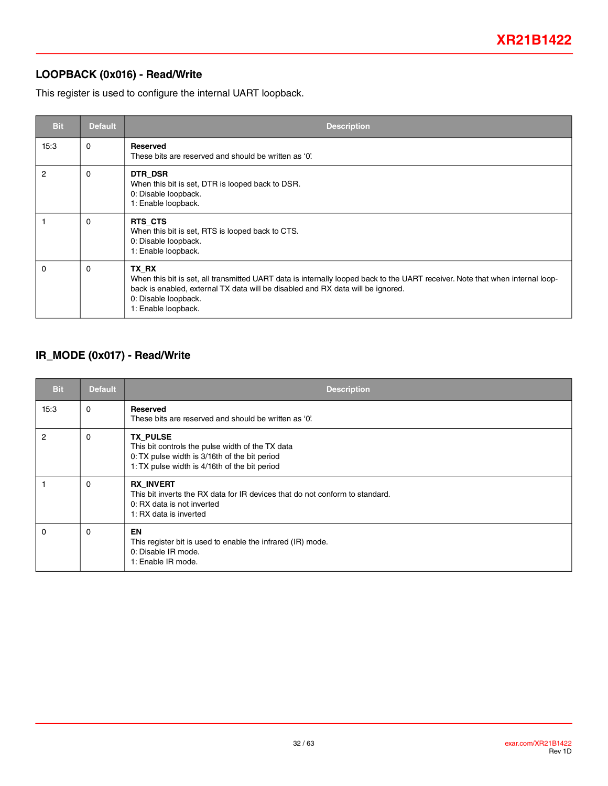### **LOOPBACK (0x016) - Read/Write**

This register is used to configure the internal UART loopback.

| <b>Bit</b>     | <b>Default</b> | <b>Description</b>                                                                                                                                                                                                                                                       |
|----------------|----------------|--------------------------------------------------------------------------------------------------------------------------------------------------------------------------------------------------------------------------------------------------------------------------|
| 15:3           | $\Omega$       | <b>Reserved</b><br>These bits are reserved and should be written as '0'.                                                                                                                                                                                                 |
| $\overline{2}$ | $\Omega$       | DTR DSR<br>When this bit is set, DTR is looped back to DSR.<br>0: Disable loopback.<br>1: Enable loopback.                                                                                                                                                               |
|                | 0              | RTS CTS<br>When this bit is set, RTS is looped back to CTS.<br>0: Disable loopback.<br>1: Enable loopback.                                                                                                                                                               |
| 0              | $\Omega$       | TX RX<br>When this bit is set, all transmitted UART data is internally looped back to the UART receiver. Note that when internal loop-<br>back is enabled, external TX data will be disabled and RX data will be ignored.<br>0: Disable loopback.<br>1: Enable loopback. |

### **IR\_MODE (0x017) - Read/Write**

| <b>Bit</b>     | <b>Default</b> | <b>Description</b>                                                                                                                                                    |
|----------------|----------------|-----------------------------------------------------------------------------------------------------------------------------------------------------------------------|
| 15:3           | 0              | <b>Reserved</b><br>These bits are reserved and should be written as '0'.                                                                                              |
| $\overline{2}$ | 0              | <b>TX PULSE</b><br>This bit controls the pulse width of the TX data<br>0: TX pulse width is 3/16th of the bit period<br>1: TX pulse width is 4/16th of the bit period |
|                | 0              | <b>RX INVERT</b><br>This bit inverts the RX data for IR devices that do not conform to standard.<br>0: RX data is not inverted<br>1: RX data is inverted              |
| 0              | 0              | EN<br>This register bit is used to enable the infrared (IR) mode.<br>0: Disable IR mode.<br>1: Enable IR mode.                                                        |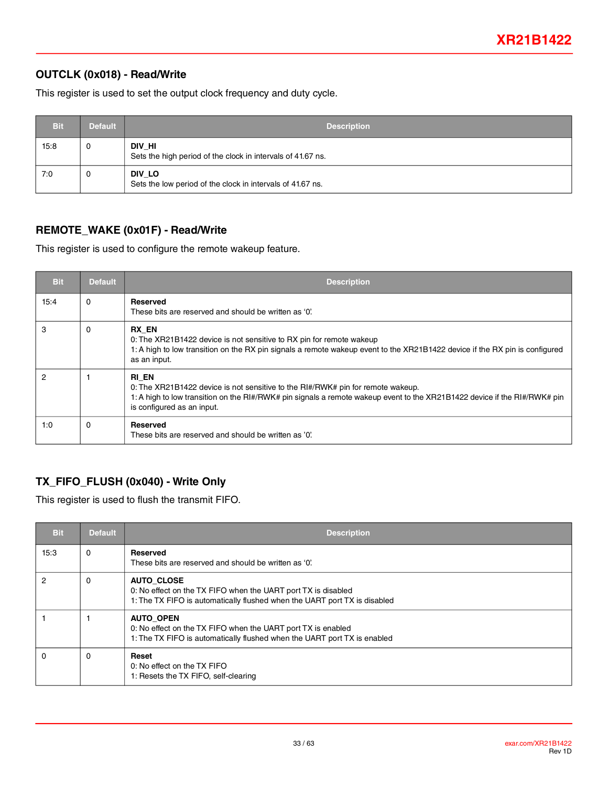### <span id="page-32-0"></span>**OUTCLK (0x018) - Read/Write**

This register is used to set the output clock frequency and duty cycle.

| <b>Bit</b> | <b>Default</b> | <b>Description</b>                                                    |
|------------|----------------|-----------------------------------------------------------------------|
| 15:8       | 0              | DIV_HI<br>Sets the high period of the clock in intervals of 41.67 ns. |
| 7:0        | 0              | DIV LO<br>Sets the low period of the clock in intervals of 41.67 ns.  |

### **REMOTE\_WAKE (0x01F) - Read/Write**

This register is used to configure the remote wakeup feature.

| <b>Bit</b> | <b>Default</b> | <b>Description</b>                                                                                                                                                                                                                                  |
|------------|----------------|-----------------------------------------------------------------------------------------------------------------------------------------------------------------------------------------------------------------------------------------------------|
| 15:4       | 0              | <b>Reserved</b><br>These bits are reserved and should be written as '0'.                                                                                                                                                                            |
| 3          | $\Omega$       | RX EN<br>0: The XR21B1422 device is not sensitive to RX pin for remote wakeup<br>1: A high to low transition on the RX pin signals a remote wakeup event to the XR21B1422 device if the RX pin is configured<br>as an input.                        |
| 2          |                | RI EN<br>0: The XR21B1422 device is not sensitive to the RI#/RWK# pin for remote wakeup.<br>1: A high to low transition on the RI#/RWK# pin signals a remote wakeup event to the XR21B1422 device if the RI#/RWK# pin<br>is configured as an input. |
| 1:0        | $\Omega$       | Reserved<br>These bits are reserved and should be written as '0'.                                                                                                                                                                                   |

### **TX\_FIFO\_FLUSH (0x040) - Write Only**

This register is used to flush the transmit FIFO.

| <b>Bit</b> | <b>Default</b> | <b>Description</b>                                                                                                                                              |
|------------|----------------|-----------------------------------------------------------------------------------------------------------------------------------------------------------------|
| 15:3       | $\Omega$       | Reserved<br>These bits are reserved and should be written as '0'.                                                                                               |
| 2          | 0              | <b>AUTO CLOSE</b><br>0: No effect on the TX FIFO when the UART port TX is disabled<br>1: The TX FIFO is automatically flushed when the UART port TX is disabled |
|            |                | <b>AUTO OPEN</b><br>0: No effect on the TX FIFO when the UART port TX is enabled<br>1: The TX FIFO is automatically flushed when the UART port TX is enabled    |
| $\Omega$   | $\Omega$       | Reset<br>0: No effect on the TX FIFO<br>1: Resets the TX FIFO, self-clearing                                                                                    |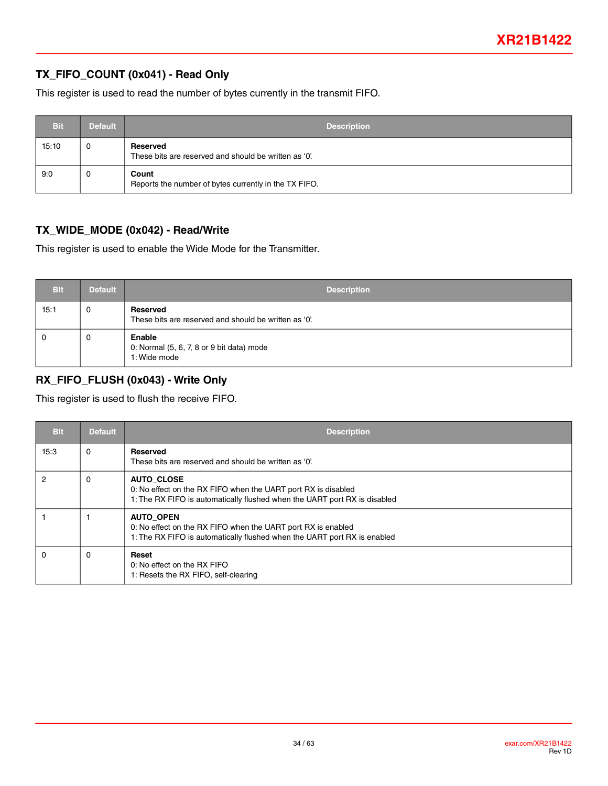### **TX\_FIFO\_COUNT (0x041) - Read Only**

This register is used to read the number of bytes currently in the transmit FIFO.

| <b>Bit</b> | <b>Default</b> | <b>Description</b>                                                |
|------------|----------------|-------------------------------------------------------------------|
| 15:10      | 0              | Reserved<br>These bits are reserved and should be written as '0'. |
| 9:0        | 0              | Count<br>Reports the number of bytes currently in the TX FIFO.    |

### **TX\_WIDE\_MODE (0x042) - Read/Write**

This register is used to enable the Wide Mode for the Transmitter.

| <b>Bit</b> | <b>Default</b> | <b>Description</b>                                                  |
|------------|----------------|---------------------------------------------------------------------|
| 15:1       | 0              | Reserved<br>These bits are reserved and should be written as '0'.   |
| 0          | 0              | Enable<br>0: Normal (5, 6, 7, 8 or 9 bit data) mode<br>1: Wide mode |

### **RX\_FIFO\_FLUSH (0x043) - Write Only**

This register is used to flush the receive FIFO.

| <b>Bit</b> | <b>Default</b> | <b>Description</b>                                                                                                                                              |
|------------|----------------|-----------------------------------------------------------------------------------------------------------------------------------------------------------------|
| 15:3       | $\Omega$       | <b>Reserved</b><br>These bits are reserved and should be written as '0'.                                                                                        |
| 2          | 0              | <b>AUTO CLOSE</b><br>0: No effect on the RX FIFO when the UART port RX is disabled<br>1: The RX FIFO is automatically flushed when the UART port RX is disabled |
|            |                | <b>AUTO OPEN</b><br>0: No effect on the RX FIFO when the UART port RX is enabled<br>1: The RX FIFO is automatically flushed when the UART port RX is enabled    |
| 0          | 0              | Reset<br>0: No effect on the RX FIFO<br>1: Resets the RX FIFO, self-clearing                                                                                    |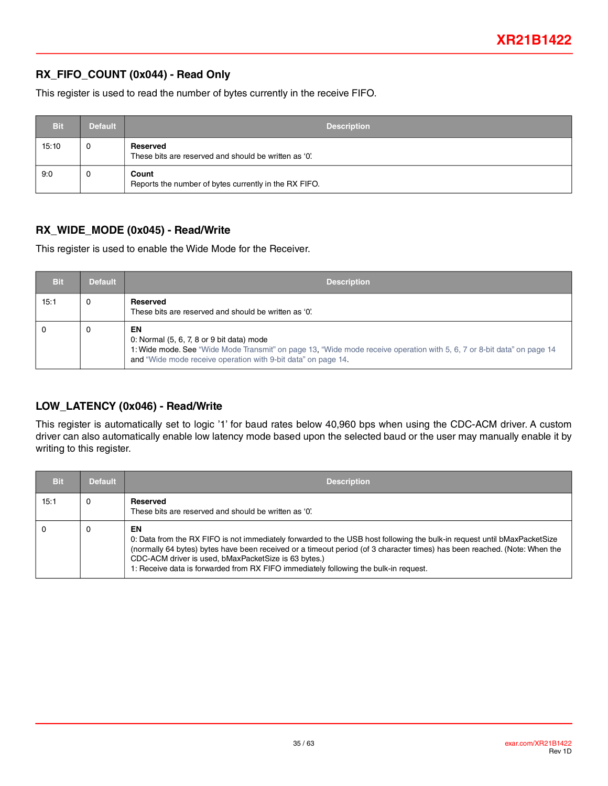### **RX\_FIFO\_COUNT (0x044) - Read Only**

This register is used to read the number of bytes currently in the receive FIFO.

| <b>Bit</b> | <b>Default</b> | <b>Description</b>                                                |
|------------|----------------|-------------------------------------------------------------------|
| 15:10      | 0              | Reserved<br>These bits are reserved and should be written as '0'. |
| 9:0        | 0              | Count<br>Reports the number of bytes currently in the RX FIFO.    |

#### **RX\_WIDE\_MODE (0x045) - Read/Write**

This register is used to enable the Wide Mode for the Receiver.

| <b>Bit</b> | <b>Default</b> | <b>Description</b>                                                                                                                                                                                                                         |
|------------|----------------|--------------------------------------------------------------------------------------------------------------------------------------------------------------------------------------------------------------------------------------------|
| 15:1       | 0              | Reserved<br>These bits are reserved and should be written as '0'.                                                                                                                                                                          |
|            | 0              | EN<br>0: Normal (5, 6, 7, 8 or 9 bit data) mode<br>1: Wide mode. See "Wide Mode Transmit" on page 13, "Wide mode receive operation with 5, 6, 7 or 8-bit data" on page 14<br>and "Wide mode receive operation with 9-bit data" on page 14. |

### **LOW\_LATENCY (0x046) - Read/Write**

This register is automatically set to logic '1' for baud rates below 40,960 bps when using the CDC-ACM driver. A custom driver can also automatically enable low latency mode based upon the selected baud or the user may manually enable it by writing to this register.

| <b>Bit</b> | <b>Default</b> | <b>Description</b>                                                                                                                                                                                                                                                                                                                                                                                          |
|------------|----------------|-------------------------------------------------------------------------------------------------------------------------------------------------------------------------------------------------------------------------------------------------------------------------------------------------------------------------------------------------------------------------------------------------------------|
| 15:1       | 0              | Reserved<br>These bits are reserved and should be written as '0'.                                                                                                                                                                                                                                                                                                                                           |
|            | 0              | EN<br>0: Data from the RX FIFO is not immediately forwarded to the USB host following the bulk-in request until bMaxPacketSize<br>(normally 64 bytes) bytes have been received or a timeout period (of 3 character times) has been reached. (Note: When the<br>CDC-ACM driver is used, bMaxPacketSize is 63 bytes.)<br>1: Receive data is forwarded from RX FIFO immediately following the bulk-in request. |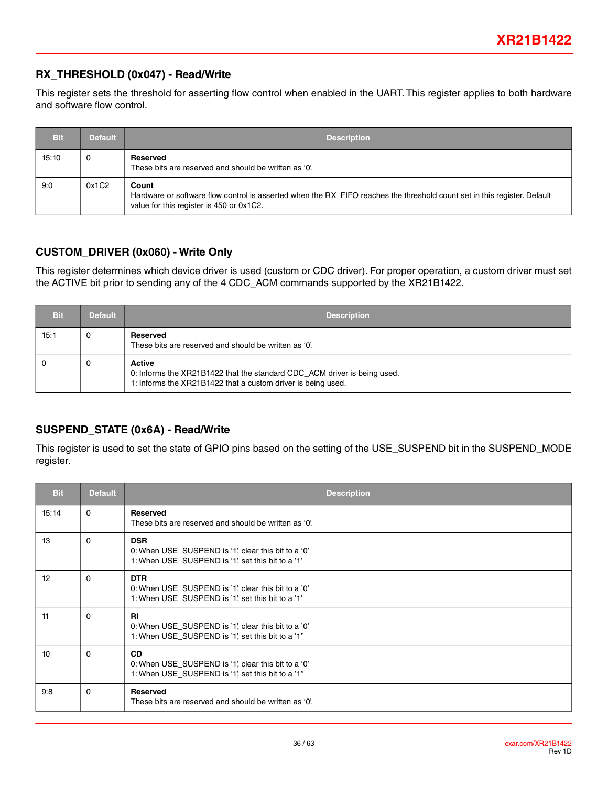#### **RX\_THRESHOLD (0x047) - Read/Write**

This register sets the threshold for asserting flow control when enabled in the UART. This register applies to both hardware and software flow control.

| <b>Bit</b> | <b>Default</b> | <b>Description</b>                                                                                                                                                            |
|------------|----------------|-------------------------------------------------------------------------------------------------------------------------------------------------------------------------------|
| 15:10      | 0              | Reserved<br>These bits are reserved and should be written as '0'.                                                                                                             |
| 9:0        | 0x1C2          | Count<br>Hardware or software flow control is asserted when the RX_FIFO reaches the threshold count set in this register. Default<br>value for this register is 450 or 0x1C2. |

#### **CUSTOM\_DRIVER (0x060) - Write Only**

This register determines which device driver is used (custom or CDC driver). For proper operation, a custom driver must set the ACTIVE bit prior to sending any of the 4 CDC\_ACM commands supported by the XR21B1422.

| Bit  | <b>Default</b> | <b>Description</b>                                                                                                                                        |
|------|----------------|-----------------------------------------------------------------------------------------------------------------------------------------------------------|
| 15:1 | $\Omega$       | Reserved<br>These bits are reserved and should be written as '0'.                                                                                         |
|      | - 0            | <b>Active</b><br>0: Informs the XR21B1422 that the standard CDC_ACM driver is being used.<br>1: Informs the XR21B1422 that a custom driver is being used. |

### **SUSPEND\_STATE (0x6A) - Read/Write**

This register is used to set the state of GPIO pins based on the setting of the USE\_SUSPEND bit in the SUSPEND\_MODE register.

| <b>Bit</b> | <b>Default</b> | <b>Description</b>                                                                                                     |
|------------|----------------|------------------------------------------------------------------------------------------------------------------------|
| 15:14      | $\mathbf{0}$   | Reserved<br>These bits are reserved and should be written as '0'.                                                      |
| 13         | $\Omega$       | <b>DSR</b><br>0: When USE SUSPEND is '1', clear this bit to a '0'<br>1: When USE SUSPEND is '1', set this bit to a '1' |
| 12         | $\Omega$       | <b>DTR</b><br>0: When USE_SUSPEND is '1', clear this bit to a '0'<br>1: When USE_SUSPEND is '1', set this bit to a '1' |
| 11         | $\Omega$       | <b>RI</b><br>0: When USE_SUSPEND is '1', clear this bit to a '0'<br>1: When USE SUSPEND is '1', set this bit to a '1"  |
| 10         | $\Omega$       | <b>CD</b><br>0: When USE SUSPEND is '1', clear this bit to a '0'<br>1: When USE_SUSPEND is '1', set this bit to a '1"  |
| 9:8        | $\Omega$       | Reserved<br>These bits are reserved and should be written as '0'.                                                      |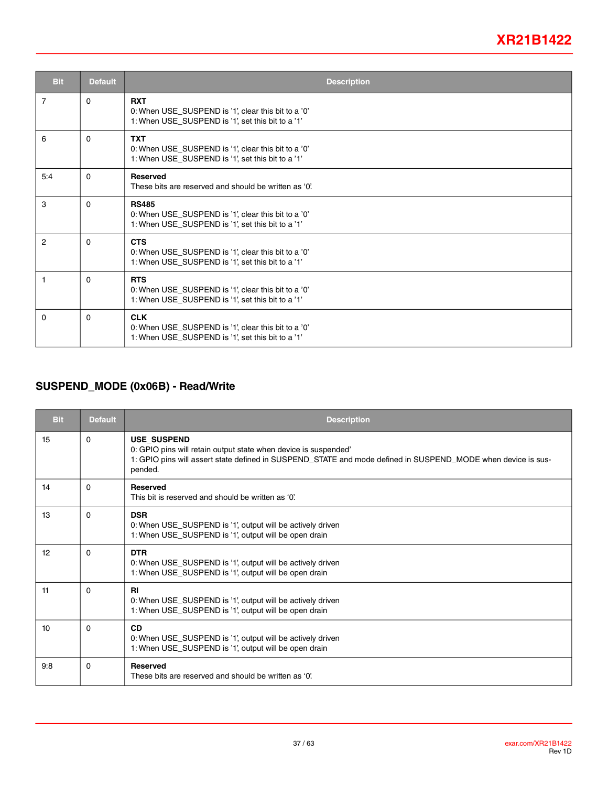| <b>Bit</b>     | <b>Default</b> | <b>Description</b>                                                                                                       |
|----------------|----------------|--------------------------------------------------------------------------------------------------------------------------|
| $\overline{7}$ | $\Omega$       | <b>RXT</b><br>0: When USE_SUSPEND is '1', clear this bit to a '0'<br>1: When USE_SUSPEND is '1', set this bit to a '1'   |
| 6              | $\Omega$       | <b>TXT</b><br>0: When USE_SUSPEND is '1', clear this bit to a '0'<br>1: When USE_SUSPEND is '1', set this bit to a '1'   |
| 5:4            | $\Omega$       | <b>Reserved</b><br>These bits are reserved and should be written as '0'.                                                 |
| 3              | $\Omega$       | <b>RS485</b><br>0: When USE SUSPEND is '1', clear this bit to a '0'<br>1: When USE SUSPEND is '1', set this bit to a '1' |
| $\overline{2}$ | $\Omega$       | <b>CTS</b><br>0: When USE_SUSPEND is '1', clear this bit to a '0'<br>1: When USE_SUSPEND is '1', set this bit to a '1'   |
| 1              | $\Omega$       | <b>RTS</b><br>0: When USE_SUSPEND is '1', clear this bit to a '0'<br>1: When USE_SUSPEND is '1', set this bit to a '1'   |
| $\Omega$       | $\Omega$       | <b>CLK</b><br>0: When USE_SUSPEND is '1', clear this bit to a '0'<br>1: When USE_SUSPEND is '1', set this bit to a '1'   |

### **SUSPEND\_MODE (0x06B) - Read/Write**

| <b>Bit</b> | <b>Default</b> | <b>Description</b>                                                                                                                                                                                               |
|------------|----------------|------------------------------------------------------------------------------------------------------------------------------------------------------------------------------------------------------------------|
| 15         | $\Omega$       | <b>USE SUSPEND</b><br>0: GPIO pins will retain output state when device is suspended'<br>1: GPIO pins will assert state defined in SUSPEND_STATE and mode defined in SUSPEND_MODE when device is sus-<br>pended. |
| 14         | 0              | <b>Reserved</b><br>This bit is reserved and should be written as '0'                                                                                                                                             |
| 13         | 0              | <b>DSR</b><br>0: When USE_SUSPEND is '1', output will be actively driven<br>1: When USE SUSPEND is '1', output will be open drain                                                                                |
| 12         | $\Omega$       | <b>DTR</b><br>0: When USE_SUSPEND is '1', output will be actively driven<br>1: When USE_SUSPEND is '1', output will be open drain                                                                                |
| 11         | 0              | <b>RI</b><br>0: When USE_SUSPEND is '1', output will be actively driven<br>1: When USE_SUSPEND is '1', output will be open drain                                                                                 |
| 10         | 0              | <b>CD</b><br>0: When USE_SUSPEND is '1', output will be actively driven<br>1: When USE_SUSPEND is '1', output will be open drain                                                                                 |
| 9:8        | 0              | <b>Reserved</b><br>These bits are reserved and should be written as '0'.                                                                                                                                         |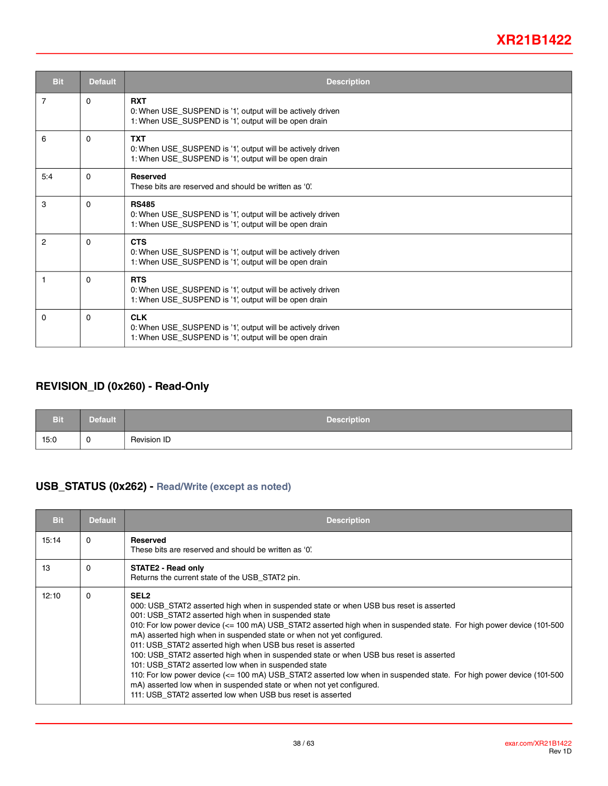| <b>Bit</b>     | <b>Default</b> | <b>Description</b>                                                                                                                  |
|----------------|----------------|-------------------------------------------------------------------------------------------------------------------------------------|
| $\overline{7}$ | $\Omega$       | <b>RXT</b><br>0: When USE_SUSPEND is '1', output will be actively driven<br>1: When USE_SUSPEND is '1', output will be open drain   |
| 6              | $\Omega$       | <b>TXT</b><br>0: When USE_SUSPEND is '1', output will be actively driven<br>1: When USE_SUSPEND is '1', output will be open drain   |
| 5:4            | $\Omega$       | <b>Reserved</b><br>These bits are reserved and should be written as '0'.                                                            |
| 3              | $\Omega$       | <b>RS485</b><br>0: When USE_SUSPEND is '1', output will be actively driven<br>1: When USE_SUSPEND is '1', output will be open drain |
| 2              | $\Omega$       | <b>CTS</b><br>0: When USE_SUSPEND is '1', output will be actively driven<br>1: When USE_SUSPEND is '1', output will be open drain   |
| 1              | $\Omega$       | <b>RTS</b><br>0: When USE_SUSPEND is '1', output will be actively driven<br>1: When USE_SUSPEND is '1', output will be open drain   |
| $\Omega$       | $\Omega$       | <b>CLK</b><br>0: When USE_SUSPEND is '1', output will be actively driven<br>1: When USE_SUSPEND is '1', output will be open drain   |

### **REVISION\_ID (0x260) - Read-Only**

| <b>Bit</b> | <b>Default</b> | <b>Description</b> |
|------------|----------------|--------------------|
| 15:0       | $\mathbf 0$    | Revision ID        |

#### **USB\_STATUS (0x262) - Read/Write (except as noted)**

| <b>Bit</b> | <b>Default</b> | <b>Description</b>                                                                                                                                                                                                                                                                                                                                                                                                                                                                                                                                                                                                                                                                                                                                                                                                                                 |
|------------|----------------|----------------------------------------------------------------------------------------------------------------------------------------------------------------------------------------------------------------------------------------------------------------------------------------------------------------------------------------------------------------------------------------------------------------------------------------------------------------------------------------------------------------------------------------------------------------------------------------------------------------------------------------------------------------------------------------------------------------------------------------------------------------------------------------------------------------------------------------------------|
| 15:14      | 0              | <b>Reserved</b><br>These bits are reserved and should be written as '0'.                                                                                                                                                                                                                                                                                                                                                                                                                                                                                                                                                                                                                                                                                                                                                                           |
| 13         | $\Omega$       | <b>STATE2 - Read only</b><br>Returns the current state of the USB STAT2 pin.                                                                                                                                                                                                                                                                                                                                                                                                                                                                                                                                                                                                                                                                                                                                                                       |
| 12:10      | $\Omega$       | SEL <sub>2</sub><br>000: USB STAT2 asserted high when in suspended state or when USB bus reset is asserted<br>001: USB_STAT2 asserted high when in suspended state<br>010: For low power device (<= 100 mA) USB_STAT2 asserted high when in suspended state. For high power device (101-500<br>mA) asserted high when in suspended state or when not yet configured.<br>011: USB_STAT2 asserted high when USB bus reset is asserted<br>100: USB_STAT2 asserted high when in suspended state or when USB bus reset is asserted<br>101: USB_STAT2 asserted low when in suspended state<br>110: For low power device (<= 100 mA) USB_STAT2 asserted low when in suspended state. For high power device (101-500<br>mA) asserted low when in suspended state or when not yet configured.<br>111: USB STAT2 asserted low when USB bus reset is asserted |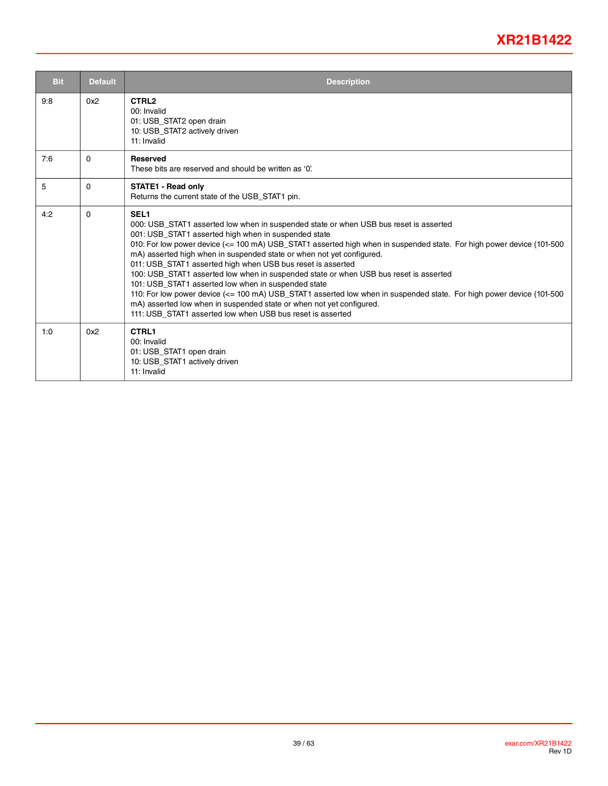| <b>Bit</b> | <b>Default</b> | <b>Description</b>                                                                                                                                                                                                                                                                                                                                                                                                                                                                                                                                                                                                                                                                                                                                                                                                                               |
|------------|----------------|--------------------------------------------------------------------------------------------------------------------------------------------------------------------------------------------------------------------------------------------------------------------------------------------------------------------------------------------------------------------------------------------------------------------------------------------------------------------------------------------------------------------------------------------------------------------------------------------------------------------------------------------------------------------------------------------------------------------------------------------------------------------------------------------------------------------------------------------------|
| 9:8        | 0x2            | CTRL <sub>2</sub><br>00: Invalid<br>01: USB_STAT2 open drain<br>10: USB STAT2 actively driven<br>11: Invalid                                                                                                                                                                                                                                                                                                                                                                                                                                                                                                                                                                                                                                                                                                                                     |
| 7:6        | $\Omega$       | <b>Reserved</b><br>These bits are reserved and should be written as '0'                                                                                                                                                                                                                                                                                                                                                                                                                                                                                                                                                                                                                                                                                                                                                                          |
| 5          | $\Omega$       | <b>STATE1 - Read only</b><br>Returns the current state of the USB STAT1 pin.                                                                                                                                                                                                                                                                                                                                                                                                                                                                                                                                                                                                                                                                                                                                                                     |
| 4:2        | $\Omega$       | SEL <sub>1</sub><br>000: USB_STAT1 asserted low when in suspended state or when USB bus reset is asserted<br>001: USB_STAT1 asserted high when in suspended state<br>010: For low power device (<= 100 mA) USB_STAT1 asserted high when in suspended state. For high power device (101-500<br>mA) asserted high when in suspended state or when not yet configured.<br>011: USB_STAT1 asserted high when USB bus reset is asserted<br>100: USB_STAT1 asserted low when in suspended state or when USB bus reset is asserted<br>101: USB STAT1 asserted low when in suspended state<br>110: For low power device (<= 100 mA) USB_STAT1 asserted low when in suspended state. For high power device (101-500<br>mA) asserted low when in suspended state or when not yet configured.<br>111: USB STAT1 asserted low when USB bus reset is asserted |
| 1:0        | 0x2            | CTRL1<br>00: Invalid<br>01: USB_STAT1 open drain<br>10: USB_STAT1 actively driven<br>11: Invalid                                                                                                                                                                                                                                                                                                                                                                                                                                                                                                                                                                                                                                                                                                                                                 |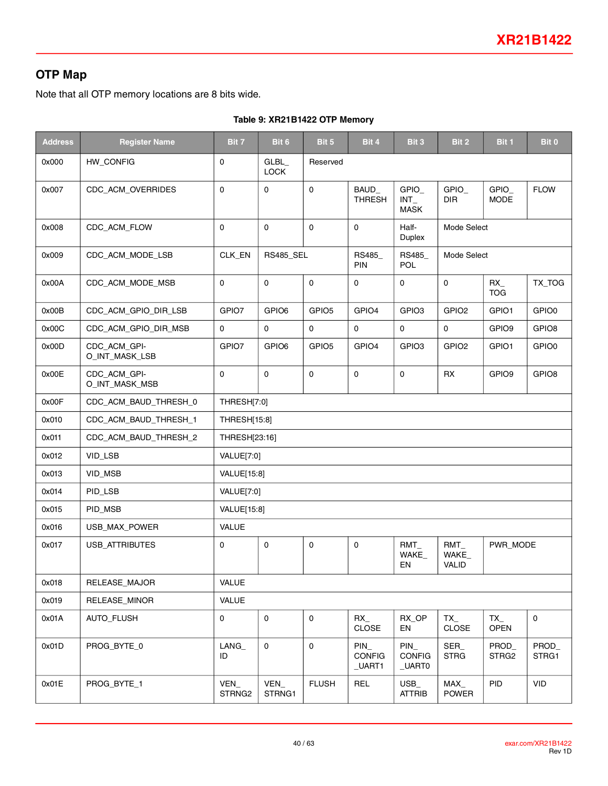## **OTP Map**

Note that all OTP memory locations are 8 bits wide.

|  |  | Table 9: XR21B1422 OTP Memory |
|--|--|-------------------------------|
|  |  |                               |

| <b>Address</b> | <b>Register Name</b>           | Bit 7             | Bit 6                | Bit 5               | Bit 4                                 | Bit 3                                 | Bit 2                    | Bit 1                   | Bit 0               |
|----------------|--------------------------------|-------------------|----------------------|---------------------|---------------------------------------|---------------------------------------|--------------------------|-------------------------|---------------------|
| 0x000          | HW_CONFIG                      | 0                 | GLBL_<br><b>LOCK</b> | Reserved            |                                       |                                       |                          |                         |                     |
| 0x007          | CDC ACM OVERRIDES              | 0                 | $\mathbf 0$          | $\mathbf 0$         | <b>BAUD</b><br><b>THRESH</b>          | GPIO_<br>$INT_$<br><b>MASK</b>        | GPIO_<br><b>DIR</b>      | $GPIO_$<br><b>MODE</b>  | <b>FLOW</b>         |
| 0x008          | CDC_ACM_FLOW                   | 0                 | $\mathsf{O}\xspace$  | $\mathbf 0$         | $\mathbf 0$                           | Half-<br>Duplex                       | Mode Select              |                         |                     |
| 0x009          | CDC_ACM_MODE_LSB               | CLK_EN            | <b>RS485_SEL</b>     |                     | <b>RS485</b><br><b>PIN</b>            | RS485<br><b>POL</b>                   | Mode Select              |                         |                     |
| 0x00A          | CDC_ACM_MODE_MSB               | $\mathbf 0$       | $\mathsf{O}\xspace$  | $\mathbf 0$         | $\mathbf 0$                           | 0                                     | $\mathsf{O}\xspace$      | $RX_{-}$<br><b>TOG</b>  | TX_TOG              |
| 0x00B          | CDC_ACM_GPIO_DIR_LSB           | GPIO7             | GPIO6                | GPIO <sub>5</sub>   | GPIO4                                 | GPIO <sub>3</sub>                     | GPIO <sub>2</sub>        | GPIO1                   | GPIO0               |
| 0x00C          | CDC_ACM_GPIO_DIR_MSB           | $\mathbf 0$       | $\mathbf 0$          | $\mathbf 0$         | $\mathbf 0$                           | $\mathbf 0$                           | $\mathbf 0$              | GPIO9                   | GPIO8               |
| 0x00D          | CDC_ACM_GPI-<br>O_INT_MASK_LSB | GPIO7             | GPIO6                | GPIO <sub>5</sub>   | GPIO4                                 | GPIO <sub>3</sub>                     | GPIO <sub>2</sub>        | GPIO1                   | GPIO0               |
| 0x00E          | CDC_ACM_GPI-<br>O_INT_MASK_MSB | 0                 | $\mathsf{O}\xspace$  | $\mathbf 0$         | $\mathbf 0$                           | $\mathbf 0$                           | <b>RX</b>                | GPIO <sub>9</sub>       | GPIO8               |
| 0x00F          | CDC_ACM_BAUD_THRESH_0          | THRESH[7:0]       |                      |                     |                                       |                                       |                          |                         |                     |
| 0x010          | CDC ACM BAUD THRESH 1          | THRESH[15:8]      |                      |                     |                                       |                                       |                          |                         |                     |
| 0x011          | CDC_ACM_BAUD_THRESH_2          | THRESH[23:16]     |                      |                     |                                       |                                       |                          |                         |                     |
| 0x012          | VID_LSB                        | <b>VALUE[7:0]</b> |                      |                     |                                       |                                       |                          |                         |                     |
| 0x013          | VID_MSB                        | VALUE[15:8]       |                      |                     |                                       |                                       |                          |                         |                     |
| 0x014          | PID_LSB                        | <b>VALUE[7:0]</b> |                      |                     |                                       |                                       |                          |                         |                     |
| 0x015          | PID_MSB                        | VALUE[15:8]       |                      |                     |                                       |                                       |                          |                         |                     |
| 0x016          | USB_MAX_POWER                  | VALUE             |                      |                     |                                       |                                       |                          |                         |                     |
| 0x017          | USB_ATTRIBUTES                 | 0                 | $\mathbf 0$          | $\mathbf 0$         | 0                                     | RMT<br>WAKE_<br>EN                    | RMT<br>WAKE_<br>VALID    | PWR_MODE                |                     |
| 0x018          | RELEASE_MAJOR                  | VALUE             |                      |                     |                                       |                                       |                          |                         |                     |
| 0x019          | RELEASE_MINOR                  | VALUE             |                      |                     |                                       |                                       |                          |                         |                     |
| 0x01A          | AUTO_FLUSH                     | 0                 | $\mathsf{O}\xspace$  | $\mathsf{O}\xspace$ | $RX_{-}$<br><b>CLOSE</b>              | RX_OP<br>EN                           | $TX_{-}$<br><b>CLOSE</b> | $TX_{-}$<br><b>OPEN</b> | $\mathsf{O}\xspace$ |
| 0x01D          | PROG_BYTE_0                    | $LANG_$<br>ID     | $\pmb{0}$            | $\mathsf{O}\xspace$ | $PIN_$<br><b>CONFIG</b><br>$_U$ UART1 | $PIN_$<br><b>CONFIG</b><br>$\_$ UART0 | SER<br><b>STRG</b>       | PROD_<br>STRG2          | PROD_<br>STRG1      |
| 0x01E          | PROG_BYTE_1                    | VEN<br>STRNG2     | VEN_<br>STRNG1       | <b>FLUSH</b>        | REL                                   | $USB_$<br><b>ATTRIB</b>               | MAX<br><b>POWER</b>      | <b>PID</b>              | <b>VID</b>          |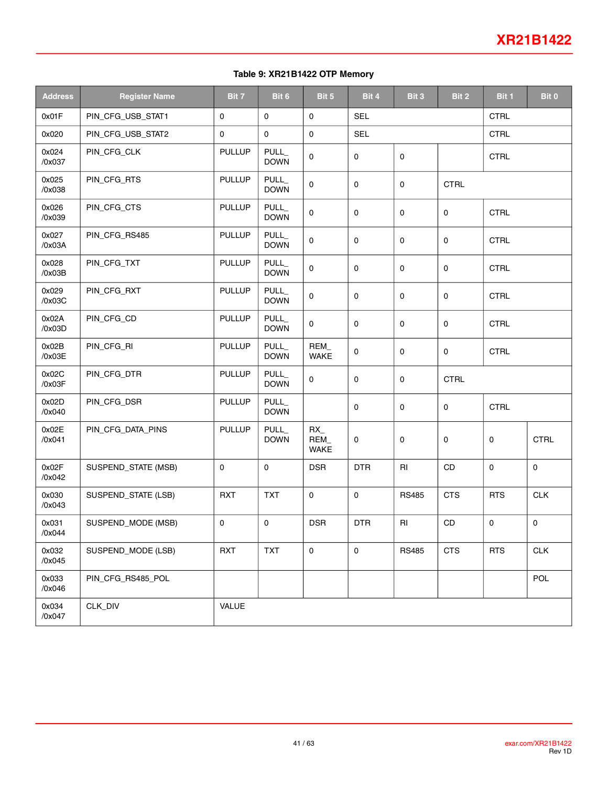#### **Table 9: XR21B1422 OTP Memory**

| <b>Address</b>  | <b>Register Name</b> | Bit 7         | Bit 6                      | Bit 5                           | Bit 4               | Bit 3        | Bit 2         | Bit 1       | Bit 0       |
|-----------------|----------------------|---------------|----------------------------|---------------------------------|---------------------|--------------|---------------|-------------|-------------|
| 0x01F           | PIN_CFG_USB_STAT1    | 0             | $\mathbf 0$                | 0                               | <b>SEL</b>          |              |               | <b>CTRL</b> |             |
| 0x020           | PIN_CFG_USB_STAT2    | 0             | $\mathbf 0$                | $\mathbf 0$                     | <b>SEL</b>          |              |               | <b>CTRL</b> |             |
| 0x024<br>/0x037 | PIN_CFG_CLK          | <b>PULLUP</b> | PULL_<br><b>DOWN</b>       | 0                               | $\mathsf{O}\xspace$ | 0            |               | <b>CTRL</b> |             |
| 0x025<br>/0x038 | PIN_CFG_RTS          | <b>PULLUP</b> | <b>PULL</b><br><b>DOWN</b> | $\mathbf 0$                     | $\mathbf 0$         | 0            | <b>CTRL</b>   |             |             |
| 0x026<br>/0x039 | PIN_CFG_CTS          | <b>PULLUP</b> | PULL<br><b>DOWN</b>        | 0                               | $\mathbf 0$         | 0            | 0             | <b>CTRL</b> |             |
| 0x027<br>/0x03A | PIN_CFG_RS485        | <b>PULLUP</b> | PULL_<br><b>DOWN</b>       | $\mathbf 0$                     | $\mathbf 0$         | 0            | 0             | <b>CTRL</b> |             |
| 0x028<br>/0x03B | PIN_CFG_TXT          | <b>PULLUP</b> | <b>PULL</b><br><b>DOWN</b> | $\mathbf 0$                     | $\mathbf 0$         | 0            | 0             | <b>CTRL</b> |             |
| 0x029<br>/0x03C | PIN_CFG_RXT          | <b>PULLUP</b> | PULL_<br><b>DOWN</b>       | 0                               | $\mathbf 0$         | 0            | 0             | CTRL        |             |
| 0x02A<br>/0x03D | PIN_CFG_CD           | <b>PULLUP</b> | PULL_<br><b>DOWN</b>       | $\mathbf 0$                     | $\mathbf 0$         | 0            | 0             | <b>CTRL</b> |             |
| 0x02B<br>/0x03E | PIN_CFG_RI           | <b>PULLUP</b> | <b>PULL</b><br><b>DOWN</b> | REM_<br>WAKE                    | $\mathbf 0$         | 0            | 0             | <b>CTRL</b> |             |
| 0x02C<br>/0x03F | PIN_CFG_DTR          | <b>PULLUP</b> | PULL_<br><b>DOWN</b>       | 0                               | $\mathsf{O}\xspace$ | 0            | <b>CTRL</b>   |             |             |
| 0x02D<br>/0x040 | PIN_CFG_DSR          | <b>PULLUP</b> | PULL_<br><b>DOWN</b>       |                                 | $\mathbf 0$         | 0            | 0             | <b>CTRL</b> |             |
| 0x02E<br>/0x041 | PIN_CFG_DATA_PINS    | <b>PULLUP</b> | PULL<br><b>DOWN</b>        | $RX_{-}$<br>REM_<br><b>WAKE</b> | $\mathbf 0$         | 0            | 0             | $\mathbf 0$ | <b>CTRL</b> |
| 0x02F<br>/0x042 | SUSPEND_STATE (MSB)  | 0             | $\mathbf 0$                | <b>DSR</b>                      | <b>DTR</b>          | RI           | <b>CD</b>     | $\mathbf 0$ | $\mathbf 0$ |
| 0x030<br>/0x043 | SUSPEND_STATE (LSB)  | <b>RXT</b>    | <b>TXT</b>                 | $\mathsf{O}\xspace$             | $\mathbf 0$         | <b>RS485</b> | <b>CTS</b>    | <b>RTS</b>  | <b>CLK</b>  |
| 0x031<br>/0x044 | SUSPEND_MODE (MSB)   | 0             | $\mathsf{O}\xspace$        | <b>DSR</b>                      | <b>DTR</b>          | RI           | $\mathsf{CD}$ | $\pmb{0}$   | $\mathsf 0$ |
| 0x032<br>/0x045 | SUSPEND_MODE (LSB)   | <b>RXT</b>    | <b>TXT</b>                 | 0                               | $\mathbf 0$         | <b>RS485</b> | <b>CTS</b>    | <b>RTS</b>  | CLK         |
| 0x033<br>/0x046 | PIN_CFG_RS485_POL    |               |                            |                                 |                     |              |               |             | <b>POL</b>  |
| 0x034<br>/0x047 | CLK_DIV              | VALUE         |                            |                                 |                     |              |               |             |             |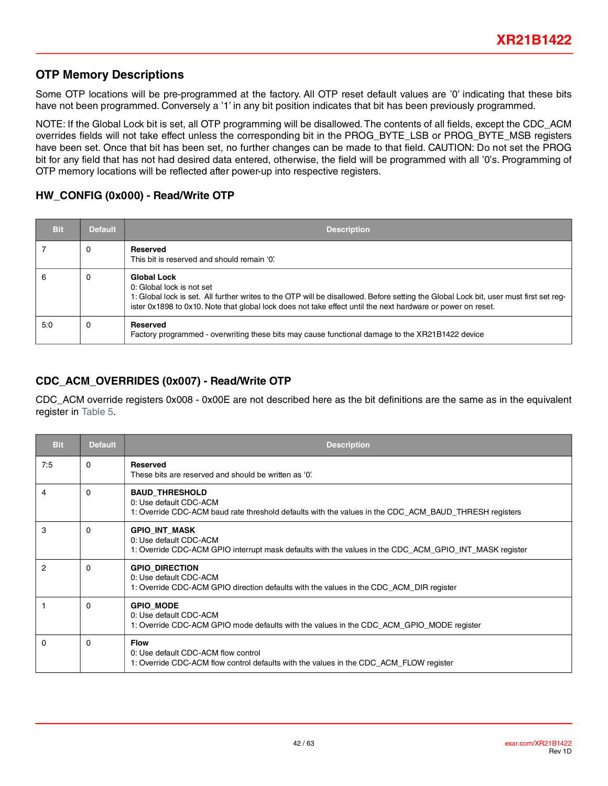#### **OTP Memory Descriptions**

Some OTP locations will be pre-programmed at the factory. All OTP reset default values are '0' indicating that these bits have not been programmed. Conversely a '1' in any bit position indicates that bit has been previously programmed.

NOTE: If the Global Lock bit is set, all OTP programming will be disallowed. The contents of all fields, except the CDC\_ACM overrides fields will not take effect unless the corresponding bit in the PROG\_BYTE\_LSB or PROG\_BYTE\_MSB registers have been set. Once that bit has been set, no further changes can be made to that field. CAUTION: Do not set the PROG bit for any field that has not had desired data entered, otherwise, the field will be programmed with all '0's. Programming of OTP memory locations will be reflected after power-up into respective registers.

#### **HW\_CONFIG (0x000) - Read/Write OTP**

| <b>Bit</b> | <b>Default</b> | <b>Description</b>                                                                                                                                                                                                                                                                                      |
|------------|----------------|---------------------------------------------------------------------------------------------------------------------------------------------------------------------------------------------------------------------------------------------------------------------------------------------------------|
|            | 0              | Reserved<br>This bit is reserved and should remain '0'.                                                                                                                                                                                                                                                 |
| 6          | 0              | <b>Global Lock</b><br>0: Global lock is not set<br>1: Global lock is set. All further writes to the OTP will be disallowed. Before setting the Global Lock bit, user must first set reg-<br>ister 0x1898 to 0x10. Note that global lock does not take effect until the next hardware or power on reset. |
| 5:0        | $\Omega$       | <b>Reserved</b><br>Factory programmed - overwriting these bits may cause functional damage to the XR21B1422 device                                                                                                                                                                                      |

### **CDC\_ACM\_OVERRIDES (0x007) - Read/Write OTP**

CDC\_ACM override registers 0x008 - 0x00E are not described here as the bit definitions are the same as in the equivalent register in[Table](#page-20-1) 5.

| <b>Bit</b>     | <b>Default</b> | <b>Description</b>                                                                                                                                       |
|----------------|----------------|----------------------------------------------------------------------------------------------------------------------------------------------------------|
| 7:5            | 0              | Reserved<br>These bits are reserved and should be written as '0'.                                                                                        |
| 4              | 0              | <b>BAUD_THRESHOLD</b><br>0: Use default CDC-ACM<br>1: Override CDC-ACM baud rate threshold defaults with the values in the CDC_ACM_BAUD_THRESH registers |
| 3              | 0              | <b>GPIO INT MASK</b><br>0: Use default CDC-ACM<br>1: Override CDC-ACM GPIO interrupt mask defaults with the values in the CDC_ACM_GPIO_INT_MASK register |
| $\overline{2}$ | 0              | <b>GPIO_DIRECTION</b><br>0: Use default CDC-ACM<br>1: Override CDC-ACM GPIO direction defaults with the values in the CDC_ACM_DIR register               |
|                | 0              | <b>GPIO MODE</b><br>0: Use default CDC-ACM<br>1: Override CDC-ACM GPIO mode defaults with the values in the CDC_ACM_GPIO_MODE register                   |
| $\Omega$       | 0              | <b>Flow</b><br>0: Use default CDC-ACM flow control<br>1: Override CDC-ACM flow control defaults with the values in the CDC_ACM_FLOW register             |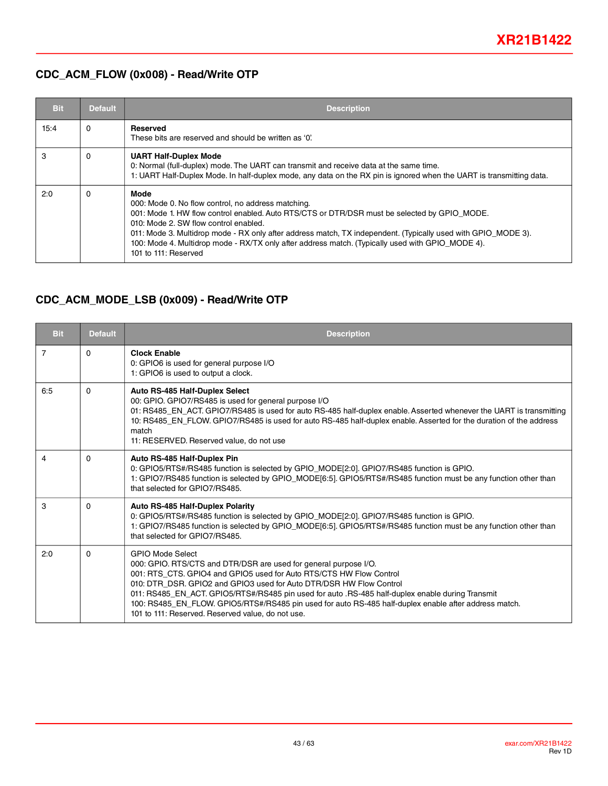### **CDC\_ACM\_FLOW (0x008) - Read/Write OTP**

| <b>Bit</b> | <b>Default</b> | <b>Description</b>                                                                                                                                                                                                                                                                                                                                                                                                                               |
|------------|----------------|--------------------------------------------------------------------------------------------------------------------------------------------------------------------------------------------------------------------------------------------------------------------------------------------------------------------------------------------------------------------------------------------------------------------------------------------------|
| 15:4       | $\Omega$       | Reserved<br>These bits are reserved and should be written as '0'.                                                                                                                                                                                                                                                                                                                                                                                |
| 3          | 0              | <b>UART Half-Duplex Mode</b><br>0: Normal (full-duplex) mode. The UART can transmit and receive data at the same time.<br>1: UART Half-Duplex Mode. In half-duplex mode, any data on the RX pin is ignored when the UART is transmitting data.                                                                                                                                                                                                   |
| 2:0        | 0              | Mode<br>000: Mode 0. No flow control, no address matching.<br>001: Mode 1. HW flow control enabled. Auto RTS/CTS or DTR/DSR must be selected by GPIO MODE.<br>010: Mode 2. SW flow control enabled.<br>011: Mode 3. Multidrop mode - RX only after address match, TX independent. (Typically used with GPIO_MODE 3).<br>100: Mode 4. Multidrop mode - RX/TX only after address match. (Typically used with GPIO_MODE 4).<br>101 to 111: Reserved |

### **CDC\_ACM\_MODE\_LSB (0x009) - Read/Write OTP**

| <b>Bit</b> | <b>Default</b> | <b>Description</b>                                                                                                                                                                                                                                                                                                                                                                                                                                                                                          |
|------------|----------------|-------------------------------------------------------------------------------------------------------------------------------------------------------------------------------------------------------------------------------------------------------------------------------------------------------------------------------------------------------------------------------------------------------------------------------------------------------------------------------------------------------------|
| 7          | $\Omega$       | <b>Clock Enable</b><br>0: GPIO6 is used for general purpose I/O<br>1: GPIO6 is used to output a clock.                                                                                                                                                                                                                                                                                                                                                                                                      |
| 6:5        | $\mathbf{0}$   | Auto RS-485 Half-Duplex Select<br>00: GPIO. GPIO7/RS485 is used for general purpose I/O<br>01: RS485_EN_ACT. GPIO7/RS485 is used for auto RS-485 half-duplex enable. Asserted whenever the UART is transmitting<br>10: RS485_EN_FLOW. GPIO7/RS485 is used for auto RS-485 half-duplex enable. Asserted for the duration of the address<br>match<br>11: RESERVED. Reserved value, do not use                                                                                                                 |
| 4          | $\Omega$       | Auto RS-485 Half-Duplex Pin<br>0: GPIO5/RTS#/RS485 function is selected by GPIO_MODE[2:0]. GPIO7/RS485 function is GPIO.<br>1: GPIO7/RS485 function is selected by GPIO_MODE[6:5]. GPIO5/RTS#/RS485 function must be any function other than<br>that selected for GPIO7/RS485.                                                                                                                                                                                                                              |
| 3          | $\Omega$       | Auto RS-485 Half-Duplex Polarity<br>0: GPIO5/RTS#/RS485 function is selected by GPIO_MODE[2:0]. GPIO7/RS485 function is GPIO.<br>1: GPIO7/RS485 function is selected by GPIO_MODE[6:5]. GPIO5/RTS#/RS485 function must be any function other than<br>that selected for GPIO7/RS485.                                                                                                                                                                                                                         |
| 2:0        | $\Omega$       | <b>GPIO Mode Select</b><br>000: GPIO. RTS/CTS and DTR/DSR are used for general purpose I/O.<br>001: RTS CTS. GPIO4 and GPIO5 used for Auto RTS/CTS HW Flow Control<br>010: DTR DSR, GPIO2 and GPIO3 used for Auto DTR/DSR HW Flow Control<br>011: RS485_EN_ACT. GPIO5/RTS#/RS485 pin used for auto .RS-485 half-duplex enable during Transmit<br>100: RS485_EN_FLOW. GPIO5/RTS#/RS485 pin used for auto RS-485 half-duplex enable after address match.<br>101 to 111: Reserved. Reserved value, do not use. |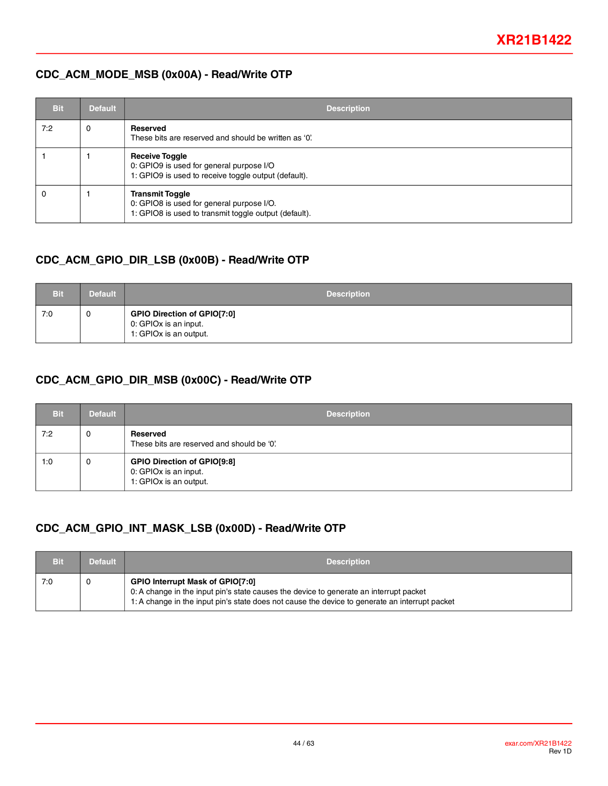### **CDC\_ACM\_MODE\_MSB (0x00A) - Read/Write OTP**

| <b>Bit</b> | <b>Default</b> | <b>Description</b>                                                                                                           |
|------------|----------------|------------------------------------------------------------------------------------------------------------------------------|
| 7:2        | 0              | Reserved<br>These bits are reserved and should be written as '0'.                                                            |
|            |                | <b>Receive Toggle</b><br>0: GPIO9 is used for general purpose I/O<br>1: GPIO9 is used to receive toggle output (default).    |
|            |                | <b>Transmit Toggle</b><br>0: GPIO8 is used for general purpose I/O.<br>1: GPIO8 is used to transmit toggle output (default). |

### **CDC\_ACM\_GPIO\_DIR\_LSB (0x00B) - Read/Write OTP**

| <b>Bit</b> | <b>Default</b> | <b>Description</b>                                                                    |
|------------|----------------|---------------------------------------------------------------------------------------|
| 7:0        | 0              | <b>GPIO Direction of GPIO[7:0]</b><br>0: GPIOx is an input.<br>1: GPIOx is an output. |

### **CDC\_ACM\_GPIO\_DIR\_MSB (0x00C) - Read/Write OTP**

| <b>Bit</b> | <b>Default</b> | <b>Description</b>                                                                    |
|------------|----------------|---------------------------------------------------------------------------------------|
| 7:2        | 0              | Reserved<br>These bits are reserved and should be '0'.                                |
| 1:0        | 0              | <b>GPIO Direction of GPIO[9:8]</b><br>0: GPIOx is an input.<br>1: GPIOx is an output. |

### **CDC\_ACM\_GPIO\_INT\_MASK\_LSB (0x00D) - Read/Write OTP**

| Bit | <b>Default</b> | <b>Description</b>                                                                                                                                                                                                                  |
|-----|----------------|-------------------------------------------------------------------------------------------------------------------------------------------------------------------------------------------------------------------------------------|
| 7:0 |                | <b>GPIO Interrupt Mask of GPIO[7:0]</b><br>0: A change in the input pin's state causes the device to generate an interrupt packet<br>1: A change in the input pin's state does not cause the device to generate an interrupt packet |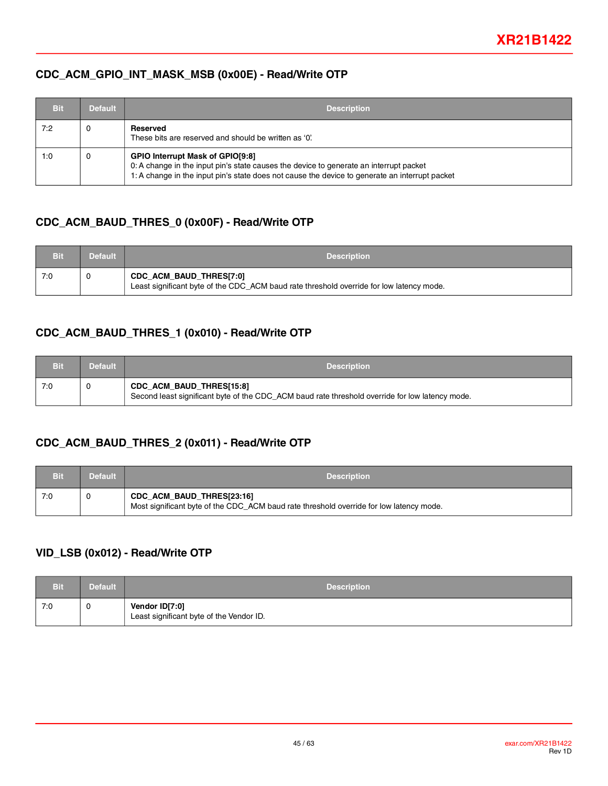#### **CDC\_ACM\_GPIO\_INT\_MASK\_MSB (0x00E) - Read/Write OTP**

| Bit | <b>Default</b> | <b>Description</b>                                                                                                                                                                                                                  |
|-----|----------------|-------------------------------------------------------------------------------------------------------------------------------------------------------------------------------------------------------------------------------------|
| 7:2 | 0              | Reserved<br>These bits are reserved and should be written as '0'.                                                                                                                                                                   |
| 1:0 | $\mathbf 0$    | <b>GPIO Interrupt Mask of GPIO[9:8]</b><br>0: A change in the input pin's state causes the device to generate an interrupt packet<br>1: A change in the input pin's state does not cause the device to generate an interrupt packet |

### **CDC\_ACM\_BAUD\_THRES\_0 (0x00F) - Read/Write OTP**

| <b>Bit</b> | Default <sup>1</sup> | <b>Description</b>                                                                                                  |
|------------|----------------------|---------------------------------------------------------------------------------------------------------------------|
| 7:0        |                      | CDC_ACM_BAUD_THRES[7:0]<br>Least significant byte of the CDC_ACM baud rate threshold override for low latency mode. |

### **CDC\_ACM\_BAUD\_THRES\_1 (0x010) - Read/Write OTP**

| <b>Bit</b> | <b>Default</b> | <b>Description</b>                                                                                                                 |
|------------|----------------|------------------------------------------------------------------------------------------------------------------------------------|
| 7:0        |                | <b>CDC_ACM_BAUD_THRES[15:8]</b><br>Second least significant byte of the CDC_ACM baud rate threshold override for low latency mode. |

### **CDC\_ACM\_BAUD\_THRES\_2 (0x011) - Read/Write OTP**

| Bit | <b>Default</b> | <b>Description</b>                                                                                                   |
|-----|----------------|----------------------------------------------------------------------------------------------------------------------|
| 7:0 |                | CDC_ACM_BAUD_THRES[23:16]<br>Most significant byte of the CDC_ACM baud rate threshold override for low latency mode. |

### **VID\_LSB (0x012) - Read/Write OTP**

| <b>Bit</b> | Default | <b>Description</b>                                         |
|------------|---------|------------------------------------------------------------|
| 7:0        | 0       | Vendor ID[7:0]<br>Least significant byte of the Vendor ID. |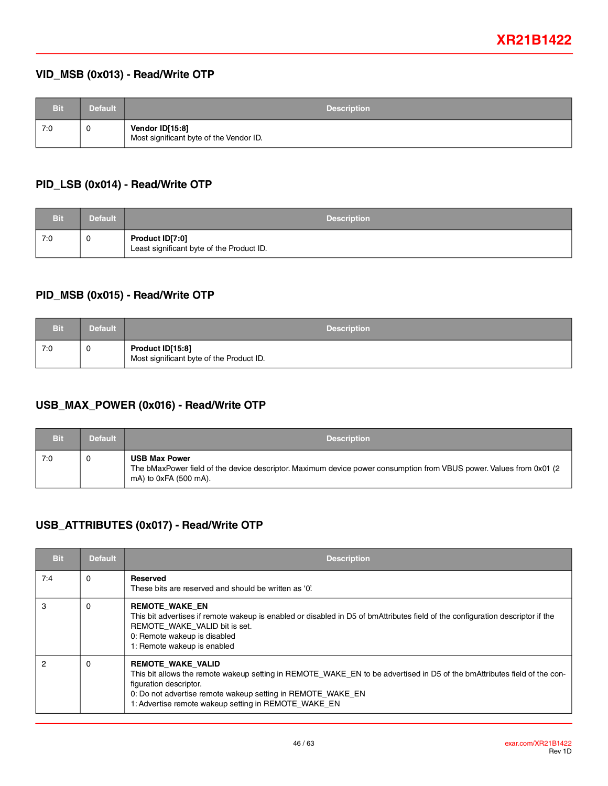### **VID\_MSB (0x013) - Read/Write OTP**

| <b>Bit</b> | <b>Default</b> | <b>Description</b>                                         |
|------------|----------------|------------------------------------------------------------|
| 7:0        | U              | Vendor ID[15:8]<br>Most significant byte of the Vendor ID. |

#### **PID\_LSB (0x014) - Read/Write OTP**

| Bit | <b>Default</b> | <b>Description</b>                                           |
|-----|----------------|--------------------------------------------------------------|
| 7:0 | 0              | Product ID[7:0]<br>Least significant byte of the Product ID. |

### **PID\_MSB (0x015) - Read/Write OTP**

| <b>Bit</b> | Default | <b>Description</b>                                           |
|------------|---------|--------------------------------------------------------------|
| 7:0        | 0       | Product ID[15:8]<br>Most significant byte of the Product ID. |

### **USB\_MAX\_POWER (0x016) - Read/Write OTP**

| Bit | <b>Default</b> | <b>Description</b>                                                                                                                                                    |
|-----|----------------|-----------------------------------------------------------------------------------------------------------------------------------------------------------------------|
| 7:0 |                | <b>USB Max Power</b><br>The bMaxPower field of the device descriptor. Maximum device power consumption from VBUS power. Values from 0x01 (2)<br>mA) to 0xFA (500 mA). |

### **USB\_ATTRIBUTES (0x017) - Read/Write OTP**

| <b>Bit</b> | <b>Default</b> | <b>Description</b>                                                                                                                                                                                                                                                                                    |
|------------|----------------|-------------------------------------------------------------------------------------------------------------------------------------------------------------------------------------------------------------------------------------------------------------------------------------------------------|
| 7:4        | 0              | <b>Reserved</b><br>These bits are reserved and should be written as '0'.                                                                                                                                                                                                                              |
| 3          | 0              | <b>REMOTE WAKE EN</b><br>This bit advertises if remote wakeup is enabled or disabled in D5 of bmAttributes field of the configuration descriptor if the<br>REMOTE WAKE VALID bit is set.<br>0: Remote wakeup is disabled<br>1: Remote wakeup is enabled                                               |
| 2          | 0              | <b>REMOTE WAKE VALID</b><br>This bit allows the remote wakeup setting in REMOTE WAKE EN to be advertised in D5 of the bmAttributes field of the con-<br>figuration descriptor.<br>0: Do not advertise remote wakeup setting in REMOTE_WAKE_EN<br>1: Advertise remote wakeup setting in REMOTE_WAKE_EN |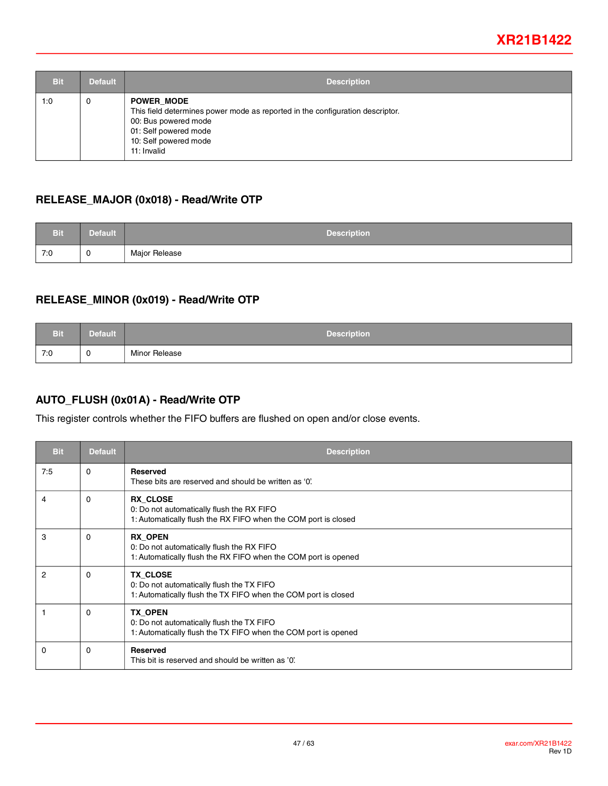| <b>Bit</b> | <b>Default</b> | <b>Description</b>                                                                                                                                                                          |
|------------|----------------|---------------------------------------------------------------------------------------------------------------------------------------------------------------------------------------------|
| 1:0        | 0              | <b>POWER MODE</b><br>This field determines power mode as reported in the configuration descriptor.<br>00: Bus powered mode<br>01: Self powered mode<br>10: Self powered mode<br>11: Invalid |

### **RELEASE\_MAJOR (0x018) - Read/Write OTP**

| <b>Bit</b> | <b>Default</b> | <b>Description</b> |
|------------|----------------|--------------------|
| 7:0        | U              | Major Release      |

### **RELEASE\_MINOR (0x019) - Read/Write OTP**

| <b>Bit</b> | <b>Default</b> | <b>Description</b> |
|------------|----------------|--------------------|
| 7:0        | U              | Minor Release      |

### **AUTO\_FLUSH (0x01A) - Read/Write OTP**

This register controls whether the FIFO buffers are flushed on open and/or close events.

| <b>Bit</b> | <b>Default</b> | <b>Description</b>                                                                                                             |
|------------|----------------|--------------------------------------------------------------------------------------------------------------------------------|
| 7:5        | $\Omega$       | <b>Reserved</b><br>These bits are reserved and should be written as '0'.                                                       |
| 4          | 0              | <b>RX CLOSE</b><br>0: Do not automatically flush the RX FIFO<br>1: Automatically flush the RX FIFO when the COM port is closed |
| 3          | 0              | <b>RX OPEN</b><br>0: Do not automatically flush the RX FIFO<br>1: Automatically flush the RX FIFO when the COM port is opened  |
| 2          | 0              | <b>TX CLOSE</b><br>0: Do not automatically flush the TX FIFO<br>1: Automatically flush the TX FIFO when the COM port is closed |
|            | 0              | <b>TX OPEN</b><br>0: Do not automatically flush the TX FIFO<br>1: Automatically flush the TX FIFO when the COM port is opened  |
| $\Omega$   | 0              | <b>Reserved</b><br>This bit is reserved and should be written as '0'.                                                          |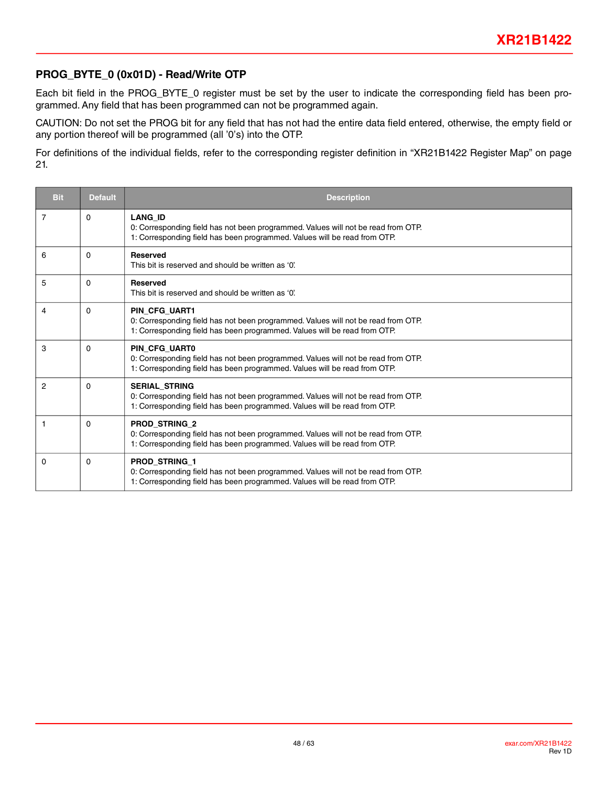#### **PROG\_BYTE\_0 (0x01D) - Read/Write OTP**

Each bit field in the PROG\_BYTE\_0 register must be set by the user to indicate the corresponding field has been programmed. Any field that has been programmed can not be programmed again.

CAUTION: Do not set the PROG bit for any field that has not had the entire data field entered, otherwise, the empty field or any portion thereof will be programmed (all '0's) into the OTP.

For definitions of the individual fields, refer to the corresponding register definition in "XR21B1422 Register Map" on page 21.

| <b>Bit</b>     | <b>Default</b> | <b>Description</b>                                                                                                                                                                     |
|----------------|----------------|----------------------------------------------------------------------------------------------------------------------------------------------------------------------------------------|
| 7              | $\mathbf{0}$   | <b>LANG ID</b><br>0: Corresponding field has not been programmed. Values will not be read from OTP.<br>1: Corresponding field has been programmed. Values will be read from OTP.       |
| 6              | 0              | <b>Reserved</b><br>This bit is reserved and should be written as '0'.                                                                                                                  |
| 5              | $\Omega$       | <b>Reserved</b><br>This bit is reserved and should be written as '0'.                                                                                                                  |
| 4              | 0              | <b>PIN CFG UART1</b><br>0: Corresponding field has not been programmed. Values will not be read from OTP.<br>1: Corresponding field has been programmed. Values will be read from OTP. |
| 3              | $\Omega$       | PIN CFG UART0<br>0: Corresponding field has not been programmed. Values will not be read from OTP.<br>1: Corresponding field has been programmed. Values will be read from OTP.        |
| $\overline{2}$ | $\Omega$       | <b>SERIAL_STRING</b><br>0: Corresponding field has not been programmed. Values will not be read from OTP.<br>1: Corresponding field has been programmed. Values will be read from OTP. |
| 1              | $\Omega$       | <b>PROD STRING 2</b><br>0: Corresponding field has not been programmed. Values will not be read from OTP.<br>1: Corresponding field has been programmed. Values will be read from OTP. |
| 0              | 0              | <b>PROD STRING 1</b><br>0: Corresponding field has not been programmed. Values will not be read from OTP.<br>1: Corresponding field has been programmed. Values will be read from OTP. |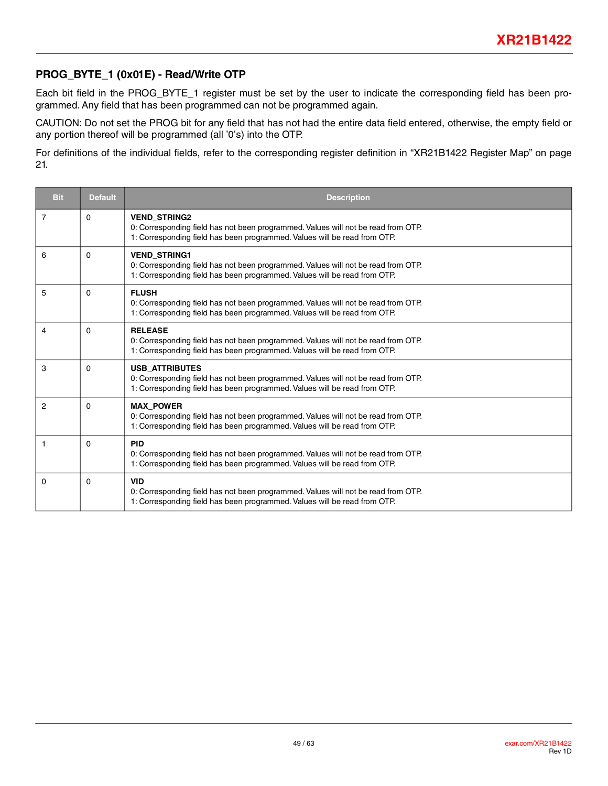### **PROG\_BYTE\_1 (0x01E) - Read/Write OTP**

Each bit field in the PROG\_BYTE\_1 register must be set by the user to indicate the corresponding field has been programmed. Any field that has been programmed can not be programmed again.

CAUTION: Do not set the PROG bit for any field that has not had the entire data field entered, otherwise, the empty field or any portion thereof will be programmed (all '0's) into the OTP.

For definitions of the individual fields, refer to the corresponding register definition in "XR21B1422 Register Map" on page 21.

| <b>Bit</b>     | <b>Default</b> | <b>Description</b>                                                                                                                                                                      |
|----------------|----------------|-----------------------------------------------------------------------------------------------------------------------------------------------------------------------------------------|
| $\overline{7}$ | $\Omega$       | <b>VEND STRING2</b><br>0: Corresponding field has not been programmed. Values will not be read from OTP.<br>1: Corresponding field has been programmed. Values will be read from OTP.   |
| 6              | $\Omega$       | <b>VEND STRING1</b><br>0: Corresponding field has not been programmed. Values will not be read from OTP.<br>1: Corresponding field has been programmed. Values will be read from OTP.   |
| 5              | $\Omega$       | <b>FLUSH</b><br>0: Corresponding field has not been programmed. Values will not be read from OTP.<br>1: Corresponding field has been programmed. Values will be read from OTP.          |
| 4              | $\Omega$       | <b>RELEASE</b><br>0: Corresponding field has not been programmed. Values will not be read from OTP.<br>1: Corresponding field has been programmed. Values will be read from OTP.        |
| 3              | $\Omega$       | <b>USB ATTRIBUTES</b><br>0: Corresponding field has not been programmed. Values will not be read from OTP.<br>1: Corresponding field has been programmed. Values will be read from OTP. |
| 2              | $\Omega$       | <b>MAX POWER</b><br>0: Corresponding field has not been programmed. Values will not be read from OTP.<br>1: Corresponding field has been programmed. Values will be read from OTP.      |
| 1              | $\Omega$       | <b>PID</b><br>0: Corresponding field has not been programmed. Values will not be read from OTP.<br>1: Corresponding field has been programmed. Values will be read from OTP.            |
| 0              | $\Omega$       | <b>VID</b><br>0: Corresponding field has not been programmed. Values will not be read from OTP.<br>1: Corresponding field has been programmed. Values will be read from OTP.            |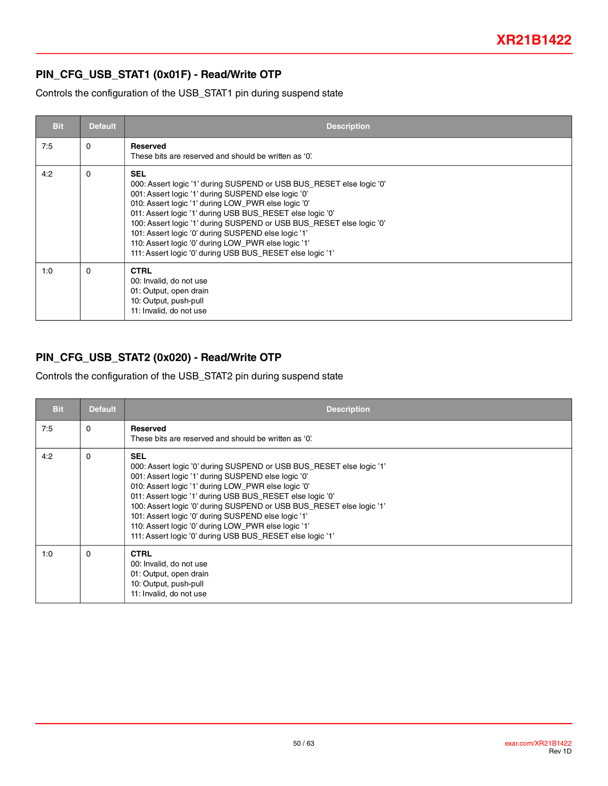### **PIN\_CFG\_USB\_STAT1 (0x01F) - Read/Write OTP**

Controls the configuration of the USB\_STAT1 pin during suspend state

| <b>Bit</b> | <b>Default</b> | <b>Description</b>                                                                                                                                                                                                                                                                                                                                                                                                                                                                                               |
|------------|----------------|------------------------------------------------------------------------------------------------------------------------------------------------------------------------------------------------------------------------------------------------------------------------------------------------------------------------------------------------------------------------------------------------------------------------------------------------------------------------------------------------------------------|
| 7:5        | 0              | Reserved<br>These bits are reserved and should be written as '0'.                                                                                                                                                                                                                                                                                                                                                                                                                                                |
| 4:2        | $\Omega$       | <b>SEL</b><br>000: Assert logic '1' during SUSPEND or USB BUS_RESET else logic '0'<br>001: Assert logic '1' during SUSPEND else logic '0'<br>010: Assert logic '1' during LOW_PWR else logic '0'<br>011: Assert logic '1' during USB BUS_RESET else logic '0'<br>100: Assert logic '1' during SUSPEND or USB BUS_RESET else logic '0'<br>101: Assert logic '0' during SUSPEND else logic '1'<br>110: Assert logic '0' during LOW PWR else logic '1'<br>111: Assert logic '0' during USB BUS_RESET else logic '1' |
| 1:0        | $\Omega$       | <b>CTRL</b><br>00: Invalid, do not use<br>01: Output, open drain<br>10: Output, push-pull<br>11: Invalid, do not use                                                                                                                                                                                                                                                                                                                                                                                             |

### **PIN\_CFG\_USB\_STAT2 (0x020) - Read/Write OTP**

Controls the configuration of the USB\_STAT2 pin during suspend state

| <b>Bit</b> | <b>Default</b> | <b>Description</b>                                                                                                                                                                                                                                                                                                                                                                                                                                                                                               |
|------------|----------------|------------------------------------------------------------------------------------------------------------------------------------------------------------------------------------------------------------------------------------------------------------------------------------------------------------------------------------------------------------------------------------------------------------------------------------------------------------------------------------------------------------------|
| 7:5        | $\Omega$       | <b>Reserved</b><br>These bits are reserved and should be written as '0'.                                                                                                                                                                                                                                                                                                                                                                                                                                         |
| 4:2        | 0              | <b>SEL</b><br>000: Assert logic '0' during SUSPEND or USB BUS_RESET else logic '1'<br>001: Assert logic '1' during SUSPEND else logic '0'<br>010: Assert logic '1' during LOW PWR else logic '0'<br>011: Assert logic '1' during USB BUS_RESET else logic '0'<br>100: Assert logic '0' during SUSPEND or USB BUS_RESET else logic '1'<br>101: Assert logic '0' during SUSPEND else logic '1'<br>110: Assert logic '0' during LOW_PWR else logic '1'<br>111: Assert logic '0' during USB BUS_RESET else logic '1' |
| 1:0        | $\Omega$       | <b>CTRL</b><br>00: Invalid, do not use<br>01: Output, open drain<br>10: Output, push-pull<br>11: Invalid, do not use                                                                                                                                                                                                                                                                                                                                                                                             |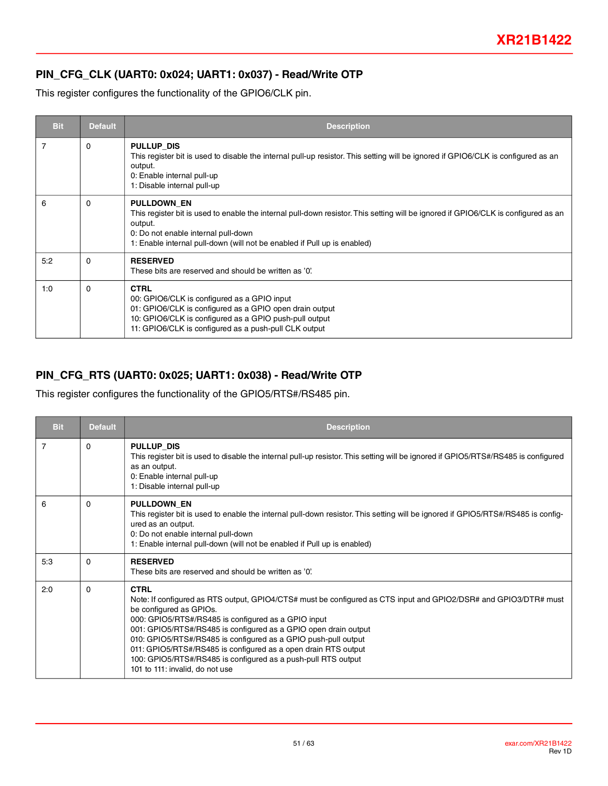### **PIN\_CFG\_CLK (UART0: 0x024; UART1: 0x037) - Read/Write OTP**

This register configures the functionality of the GPIO6/CLK pin.

| <b>Bit</b> | <b>Default</b> | <b>Description</b>                                                                                                                                                                                                                                                                     |
|------------|----------------|----------------------------------------------------------------------------------------------------------------------------------------------------------------------------------------------------------------------------------------------------------------------------------------|
| 7          | $\Omega$       | PULLUP DIS<br>This register bit is used to disable the internal pull-up resistor. This setting will be ignored if GPIO6/CLK is configured as an<br>output.<br>0: Enable internal pull-up<br>1: Disable internal pull-up                                                                |
| 6          | $\Omega$       | <b>PULLDOWN EN</b><br>This register bit is used to enable the internal pull-down resistor. This setting will be ignored if GPIO6/CLK is configured as an<br>output.<br>0: Do not enable internal pull-down<br>1: Enable internal pull-down (will not be enabled if Pull up is enabled) |
| 5:2        | $\Omega$       | <b>RESERVED</b><br>These bits are reserved and should be written as '0'.                                                                                                                                                                                                               |
| 1:0        | $\Omega$       | <b>CTRL</b><br>00: GPIO6/CLK is configured as a GPIO input<br>01: GPIO6/CLK is configured as a GPIO open drain output<br>10: GPIO6/CLK is configured as a GPIO push-pull output<br>11: GPIO6/CLK is configured as a push-pull CLK output                                               |

#### **PIN\_CFG\_RTS (UART0: 0x025; UART1: 0x038) - Read/Write OTP**

This register configures the functionality of the GPIO5/RTS#/RS485 pin.

| <b>Bit</b> | <b>Default</b> | <b>Description</b>                                                                                                                                                                                                                                                                                                                                                                                                                                                                                                           |
|------------|----------------|------------------------------------------------------------------------------------------------------------------------------------------------------------------------------------------------------------------------------------------------------------------------------------------------------------------------------------------------------------------------------------------------------------------------------------------------------------------------------------------------------------------------------|
| 7          | 0              | PULLUP DIS<br>This register bit is used to disable the internal pull-up resistor. This setting will be ignored if GPIO5/RTS#/RS485 is configured<br>as an output.<br>0: Enable internal pull-up<br>1: Disable internal pull-up                                                                                                                                                                                                                                                                                               |
| 6          | $\Omega$       | <b>PULLDOWN EN</b><br>This register bit is used to enable the internal pull-down resistor. This setting will be ignored if GPIO5/RTS#/RS485 is config-<br>ured as an output.<br>0: Do not enable internal pull-down<br>1: Enable internal pull-down (will not be enabled if Pull up is enabled)                                                                                                                                                                                                                              |
| 5:3        | 0              | <b>RESERVED</b><br>These bits are reserved and should be written as '0'.                                                                                                                                                                                                                                                                                                                                                                                                                                                     |
| 2:0        | $\Omega$       | <b>CTRL</b><br>Note: If configured as RTS output, GPIO4/CTS# must be configured as CTS input and GPIO2/DSR# and GPIO3/DTR# must<br>be configured as GPIOs.<br>000: GPIO5/RTS#/RS485 is configured as a GPIO input<br>001: GPIO5/RTS#/RS485 is configured as a GPIO open drain output<br>010: GPIO5/RTS#/RS485 is configured as a GPIO push-pull output<br>011: GPIO5/RTS#/RS485 is configured as a open drain RTS output<br>100: GPIO5/RTS#/RS485 is configured as a push-pull RTS output<br>101 to 111: invalid, do not use |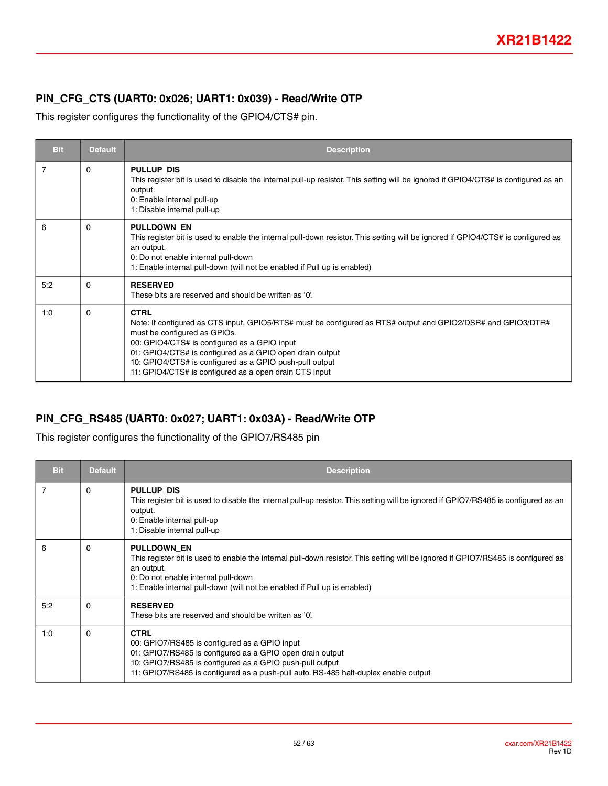### **PIN\_CFG\_CTS (UART0: 0x026; UART1: 0x039) - Read/Write OTP**

This register configures the functionality of the GPIO4/CTS# pin.

| <b>Bit</b> | <b>Default</b> | <b>Description</b>                                                                                                                                                                                                                                                                                                                                                                           |
|------------|----------------|----------------------------------------------------------------------------------------------------------------------------------------------------------------------------------------------------------------------------------------------------------------------------------------------------------------------------------------------------------------------------------------------|
| 7          | 0              | PULLUP DIS<br>This register bit is used to disable the internal pull-up resistor. This setting will be ignored if GPIO4/CTS# is configured as an<br>output.<br>0: Enable internal pull-up<br>1: Disable internal pull-up                                                                                                                                                                     |
| 6          | $\Omega$       | <b>PULLDOWN EN</b><br>This register bit is used to enable the internal pull-down resistor. This setting will be ignored if GPIO4/CTS# is configured as<br>an output.<br>0: Do not enable internal pull-down<br>1: Enable internal pull-down (will not be enabled if Pull up is enabled)                                                                                                      |
| 5:2        | 0              | <b>RESERVED</b><br>These bits are reserved and should be written as '0'.                                                                                                                                                                                                                                                                                                                     |
| 1:0        | 0              | <b>CTRL</b><br>Note: If configured as CTS input, GPIO5/RTS# must be configured as RTS# output and GPIO2/DSR# and GPIO3/DTR#<br>must be configured as GPIOs.<br>00: GPIO4/CTS# is configured as a GPIO input<br>01: GPIO4/CTS# is configured as a GPIO open drain output<br>10: GPIO4/CTS# is configured as a GPIO push-pull output<br>11: GPIO4/CTS# is configured as a open drain CTS input |

#### **PIN\_CFG\_RS485 (UART0: 0x027; UART1: 0x03A) - Read/Write OTP**

This register configures the functionality of the GPIO7/RS485 pin

| <b>Bit</b>     | <b>Default</b> | <b>Description</b>                                                                                                                                                                                                                                                                       |
|----------------|----------------|------------------------------------------------------------------------------------------------------------------------------------------------------------------------------------------------------------------------------------------------------------------------------------------|
| $\overline{7}$ | 0              | PULLUP DIS<br>This register bit is used to disable the internal pull-up resistor. This setting will be ignored if GPIO7/RS485 is configured as an<br>output.<br>0: Enable internal pull-up<br>1: Disable internal pull-up                                                                |
| 6              | 0              | <b>PULLDOWN EN</b><br>This register bit is used to enable the internal pull-down resistor. This setting will be ignored if GPIO7/RS485 is configured as<br>an output.<br>0: Do not enable internal pull-down<br>1: Enable internal pull-down (will not be enabled if Pull up is enabled) |
| 5:2            | $\Omega$       | <b>RESERVED</b><br>These bits are reserved and should be written as '0'.                                                                                                                                                                                                                 |
| 1:0            | $\Omega$       | <b>CTRL</b><br>00: GPIO7/RS485 is configured as a GPIO input<br>01: GPIO7/RS485 is configured as a GPIO open drain output<br>10: GPIO7/RS485 is configured as a GPIO push-pull output<br>11: GPIO7/RS485 is configured as a push-pull auto. RS-485 half-duplex enable output             |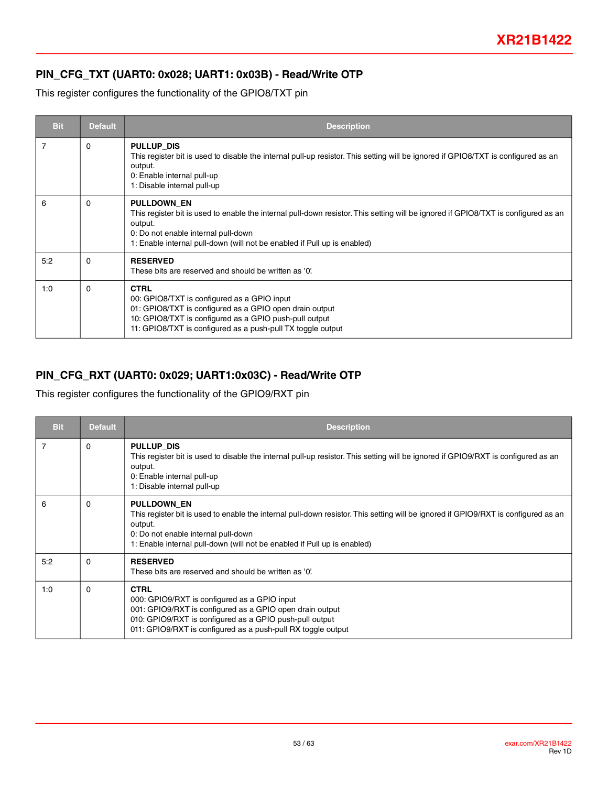### **PIN\_CFG\_TXT (UART0: 0x028; UART1: 0x03B) - Read/Write OTP**

This register configures the functionality of the GPIO8/TXT pin

| <b>Bit</b> | <b>Default</b> | <b>Description</b>                                                                                                                                                                                                                                                                     |
|------------|----------------|----------------------------------------------------------------------------------------------------------------------------------------------------------------------------------------------------------------------------------------------------------------------------------------|
| 7          | 0              | PULLUP DIS<br>This register bit is used to disable the internal pull-up resistor. This setting will be ignored if GPIO8/TXT is configured as an<br>output.<br>0: Enable internal pull-up<br>1: Disable internal pull-up                                                                |
| 6          | $\Omega$       | <b>PULLDOWN EN</b><br>This register bit is used to enable the internal pull-down resistor. This setting will be ignored if GPIO8/TXT is configured as an<br>output.<br>0: Do not enable internal pull-down<br>1: Enable internal pull-down (will not be enabled if Pull up is enabled) |
| 5:2        | $\Omega$       | <b>RESERVED</b><br>These bits are reserved and should be written as '0'.                                                                                                                                                                                                               |
| 1:0        | $\Omega$       | <b>CTRL</b><br>00: GPIO8/TXT is configured as a GPIO input<br>01: GPIO8/TXT is configured as a GPIO open drain output<br>10: GPIO8/TXT is configured as a GPIO push-pull output<br>11: GPIO8/TXT is configured as a push-pull TX toggle output                                         |

### **PIN\_CFG\_RXT (UART0: 0x029; UART1:0x03C) - Read/Write OTP**

This register configures the functionality of the GPIO9/RXT pin

| <b>Bit</b>     | <b>Default</b> | <b>Description</b>                                                                                                                                                                                                                                                                     |
|----------------|----------------|----------------------------------------------------------------------------------------------------------------------------------------------------------------------------------------------------------------------------------------------------------------------------------------|
| $\overline{7}$ | 0              | PULLUP DIS<br>This register bit is used to disable the internal pull-up resistor. This setting will be ignored if GPIO9/RXT is configured as an<br>output.<br>0: Enable internal pull-up<br>1: Disable internal pull-up                                                                |
| 6              | 0              | <b>PULLDOWN EN</b><br>This register bit is used to enable the internal pull-down resistor. This setting will be ignored if GPIO9/RXT is configured as an<br>output.<br>0: Do not enable internal pull-down<br>1: Enable internal pull-down (will not be enabled if Pull up is enabled) |
| 5:2            | 0              | <b>RESERVED</b><br>These bits are reserved and should be written as '0'.                                                                                                                                                                                                               |
| 1:0            | $\Omega$       | <b>CTRL</b><br>000: GPIO9/RXT is configured as a GPIO input<br>001: GPIO9/RXT is configured as a GPIO open drain output<br>010: GPIO9/RXT is configured as a GPIO push-pull output<br>011: GPIO9/RXT is configured as a push-pull RX toggle output                                     |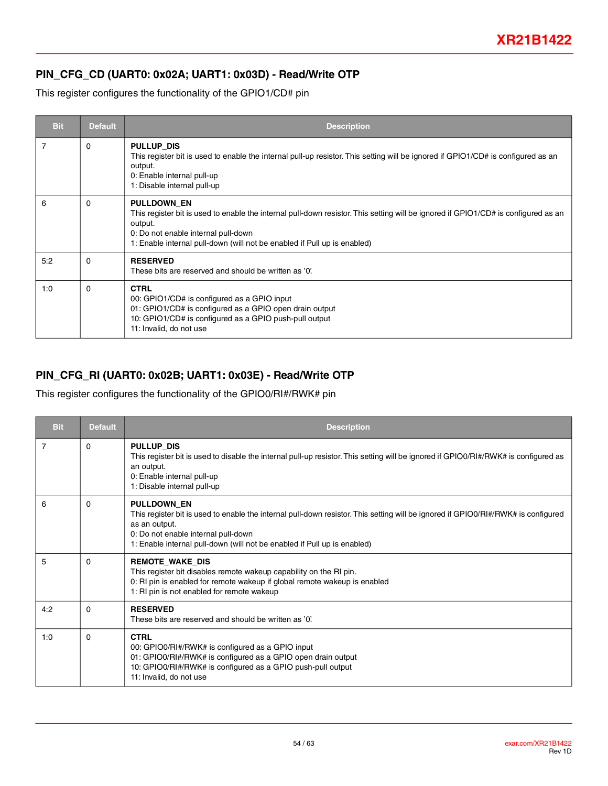### **PIN\_CFG\_CD (UART0: 0x02A; UART1: 0x03D) - Read/Write OTP**

This register configures the functionality of the GPIO1/CD# pin

| <b>Bit</b> | <b>Default</b> | <b>Description</b>                                                                                                                                                                                                                                                                     |
|------------|----------------|----------------------------------------------------------------------------------------------------------------------------------------------------------------------------------------------------------------------------------------------------------------------------------------|
| 7          | 0              | PULLUP DIS<br>This register bit is used to enable the internal pull-up resistor. This setting will be ignored if GPIO1/CD# is configured as an<br>output.<br>0: Enable internal pull-up<br>1: Disable internal pull-up                                                                 |
| 6          | 0              | <b>PULLDOWN EN</b><br>This register bit is used to enable the internal pull-down resistor. This setting will be ignored if GPIO1/CD# is configured as an<br>output.<br>0: Do not enable internal pull-down<br>1: Enable internal pull-down (will not be enabled if Pull up is enabled) |
| 5:2        | $\Omega$       | <b>RESERVED</b><br>These bits are reserved and should be written as '0'.                                                                                                                                                                                                               |
| 1:0        | $\Omega$       | <b>CTRL</b><br>00: GPIO1/CD# is configured as a GPIO input<br>01: GPIO1/CD# is configured as a GPIO open drain output<br>10: GPIO1/CD# is configured as a GPIO push-pull output<br>11: Invalid, do not use                                                                             |

### **PIN\_CFG\_RI (UART0: 0x02B; UART1: 0x03E) - Read/Write OTP**

This register configures the functionality of the GPIO0/RI#/RWK# pin

| <b>Bit</b> | <b>Default</b> | <b>Description</b>                                                                                                                                                                                                                                                                          |
|------------|----------------|---------------------------------------------------------------------------------------------------------------------------------------------------------------------------------------------------------------------------------------------------------------------------------------------|
| 7          | 0              | <b>PULLUP DIS</b><br>This register bit is used to disable the internal pull-up resistor. This setting will be ignored if GPIO0/RI#/RWK# is configured as<br>an output.<br>0: Enable internal pull-up<br>1: Disable internal pull-up                                                         |
| 6          | 0              | <b>PULLDOWN EN</b><br>This register bit is used to enable the internal pull-down resistor. This setting will be ignored if GPIO0/RI#/RWK# is configured<br>as an output.<br>0: Do not enable internal pull-down<br>1: Enable internal pull-down (will not be enabled if Pull up is enabled) |
| 5          | $\Omega$       | <b>REMOTE WAKE DIS</b><br>This register bit disables remote wakeup capability on the RI pin.<br>0: RI pin is enabled for remote wakeup if global remote wakeup is enabled<br>1: RI pin is not enabled for remote wakeup                                                                     |
| 4:2        | 0              | <b>RESERVED</b><br>These bits are reserved and should be written as '0'.                                                                                                                                                                                                                    |
| 1:0        | $\Omega$       | <b>CTRL</b><br>00: GPIO0/RI#/RWK# is configured as a GPIO input<br>01: GPIO0/RI#/RWK# is configured as a GPIO open drain output<br>10: GPIO0/RI#/RWK# is configured as a GPIO push-pull output<br>11: Invalid, do not use                                                                   |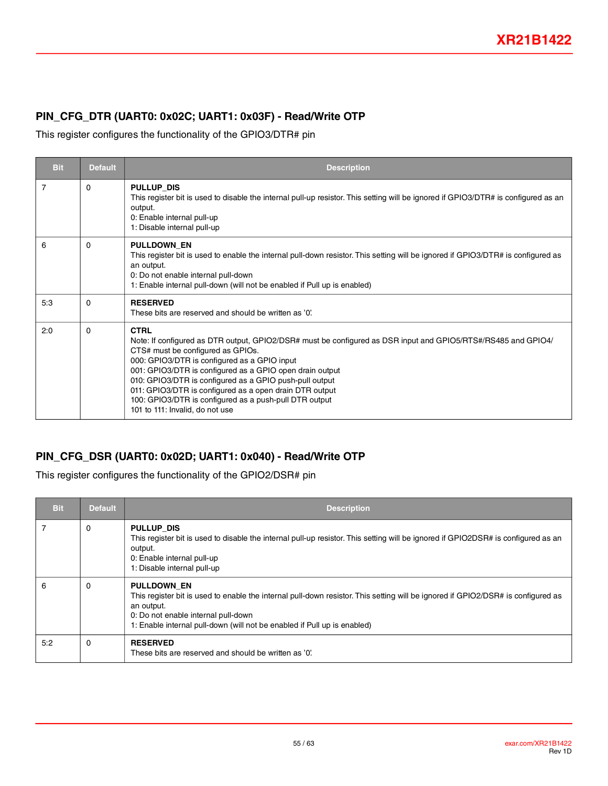### **PIN\_CFG\_DTR (UART0: 0x02C; UART1: 0x03F) - Read/Write OTP**

This register configures the functionality of the GPIO3/DTR# pin

| <b>Bit</b>     | <b>Default</b> | <b>Description</b>                                                                                                                                                                                                                                                                                                                                                                                                                                                                               |
|----------------|----------------|--------------------------------------------------------------------------------------------------------------------------------------------------------------------------------------------------------------------------------------------------------------------------------------------------------------------------------------------------------------------------------------------------------------------------------------------------------------------------------------------------|
| $\overline{7}$ | $\Omega$       | PULLUP DIS<br>This register bit is used to disable the internal pull-up resistor. This setting will be ignored if GPIO3/DTR# is configured as an<br>output.<br>0: Enable internal pull-up<br>1: Disable internal pull-up                                                                                                                                                                                                                                                                         |
| 6              | $\Omega$       | <b>PULLDOWN EN</b><br>This register bit is used to enable the internal pull-down resistor. This setting will be ignored if GPIO3/DTR# is configured as<br>an output.<br>0: Do not enable internal pull-down<br>1: Enable internal pull-down (will not be enabled if Pull up is enabled)                                                                                                                                                                                                          |
| 5:3            | $\Omega$       | <b>RESERVED</b><br>These bits are reserved and should be written as '0'.                                                                                                                                                                                                                                                                                                                                                                                                                         |
| 2:0            | $\Omega$       | <b>CTRL</b><br>Note: If configured as DTR output, GPIO2/DSR# must be configured as DSR input and GPIO5/RTS#/RS485 and GPIO4/<br>CTS# must be configured as GPIOs.<br>000: GPIO3/DTR is configured as a GPIO input<br>001: GPIO3/DTR is configured as a GPIO open drain output<br>010: GPIO3/DTR is configured as a GPIO push-pull output<br>011: GPIO3/DTR is configured as a open drain DTR output<br>100: GPIO3/DTR is configured as a push-pull DTR output<br>101 to 111: Invalid, do not use |

### **PIN\_CFG\_DSR (UART0: 0x02D; UART1: 0x040) - Read/Write OTP**

This register configures the functionality of the GPIO2/DSR# pin

| <b>Bit</b> | <b>Default</b> | <b>Description</b>                                                                                                                                                                                                                                                               |
|------------|----------------|----------------------------------------------------------------------------------------------------------------------------------------------------------------------------------------------------------------------------------------------------------------------------------|
|            | 0              | PULLUP DIS<br>This register bit is used to disable the internal pull-up resistor. This setting will be ignored if GPIO2DSR# is configured as an<br>output.<br>0: Enable internal pull-up<br>1: Disable internal pull-up                                                          |
| 6          | 0              | PULLDOWN_EN<br>This register bit is used to enable the internal pull-down resistor. This setting will be ignored if GPIO2/DSR# is configured as<br>an output.<br>0: Do not enable internal pull-down<br>1: Enable internal pull-down (will not be enabled if Pull up is enabled) |
| 5:2        | $\Omega$       | <b>RESERVED</b><br>These bits are reserved and should be written as '0'.                                                                                                                                                                                                         |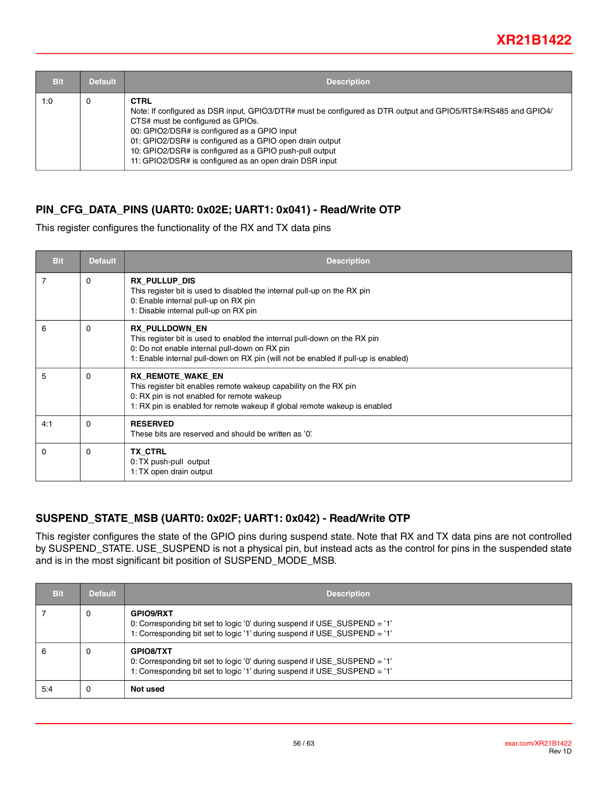| <b>Bit</b> | <b>Default</b> | <b>Description</b>                                                                                                                                                                                                                                                                                                                                                                                  |
|------------|----------------|-----------------------------------------------------------------------------------------------------------------------------------------------------------------------------------------------------------------------------------------------------------------------------------------------------------------------------------------------------------------------------------------------------|
| 1:0        | 0              | <b>CTRL</b><br>Note: If configured as DSR input, GPIO3/DTR# must be configured as DTR output and GPIO5/RTS#/RS485 and GPIO4/<br>CTS# must be configured as GPIOs.<br>00: GPIO2/DSR# is configured as a GPIO input<br>01: GPIO2/DSR# is configured as a GPIO open drain output<br>10: GPIO2/DSR# is configured as a GPIO push-pull output<br>11: GPIO2/DSR# is configured as an open drain DSR input |

#### **PIN\_CFG\_DATA\_PINS (UART0: 0x02E; UART1: 0x041) - Read/Write OTP**

This register configures the functionality of the RX and TX data pins

| <b>Bit</b>     | <b>Default</b> | <b>Description</b>                                                                                                                                                                                                                        |
|----------------|----------------|-------------------------------------------------------------------------------------------------------------------------------------------------------------------------------------------------------------------------------------------|
| $\overline{7}$ | $\Omega$       | <b>RX PULLUP DIS</b><br>This register bit is used to disabled the internal pull-up on the RX pin<br>0: Enable internal pull-up on RX pin<br>1: Disable internal pull-up on RX pin                                                         |
| 6              | $\Omega$       | <b>RX PULLDOWN EN</b><br>This register bit is used to enabled the internal pull-down on the RX pin<br>0: Do not enable internal pull-down on RX pin<br>1: Enable internal pull-down on RX pin (will not be enabled if pull-up is enabled) |
| 5              | $\Omega$       | <b>RX_REMOTE_WAKE_EN</b><br>This register bit enables remote wakeup capability on the RX pin<br>0: RX pin is not enabled for remote wakeup<br>1: RX pin is enabled for remote wakeup if global remote wakeup is enabled                   |
| 4:1            | $\Omega$       | <b>RESERVED</b><br>These bits are reserved and should be written as '0'.                                                                                                                                                                  |
| $\Omega$       | $\Omega$       | <b>TX CTRL</b><br>0: TX push-pull output<br>1: TX open drain output                                                                                                                                                                       |

#### **SUSPEND\_STATE\_MSB (UART0: 0x02F; UART1: 0x042) - Read/Write OTP**

This register configures the state of the GPIO pins during suspend state. Note that RX and TX data pins are not controlled by SUSPEND\_STATE. USE\_SUSPEND is not a physical pin, but instead acts as the control for pins in the suspended state and is in the most significant bit position of SUSPEND\_MODE\_MSB.

| Bit | <b>Default</b> | <b>Description</b>                                                                                                                                                         |
|-----|----------------|----------------------------------------------------------------------------------------------------------------------------------------------------------------------------|
|     | 0              | GPIO9/RXT<br>0: Corresponding bit set to logic '0' during suspend if USE_SUSPEND = '1'<br>1: Corresponding bit set to logic '1' during suspend if USE_SUSPEND = '1'        |
| 6   | 0              | <b>GPIO8/TXT</b><br>0: Corresponding bit set to logic '0' during suspend if USE_SUSPEND = '1'<br>1: Corresponding bit set to logic '1' during suspend if USE_SUSPEND = '1' |
| 5:4 | 0              | Not used                                                                                                                                                                   |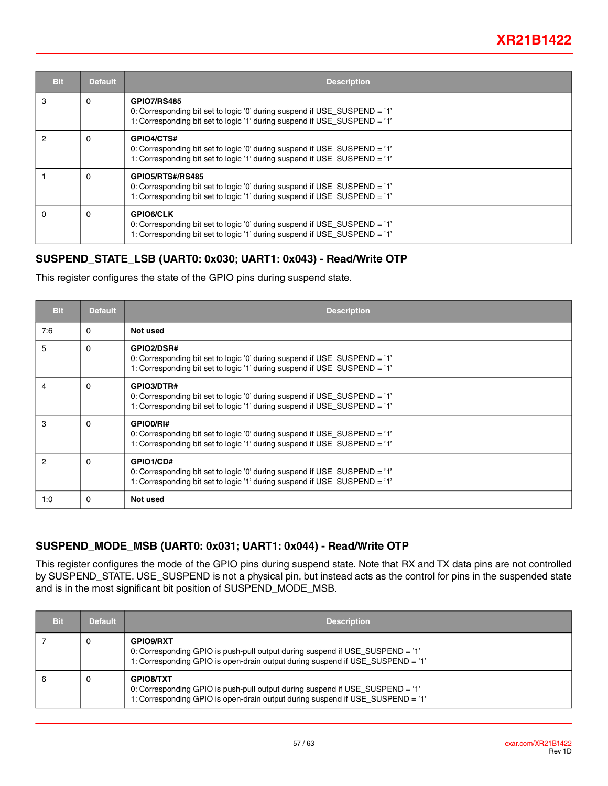| <b>Bit</b> | <b>Default</b> | <b>Description</b>                                                                                                                                                           |
|------------|----------------|------------------------------------------------------------------------------------------------------------------------------------------------------------------------------|
| 3          | $\Omega$       | <b>GPIO7/RS485</b><br>0: Corresponding bit set to logic '0' during suspend if USE_SUSPEND = '1'<br>1: Corresponding bit set to logic '1' during suspend if USE_SUSPEND = '1' |
| 2          | 0              | <b>GPIO4/CTS#</b><br>0: Corresponding bit set to logic '0' during suspend if USE_SUSPEND = '1'<br>1: Corresponding bit set to logic '1' during suspend if USE SUSPEND = '1'  |
|            | 0              | GPIO5/RTS#/RS485<br>0: Corresponding bit set to logic '0' during suspend if USE_SUSPEND = '1'<br>1: Corresponding bit set to logic '1' during suspend if USE SUSPEND = '1'   |
| 0          | $\Omega$       | <b>GPIO6/CLK</b><br>0: Corresponding bit set to logic '0' during suspend if USE_SUSPEND = '1'<br>1: Corresponding bit set to logic '1' during suspend if USE_SUSPEND = '1'   |

#### **SUSPEND\_STATE\_LSB (UART0: 0x030; UART1: 0x043) - Read/Write OTP**

This register configures the state of the GPIO pins during suspend state.

| <b>Bit</b>     | <b>Default</b> | <b>Description</b>                                                                                                                                                          |
|----------------|----------------|-----------------------------------------------------------------------------------------------------------------------------------------------------------------------------|
| 7:6            | $\Omega$       | Not used                                                                                                                                                                    |
| 5              | $\Omega$       | <b>GPIO2/DSR#</b><br>0: Corresponding bit set to logic '0' during suspend if USE_SUSPEND = '1'<br>1: Corresponding bit set to logic '1' during suspend if USE_SUSPEND = '1' |
| 4              | $\Omega$       | GPIO3/DTR#<br>0: Corresponding bit set to logic '0' during suspend if USE_SUSPEND = '1'<br>1: Corresponding bit set to logic '1' during suspend if USE_SUSPEND = '1'        |
| 3              | $\Omega$       | GPIO0/RI#<br>0: Corresponding bit set to logic '0' during suspend if USE_SUSPEND = '1'<br>1: Corresponding bit set to logic '1' during suspend if USE SUSPEND = '1'         |
| $\mathfrak{p}$ | $\Omega$       | GPIO1/CD#<br>0: Corresponding bit set to logic '0' during suspend if USE_SUSPEND = '1'<br>1: Corresponding bit set to logic '1' during suspend if USE_SUSPEND = '1'         |
| 1:0            | $\Omega$       | Not used                                                                                                                                                                    |

#### **SUSPEND\_MODE\_MSB (UART0: 0x031; UART1: 0x044) - Read/Write OTP**

This register configures the mode of the GPIO pins during suspend state. Note that RX and TX data pins are not controlled by SUSPEND\_STATE. USE\_SUSPEND is not a physical pin, but instead acts as the control for pins in the suspended state and is in the most significant bit position of SUSPEND\_MODE\_MSB.

| Bit | <b>Default</b> | <b>Description</b>                                                                                                                                                                  |
|-----|----------------|-------------------------------------------------------------------------------------------------------------------------------------------------------------------------------------|
|     | 0              | <b>GPIO9/RXT</b><br>0: Corresponding GPIO is push-pull output during suspend if USE SUSPEND = '1'<br>1: Corresponding GPIO is open-drain output during suspend if USE SUSPEND = '1' |
|     | 0              | <b>GPIO8/TXT</b><br>0: Corresponding GPIO is push-pull output during suspend if USE_SUSPEND = '1'<br>1: Corresponding GPIO is open-drain output during suspend if USE SUSPEND = '1' |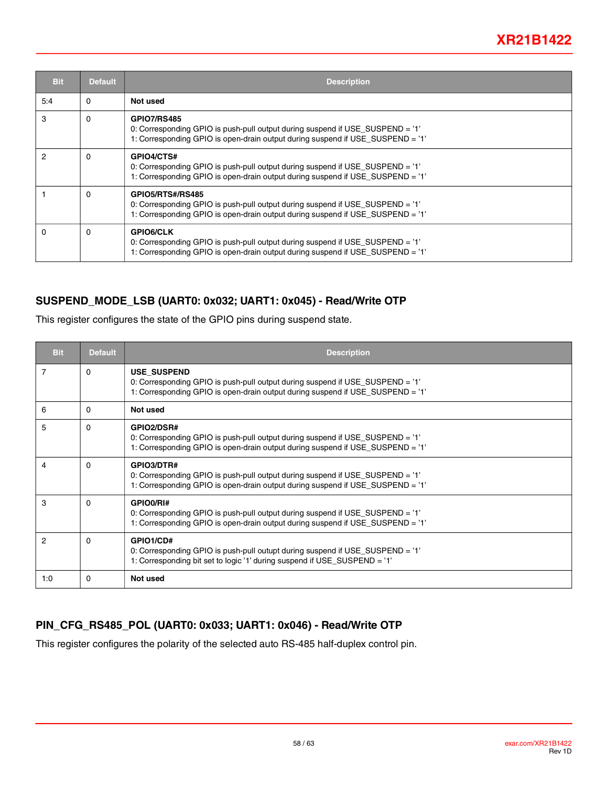| <b>Bit</b> | <b>Default</b> | <b>Description</b>                                                                                                                                                                    |
|------------|----------------|---------------------------------------------------------------------------------------------------------------------------------------------------------------------------------------|
| 5:4        | $\Omega$       | Not used                                                                                                                                                                              |
| 3          | $\Omega$       | <b>GPIO7/RS485</b><br>0: Corresponding GPIO is push-pull output during suspend if USE_SUSPEND = '1'<br>1: Corresponding GPIO is open-drain output during suspend if USE SUSPEND = '1' |
| 2          | $\Omega$       | GPIO4/CTS#<br>0: Corresponding GPIO is push-pull output during suspend if USE_SUSPEND = '1'<br>1: Corresponding GPIO is open-drain output during suspend if USE SUSPEND = '1'         |
|            | $\Omega$       | GPIO5/RTS#/RS485<br>0: Corresponding GPIO is push-pull output during suspend if USE_SUSPEND = '1'<br>1: Corresponding GPIO is open-drain output during suspend if USE SUSPEND = '1'   |
| 0          | $\Omega$       | <b>GPIO6/CLK</b><br>0: Corresponding GPIO is push-pull output during suspend if USE_SUSPEND = '1'<br>1: Corresponding GPIO is open-drain output during suspend if USE_SUSPEND = '1'   |

### **SUSPEND\_MODE\_LSB (UART0: 0x032; UART1: 0x045) - Read/Write OTP**

This register configures the state of the GPIO pins during suspend state.

| <b>Bit</b>     | <b>Default</b> | <b>Description</b>                                                                                                                                                                    |
|----------------|----------------|---------------------------------------------------------------------------------------------------------------------------------------------------------------------------------------|
| 7              | $\Omega$       | <b>USE SUSPEND</b><br>0: Corresponding GPIO is push-pull output during suspend if USE_SUSPEND = '1'<br>1: Corresponding GPIO is open-drain output during suspend if USE SUSPEND = '1' |
| 6              | $\Omega$       | Not used                                                                                                                                                                              |
| 5              | $\Omega$       | <b>GPIO2/DSR#</b><br>0: Corresponding GPIO is push-pull output during suspend if USE_SUSPEND = '1'<br>1: Corresponding GPIO is open-drain output during suspend if USE_SUSPEND = '1'  |
| 4              | $\Omega$       | GPIO3/DTR#<br>0: Corresponding GPIO is push-pull output during suspend if USE_SUSPEND = '1'<br>1: Corresponding GPIO is open-drain output during suspend if USE_SUSPEND = '1'         |
| 3              | $\Omega$       | GPIO0/RI#<br>0: Corresponding GPIO is push-pull output during suspend if USE_SUSPEND = '1'<br>1: Corresponding GPIO is open-drain output during suspend if USE_SUSPEND = '1'          |
| $\overline{2}$ | 0              | GPIO1/CD#<br>0: Corresponding GPIO is push-pull outupt during suspend if USE_SUSPEND = '1'<br>1: Corresponding bit set to logic '1' during suspend if USE_SUSPEND = '1'               |
| 1:0            | 0              | Not used                                                                                                                                                                              |

#### **PIN\_CFG\_RS485\_POL (UART0: 0x033; UART1: 0x046) - Read/Write OTP**

This register configures the polarity of the selected auto RS-485 half-duplex control pin.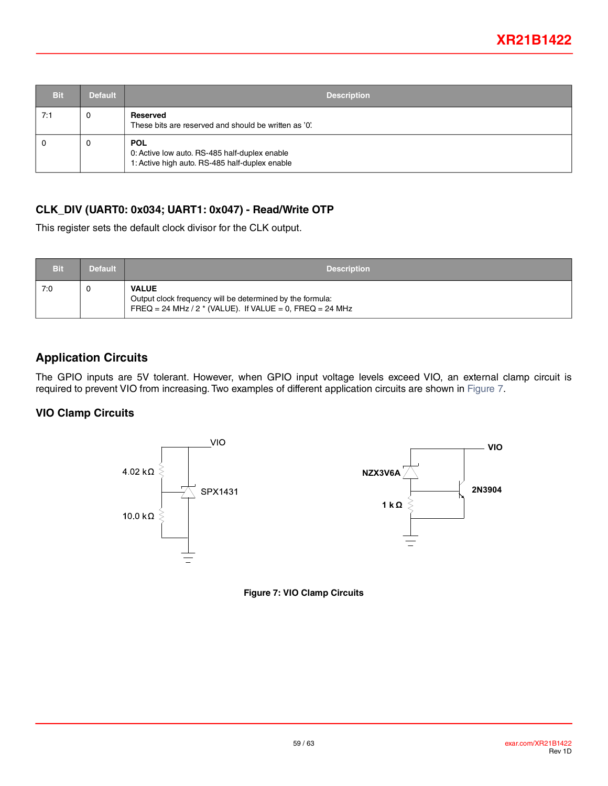<span id="page-58-0"></span>

| Bit | <b>Default</b> | <b>Description</b>                                                                                            |
|-----|----------------|---------------------------------------------------------------------------------------------------------------|
| 7:1 | 0              | <b>Reserved</b><br>These bits are reserved and should be written as '0'.                                      |
| 0   | υ              | <b>POL</b><br>0: Active low auto. RS-485 half-duplex enable<br>1: Active high auto. RS-485 half-duplex enable |

#### **CLK\_DIV (UART0: 0x034; UART1: 0x047) - Read/Write OTP**

This register sets the default clock divisor for the CLK output.

| <b>Bit</b> | <b>Default</b> | <b>Description</b>                                                                                                                      |  |
|------------|----------------|-----------------------------------------------------------------------------------------------------------------------------------------|--|
| 7:0        |                | <b>VALUE</b><br>Output clock frequency will be determined by the formula:<br>FREQ = 24 MHz / 2 $*$ (VALUE). If VALUE = 0, FREQ = 24 MHz |  |

### **Application Circuits**

The GPIO inputs are 5V tolerant. However, when GPIO input voltage levels exceed VIO, an external clamp circuit is required to prevent VIO from increasing. Two examples of different application circuits are shown in [Figure](#page-58-1) 7.

#### **VIO Clamp Circuits**

<span id="page-58-1"></span>



**Figure 7: VIO Clamp Circuits**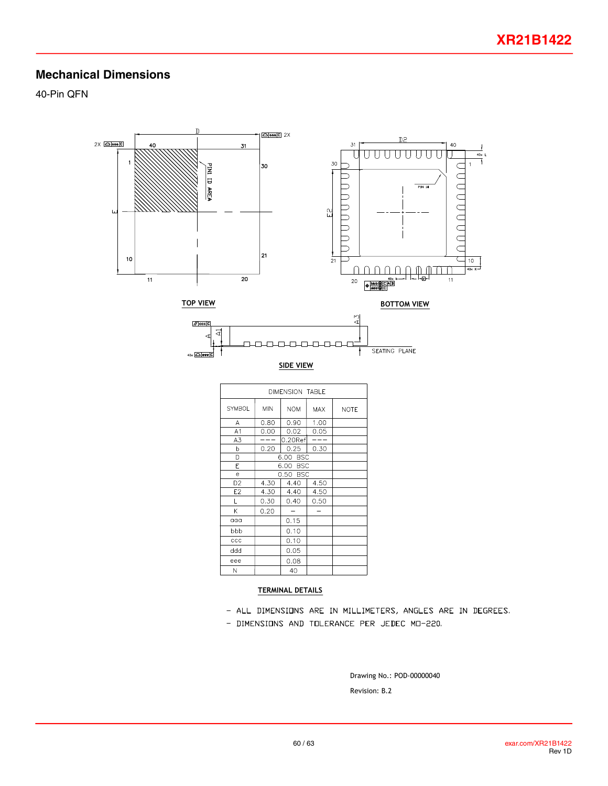### **Mechanical Dimensions**

40-Pin QFN



#### TERMINAL DETAILS

- ALL DIMENSIONS ARE IN MILLIMETERS, ANGLES ARE IN DEGREES.
- DIMENSIONS AND TOLERANCE PER JEDEC MO-220.

Revision: B.2 Drawing No.: POD-00000040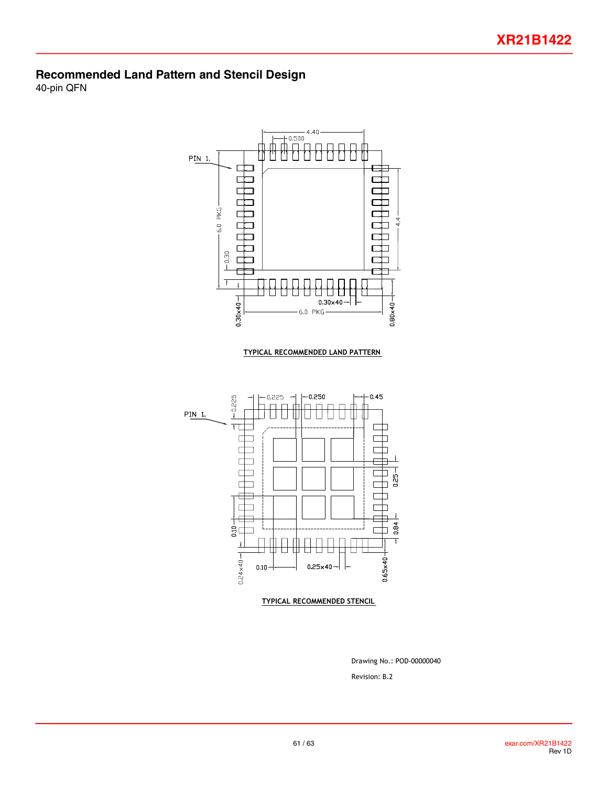### **Recommended Land Pattern and Stencil Design**

40-pin QFN



Revision: B.2 Drawing No.: POD-00000040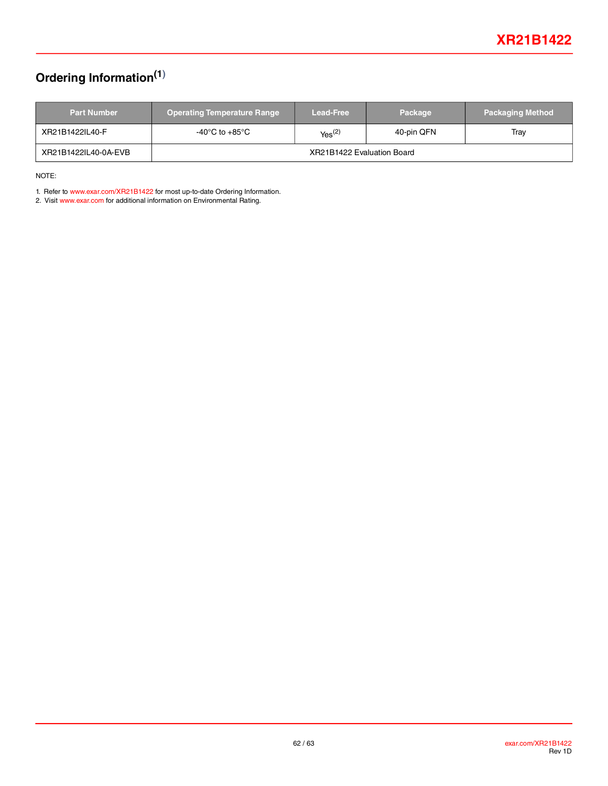# <span id="page-61-0"></span>**Ordering Information(1)**

| <b>Part Number</b>   | <b>Operating Temperature Range</b> | <b>Lead-Free</b>      | Package    | <b>Packaging Method</b> |  |
|----------------------|------------------------------------|-----------------------|------------|-------------------------|--|
| XR21B1422IL40-F      | -40°C to +85°C                     | $Y_{\text{BS}}^{(2)}$ | 40-pin QFN | Tray                    |  |
| XR21B1422IL40-0A-EVB | XR21B1422 Evaluation Board         |                       |            |                         |  |

NOTE:

1. Refer to [www.exar.com/XR21B1422](http://www.exar.com/XR21B1422) for most up-to-date Ordering Information.

2. Visit [w](http://www.exar.com)ww.exar.com for additional information on Environmental Rating.